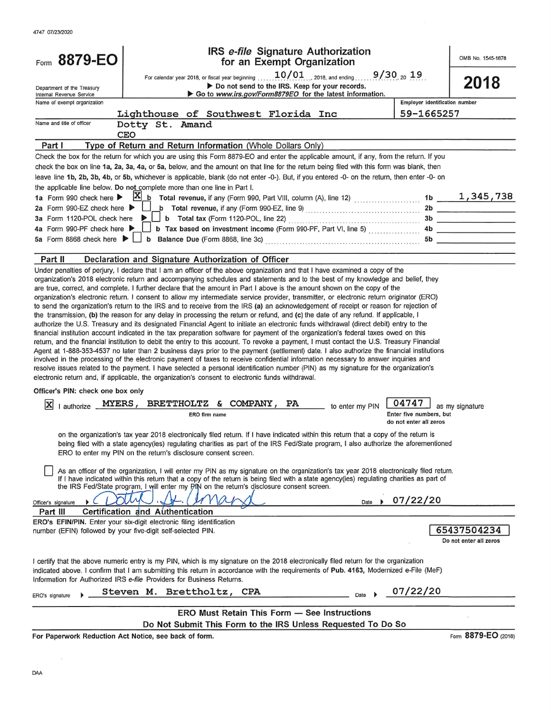| Form 8879-EO                                           | IRS e-file Signature Authorization<br>for an Exempt Organization                                                                                                                                                                                                                                                                                                                                                                                                                                                                                                                                                                                                                                                                                                                                                                                                                                                                                                                                                                                                                                                                                                                                                                                                                                                                                                                                                                                                                                                                                                                                                                                         |                                                   | OMB No. 1545-1878                     |
|--------------------------------------------------------|----------------------------------------------------------------------------------------------------------------------------------------------------------------------------------------------------------------------------------------------------------------------------------------------------------------------------------------------------------------------------------------------------------------------------------------------------------------------------------------------------------------------------------------------------------------------------------------------------------------------------------------------------------------------------------------------------------------------------------------------------------------------------------------------------------------------------------------------------------------------------------------------------------------------------------------------------------------------------------------------------------------------------------------------------------------------------------------------------------------------------------------------------------------------------------------------------------------------------------------------------------------------------------------------------------------------------------------------------------------------------------------------------------------------------------------------------------------------------------------------------------------------------------------------------------------------------------------------------------------------------------------------------------|---------------------------------------------------|---------------------------------------|
|                                                        | For calendar year 2018, or fiscal year beginning $10/01$ 2018, and ending                                                                                                                                                                                                                                                                                                                                                                                                                                                                                                                                                                                                                                                                                                                                                                                                                                                                                                                                                                                                                                                                                                                                                                                                                                                                                                                                                                                                                                                                                                                                                                                | $9/30_{20}$ 19                                    | 2018                                  |
| Department of the Treasury<br>Internal Revenue Service | Do not send to the IRS. Keep for your records.<br>Go to www.irs.gov/Form8879EO for the latest information.                                                                                                                                                                                                                                                                                                                                                                                                                                                                                                                                                                                                                                                                                                                                                                                                                                                                                                                                                                                                                                                                                                                                                                                                                                                                                                                                                                                                                                                                                                                                               |                                                   |                                       |
| Name of exempt organization                            |                                                                                                                                                                                                                                                                                                                                                                                                                                                                                                                                                                                                                                                                                                                                                                                                                                                                                                                                                                                                                                                                                                                                                                                                                                                                                                                                                                                                                                                                                                                                                                                                                                                          | Employer identification number                    |                                       |
|                                                        | Lighthouse of Southwest Florida Inc                                                                                                                                                                                                                                                                                                                                                                                                                                                                                                                                                                                                                                                                                                                                                                                                                                                                                                                                                                                                                                                                                                                                                                                                                                                                                                                                                                                                                                                                                                                                                                                                                      | 59-1665257                                        |                                       |
| Name and title of officer                              | Dotty St. Amand                                                                                                                                                                                                                                                                                                                                                                                                                                                                                                                                                                                                                                                                                                                                                                                                                                                                                                                                                                                                                                                                                                                                                                                                                                                                                                                                                                                                                                                                                                                                                                                                                                          |                                                   |                                       |
|                                                        | <b>CEO</b>                                                                                                                                                                                                                                                                                                                                                                                                                                                                                                                                                                                                                                                                                                                                                                                                                                                                                                                                                                                                                                                                                                                                                                                                                                                                                                                                                                                                                                                                                                                                                                                                                                               |                                                   |                                       |
| Part I                                                 | Type of Return and Return Information (Whole Dollars Only)                                                                                                                                                                                                                                                                                                                                                                                                                                                                                                                                                                                                                                                                                                                                                                                                                                                                                                                                                                                                                                                                                                                                                                                                                                                                                                                                                                                                                                                                                                                                                                                               |                                                   |                                       |
|                                                        | Check the box for the return for which you are using this Form 8879-EO and enter the applicable amount, if any, from the return. If you                                                                                                                                                                                                                                                                                                                                                                                                                                                                                                                                                                                                                                                                                                                                                                                                                                                                                                                                                                                                                                                                                                                                                                                                                                                                                                                                                                                                                                                                                                                  |                                                   |                                       |
|                                                        | check the box on line 1a, 2a, 3a, 4a, or 5a, below, and the amount on that line for the return being filed with this form was blank, then                                                                                                                                                                                                                                                                                                                                                                                                                                                                                                                                                                                                                                                                                                                                                                                                                                                                                                                                                                                                                                                                                                                                                                                                                                                                                                                                                                                                                                                                                                                |                                                   |                                       |
|                                                        | leave line 1b, 2b, 3b, 4b, or 5b, whichever is applicable, blank (do not enter -0-). But, if you entered -0- on the return, then enter -0- on                                                                                                                                                                                                                                                                                                                                                                                                                                                                                                                                                                                                                                                                                                                                                                                                                                                                                                                                                                                                                                                                                                                                                                                                                                                                                                                                                                                                                                                                                                            |                                                   |                                       |
|                                                        | the applicable line below. Do not complete more than one line in Part I.                                                                                                                                                                                                                                                                                                                                                                                                                                                                                                                                                                                                                                                                                                                                                                                                                                                                                                                                                                                                                                                                                                                                                                                                                                                                                                                                                                                                                                                                                                                                                                                 |                                                   |                                       |
|                                                        |                                                                                                                                                                                                                                                                                                                                                                                                                                                                                                                                                                                                                                                                                                                                                                                                                                                                                                                                                                                                                                                                                                                                                                                                                                                                                                                                                                                                                                                                                                                                                                                                                                                          |                                                   |                                       |
| 2a Form 990-EZ check here ▶                            |                                                                                                                                                                                                                                                                                                                                                                                                                                                                                                                                                                                                                                                                                                                                                                                                                                                                                                                                                                                                                                                                                                                                                                                                                                                                                                                                                                                                                                                                                                                                                                                                                                                          |                                                   |                                       |
| 3a Form 1120-POL check here ▶                          |                                                                                                                                                                                                                                                                                                                                                                                                                                                                                                                                                                                                                                                                                                                                                                                                                                                                                                                                                                                                                                                                                                                                                                                                                                                                                                                                                                                                                                                                                                                                                                                                                                                          |                                                   |                                       |
| 4a Form 990-PF check here ▶                            | $\Box$ b Tax based on investment income (Form 990-PF, Part VI, line 5) $\Box$                                                                                                                                                                                                                                                                                                                                                                                                                                                                                                                                                                                                                                                                                                                                                                                                                                                                                                                                                                                                                                                                                                                                                                                                                                                                                                                                                                                                                                                                                                                                                                            |                                                   |                                       |
|                                                        | 5a Form 8868 check here $\blacktriangleright \bigsqcup$ b Balance Due (Form 8868, line 3c) entertainment contains the state of the state of the state of the state of the state of the state of the state of the state of the state of the state                                                                                                                                                                                                                                                                                                                                                                                                                                                                                                                                                                                                                                                                                                                                                                                                                                                                                                                                                                                                                                                                                                                                                                                                                                                                                                                                                                                                         |                                                   |                                       |
| Part II                                                | Declaration and Signature Authorization of Officer                                                                                                                                                                                                                                                                                                                                                                                                                                                                                                                                                                                                                                                                                                                                                                                                                                                                                                                                                                                                                                                                                                                                                                                                                                                                                                                                                                                                                                                                                                                                                                                                       |                                                   |                                       |
|                                                        | organization's 2018 electronic return and accompanying schedules and statements and to the best of my knowledge and belief, they<br>are true, correct, and complete. I further declare that the amount in Part I above is the amount shown on the copy of the<br>organization's electronic return. I consent to allow my intermediate service provider, transmitter, or electronic return originator (ERO)<br>to send the organization's return to the IRS and to receive from the IRS (a) an acknowledgement of receipt or reason for rejection of<br>the transmission, (b) the reason for any delay in processing the return or refund, and (c) the date of any refund. If applicable, I<br>authorize the U.S. Treasury and its designated Financial Agent to initiate an electronic funds withdrawal (direct debit) entry to the<br>financial institution account indicated in the tax preparation software for payment of the organization's federal taxes owed on this<br>return, and the financial institution to debit the entry to this account. To revoke a payment, I must contact the U.S. Treasury Financial<br>Agent at 1-888-353-4537 no later than 2 business days prior to the payment (settlement) date. I also authorize the financial institutions<br>involved in the processing of the electronic payment of taxes to receive confidential information necessary to answer inquiries and<br>resolve issues related to the payment. I have selected a personal identification number (PIN) as my signature for the organization's<br>electronic return and, if applicable, the organization's consent to electronic funds withdrawal. |                                                   |                                       |
| Officer's PIN: check one box only                      |                                                                                                                                                                                                                                                                                                                                                                                                                                                                                                                                                                                                                                                                                                                                                                                                                                                                                                                                                                                                                                                                                                                                                                                                                                                                                                                                                                                                                                                                                                                                                                                                                                                          |                                                   |                                       |
| X                                                      | MYERS, BRETTHOLTZ & COMPANY, PA to enter my PIN                                                                                                                                                                                                                                                                                                                                                                                                                                                                                                                                                                                                                                                                                                                                                                                                                                                                                                                                                                                                                                                                                                                                                                                                                                                                                                                                                                                                                                                                                                                                                                                                          | 04747                                             |                                       |
| authorize                                              | ERO firm name                                                                                                                                                                                                                                                                                                                                                                                                                                                                                                                                                                                                                                                                                                                                                                                                                                                                                                                                                                                                                                                                                                                                                                                                                                                                                                                                                                                                                                                                                                                                                                                                                                            | Enter five numbers, but<br>do not enter all zeros | as my signature                       |
|                                                        | on the organization's tax year 2018 electronically filed return. If I have indicated within this return that a copy of the return is<br>being filed with a state agency(ies) regulating charities as part of the IRS Fed/State program, I also authorize the aforementioned<br>ERO to enter my PIN on the return's disclosure consent screen.                                                                                                                                                                                                                                                                                                                                                                                                                                                                                                                                                                                                                                                                                                                                                                                                                                                                                                                                                                                                                                                                                                                                                                                                                                                                                                            |                                                   |                                       |
|                                                        | As an officer of the organization, I will enter my PIN as my signature on the organization's tax year 2018 electronically filed return.<br>If I have indicated within this return that a copy of the return is being filed with a state agency(ies) regulating charities as part of<br>the IRS Fed/State program, I will enter my PIN on the return's disclosure consent screen.                                                                                                                                                                                                                                                                                                                                                                                                                                                                                                                                                                                                                                                                                                                                                                                                                                                                                                                                                                                                                                                                                                                                                                                                                                                                         |                                                   |                                       |
| Officer's signature                                    | Date                                                                                                                                                                                                                                                                                                                                                                                                                                                                                                                                                                                                                                                                                                                                                                                                                                                                                                                                                                                                                                                                                                                                                                                                                                                                                                                                                                                                                                                                                                                                                                                                                                                     | 07/22/20                                          |                                       |
| Part III                                               | Certification and Authentication                                                                                                                                                                                                                                                                                                                                                                                                                                                                                                                                                                                                                                                                                                                                                                                                                                                                                                                                                                                                                                                                                                                                                                                                                                                                                                                                                                                                                                                                                                                                                                                                                         |                                                   |                                       |
|                                                        | ERO's EFIN/PIN. Enter your six-digit electronic filing identification                                                                                                                                                                                                                                                                                                                                                                                                                                                                                                                                                                                                                                                                                                                                                                                                                                                                                                                                                                                                                                                                                                                                                                                                                                                                                                                                                                                                                                                                                                                                                                                    |                                                   |                                       |
|                                                        | number (EFIN) followed by your five-digit self-selected PIN.                                                                                                                                                                                                                                                                                                                                                                                                                                                                                                                                                                                                                                                                                                                                                                                                                                                                                                                                                                                                                                                                                                                                                                                                                                                                                                                                                                                                                                                                                                                                                                                             |                                                   | 65437504234<br>Do not enter all zeros |
|                                                        | I certify that the above numeric entry is my PIN, which is my signature on the 2018 electronically filed return for the organization<br>indicated above. I confirm that I am submitting this return in accordance with the requirements of Pub. 4163, Modernized e-File (MeF)<br>Information for Authorized IRS e-file Providers for Business Returns.                                                                                                                                                                                                                                                                                                                                                                                                                                                                                                                                                                                                                                                                                                                                                                                                                                                                                                                                                                                                                                                                                                                                                                                                                                                                                                   |                                                   |                                       |
| ERO's signature                                        | Steven M. Brettholtz, CPA<br>Date                                                                                                                                                                                                                                                                                                                                                                                                                                                                                                                                                                                                                                                                                                                                                                                                                                                                                                                                                                                                                                                                                                                                                                                                                                                                                                                                                                                                                                                                                                                                                                                                                        | 07/22/20                                          |                                       |
|                                                        | <b>ERO Must Retain This Form - See Instructions</b>                                                                                                                                                                                                                                                                                                                                                                                                                                                                                                                                                                                                                                                                                                                                                                                                                                                                                                                                                                                                                                                                                                                                                                                                                                                                                                                                                                                                                                                                                                                                                                                                      |                                                   |                                       |
|                                                        | Do Not Submit This Form to the IRS Unless Requested To Do So                                                                                                                                                                                                                                                                                                                                                                                                                                                                                                                                                                                                                                                                                                                                                                                                                                                                                                                                                                                                                                                                                                                                                                                                                                                                                                                                                                                                                                                                                                                                                                                             |                                                   |                                       |
|                                                        |                                                                                                                                                                                                                                                                                                                                                                                                                                                                                                                                                                                                                                                                                                                                                                                                                                                                                                                                                                                                                                                                                                                                                                                                                                                                                                                                                                                                                                                                                                                                                                                                                                                          |                                                   |                                       |

For Paperwork Reduction Act Notice, see back of form.

Form 8879-EO (2018)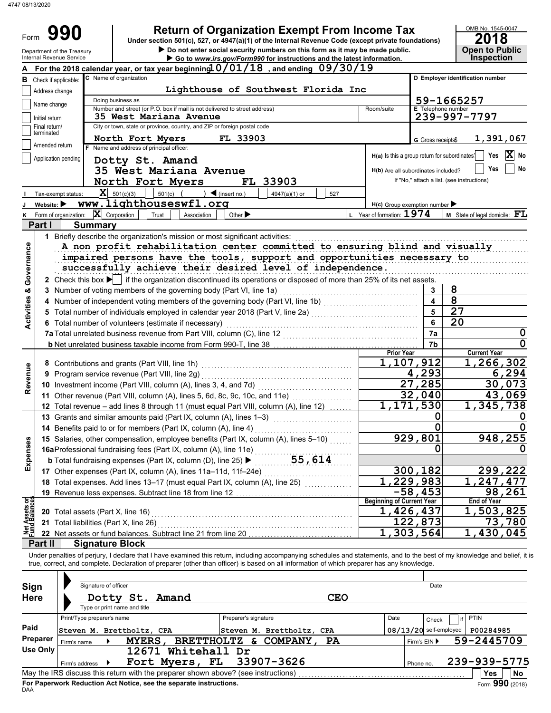| Do not enter social security numbers on this form as it may be made public.<br>Department of the Treasury<br>Internal Revenue Service<br>Go to www.irs.gov/Form990 for instructions and the latest information.<br>For the 2018 calendar year, or tax year beginning $0/01/18$ , and ending $09/30/19$<br>C Name of organization<br>Check if applicable:<br>Lighthouse of Southwest Florida Inc<br>Address change<br>Doing business as<br>Name change<br>Number and street (or P.O. box if mail is not delivered to street address)<br><b>35 West Mariana Avenue</b><br>Initial return<br>City or town, state or province, country, and ZIP or foreign postal code<br>Final return/<br>terminated<br>FL 33903<br>North Fort Myers<br>Amended return<br>F Name and address of principal officer:<br>Application pending<br>Dotty St. Amand<br>35 West Mariana Avenue<br>North Fort Myers<br>FL 33903 | Room/suite<br>G Gross receipts\$<br>H(a) Is this a group return for subordinates <sup>1</sup> | <b>Open to Public</b><br><b>Inspection</b><br>D Employer identification number<br>59-1665257<br><b>E</b> Telephone number<br>239-997-7797<br>1,391,067 |
|-----------------------------------------------------------------------------------------------------------------------------------------------------------------------------------------------------------------------------------------------------------------------------------------------------------------------------------------------------------------------------------------------------------------------------------------------------------------------------------------------------------------------------------------------------------------------------------------------------------------------------------------------------------------------------------------------------------------------------------------------------------------------------------------------------------------------------------------------------------------------------------------------------|-----------------------------------------------------------------------------------------------|--------------------------------------------------------------------------------------------------------------------------------------------------------|
|                                                                                                                                                                                                                                                                                                                                                                                                                                                                                                                                                                                                                                                                                                                                                                                                                                                                                                     |                                                                                               |                                                                                                                                                        |
|                                                                                                                                                                                                                                                                                                                                                                                                                                                                                                                                                                                                                                                                                                                                                                                                                                                                                                     |                                                                                               |                                                                                                                                                        |
|                                                                                                                                                                                                                                                                                                                                                                                                                                                                                                                                                                                                                                                                                                                                                                                                                                                                                                     |                                                                                               |                                                                                                                                                        |
|                                                                                                                                                                                                                                                                                                                                                                                                                                                                                                                                                                                                                                                                                                                                                                                                                                                                                                     |                                                                                               |                                                                                                                                                        |
|                                                                                                                                                                                                                                                                                                                                                                                                                                                                                                                                                                                                                                                                                                                                                                                                                                                                                                     |                                                                                               |                                                                                                                                                        |
|                                                                                                                                                                                                                                                                                                                                                                                                                                                                                                                                                                                                                                                                                                                                                                                                                                                                                                     |                                                                                               |                                                                                                                                                        |
|                                                                                                                                                                                                                                                                                                                                                                                                                                                                                                                                                                                                                                                                                                                                                                                                                                                                                                     |                                                                                               |                                                                                                                                                        |
|                                                                                                                                                                                                                                                                                                                                                                                                                                                                                                                                                                                                                                                                                                                                                                                                                                                                                                     |                                                                                               |                                                                                                                                                        |
|                                                                                                                                                                                                                                                                                                                                                                                                                                                                                                                                                                                                                                                                                                                                                                                                                                                                                                     |                                                                                               | X<br>Yes<br>No                                                                                                                                         |
|                                                                                                                                                                                                                                                                                                                                                                                                                                                                                                                                                                                                                                                                                                                                                                                                                                                                                                     | H(b) Are all subordinates included?                                                           | Yes<br>No                                                                                                                                              |
|                                                                                                                                                                                                                                                                                                                                                                                                                                                                                                                                                                                                                                                                                                                                                                                                                                                                                                     |                                                                                               | If "No," attach a list. (see instructions)                                                                                                             |
| $ \mathbf{X} $ 501(c)(3)<br>501(c) $($<br>$\int$ (insert no.)<br>4947(a)(1) or<br>Tax-exempt status:<br>527                                                                                                                                                                                                                                                                                                                                                                                                                                                                                                                                                                                                                                                                                                                                                                                         |                                                                                               |                                                                                                                                                        |
| www.lighthouseswfl.org<br>Website: $\blacktriangleright$                                                                                                                                                                                                                                                                                                                                                                                                                                                                                                                                                                                                                                                                                                                                                                                                                                            | H(c) Group exemption number                                                                   |                                                                                                                                                        |
| $\mathbf{X}$ Corporation<br>Other $\blacktriangleright$<br>K Form of organization:<br>Trust<br>Association<br>Part I<br><b>Summary</b>                                                                                                                                                                                                                                                                                                                                                                                                                                                                                                                                                                                                                                                                                                                                                              | L Year of formation: 1974                                                                     | M State of legal domicile: FL                                                                                                                          |
| A non profit rehabilitation center committed to ensuring blind and visually<br>impaired persons have the tools, support and opportunities necessary to<br>successfully achieve their desired level of independence.                                                                                                                                                                                                                                                                                                                                                                                                                                                                                                                                                                                                                                                                                 |                                                                                               |                                                                                                                                                        |
| 2 Check this box if the organization discontinued its operations or disposed of more than 25% of its net assets.                                                                                                                                                                                                                                                                                                                                                                                                                                                                                                                                                                                                                                                                                                                                                                                    | 3                                                                                             | 8                                                                                                                                                      |
| 3 Number of voting members of the governing body (Part VI, line 1a)<br>4 Number of independent voting members of the governing body (Part VI, line 1b) [[[[[[[[[[[[[[[[[[[[[[[[[[[[[                                                                                                                                                                                                                                                                                                                                                                                                                                                                                                                                                                                                                                                                                                                | 4                                                                                             | $\overline{8}$                                                                                                                                         |
|                                                                                                                                                                                                                                                                                                                                                                                                                                                                                                                                                                                                                                                                                                                                                                                                                                                                                                     | 5                                                                                             | 27                                                                                                                                                     |
| 6 Total number of volunteers (estimate if necessary)                                                                                                                                                                                                                                                                                                                                                                                                                                                                                                                                                                                                                                                                                                                                                                                                                                                | 6                                                                                             | 20                                                                                                                                                     |
| 7a Total unrelated business revenue from Part VIII, column (C), line 12 <b>Collection Contrary Control</b>                                                                                                                                                                                                                                                                                                                                                                                                                                                                                                                                                                                                                                                                                                                                                                                          | 7a                                                                                            | 0                                                                                                                                                      |
|                                                                                                                                                                                                                                                                                                                                                                                                                                                                                                                                                                                                                                                                                                                                                                                                                                                                                                     | 7b                                                                                            |                                                                                                                                                        |
|                                                                                                                                                                                                                                                                                                                                                                                                                                                                                                                                                                                                                                                                                                                                                                                                                                                                                                     | <b>Prior Year</b><br>1,107,912                                                                | <b>Current Year</b><br>1,266,302                                                                                                                       |
| 9 Program service revenue (Part VIII, line 2g)                                                                                                                                                                                                                                                                                                                                                                                                                                                                                                                                                                                                                                                                                                                                                                                                                                                      | 4,293                                                                                         | 6,294                                                                                                                                                  |
|                                                                                                                                                                                                                                                                                                                                                                                                                                                                                                                                                                                                                                                                                                                                                                                                                                                                                                     | 27,285                                                                                        | 30,073                                                                                                                                                 |
|                                                                                                                                                                                                                                                                                                                                                                                                                                                                                                                                                                                                                                                                                                                                                                                                                                                                                                     | 32,040                                                                                        | 43,069                                                                                                                                                 |
| Total revenue - add lines 8 through 11 (must equal Part VIII, column (A), line 12)                                                                                                                                                                                                                                                                                                                                                                                                                                                                                                                                                                                                                                                                                                                                                                                                                  | 1,171,530                                                                                     | 1,345,738                                                                                                                                              |
| 13 Grants and similar amounts paid (Part IX, column (A), lines 1-3)<br><u> 1986 - Johann Barbara, martxa</u>                                                                                                                                                                                                                                                                                                                                                                                                                                                                                                                                                                                                                                                                                                                                                                                        | 0                                                                                             | 0                                                                                                                                                      |
| 14 Benefits paid to or for members (Part IX, column (A), line 4)                                                                                                                                                                                                                                                                                                                                                                                                                                                                                                                                                                                                                                                                                                                                                                                                                                    | 0<br>929,801                                                                                  | 0<br>948,255                                                                                                                                           |
| 15 Salaries, other compensation, employee benefits (Part IX, column (A), lines 5-10)                                                                                                                                                                                                                                                                                                                                                                                                                                                                                                                                                                                                                                                                                                                                                                                                                | 0                                                                                             | O                                                                                                                                                      |
| <b>16a</b> Professional fundraising fees (Part IX, column (A), line 11e)<br><b>b</b> Total fundraising expenses (Part IX, column (D), line 25) <b>b</b>                                                                                                                                                                                                                                                                                                                                                                                                                                                                                                                                                                                                                                                                                                                                             |                                                                                               |                                                                                                                                                        |
| 17 Other expenses (Part IX, column (A), lines 11a-11d, 11f-24e)                                                                                                                                                                                                                                                                                                                                                                                                                                                                                                                                                                                                                                                                                                                                                                                                                                     | 300,182                                                                                       | 299,222                                                                                                                                                |
| 18 Total expenses. Add lines 13-17 (must equal Part IX, column (A), line 25) [[[[[[[[[[[[[[[[[[[[[[[                                                                                                                                                                                                                                                                                                                                                                                                                                                                                                                                                                                                                                                                                                                                                                                                | 1,229,983                                                                                     | 1,247,477                                                                                                                                              |
|                                                                                                                                                                                                                                                                                                                                                                                                                                                                                                                                                                                                                                                                                                                                                                                                                                                                                                     |                                                                                               | 98,261                                                                                                                                                 |
| 19 Revenue less expenses. Subtract line 18 from line 12                                                                                                                                                                                                                                                                                                                                                                                                                                                                                                                                                                                                                                                                                                                                                                                                                                             | $-58,453$                                                                                     |                                                                                                                                                        |
|                                                                                                                                                                                                                                                                                                                                                                                                                                                                                                                                                                                                                                                                                                                                                                                                                                                                                                     | <b>Beginning of Current Year</b>                                                              | <b>End of Year</b>                                                                                                                                     |
| 20 Total assets (Part X, line 16)                                                                                                                                                                                                                                                                                                                                                                                                                                                                                                                                                                                                                                                                                                                                                                                                                                                                   | 1,426,437                                                                                     |                                                                                                                                                        |
| <b>Net Assets or<br/>Fund Balances</b><br>21 Total liabilities (Part X, line 26)<br>22 Net assets or fund balances. Subtract line 21 from line 20                                                                                                                                                                                                                                                                                                                                                                                                                                                                                                                                                                                                                                                                                                                                                   | 122,873<br>1,303,564                                                                          | 1,503,825<br>73,780<br>1,430,045                                                                                                                       |

| Sign<br><b>Here</b> |                | Signature of officer<br>Type or print name and title |                           | Dotty St. Amand                                                                   |                      |                           | <b>CEO</b> |      |              | Date                     |             |                 |
|---------------------|----------------|------------------------------------------------------|---------------------------|-----------------------------------------------------------------------------------|----------------------|---------------------------|------------|------|--------------|--------------------------|-------------|-----------------|
|                     |                | Print/Type preparer's name                           |                           |                                                                                   | Preparer's signature |                           |            | Date |              | Check                    | <b>PTIN</b> |                 |
| Paid                |                |                                                      | Steven M. Brettholtz, CPA |                                                                                   |                      | Steven M. Brettholtz, CPA |            |      |              | $08/13/20$ self-employed | P00284985   |                 |
| Preparer            | Firm's name    |                                                      | <b>MYERS</b>              | <b>BRETTHOLTZ</b>                                                                 | δε.                  | <b>COMPANY</b>            | <b>PA</b>  |      | Firm's $EIN$ |                          |             | 59-2445709      |
| Use Only            |                |                                                      | 12671                     | Whitehall Dr                                                                      |                      |                           |            |      |              |                          |             |                 |
|                     | Firm's address |                                                      |                           | Fort Myers, FL                                                                    |                      | 33907-3626                |            |      | Phone no.    |                          |             | 239-939-5775    |
|                     |                |                                                      |                           | May the IRS discuss this return with the preparer shown above? (see instructions) |                      |                           |            |      |              |                          | Yes         | No              |
| DAA                 |                |                                                      |                           | For Paperwork Reduction Act Notice, see the separate instructions.                |                      |                           |            |      |              |                          |             | Form 990 (2018) |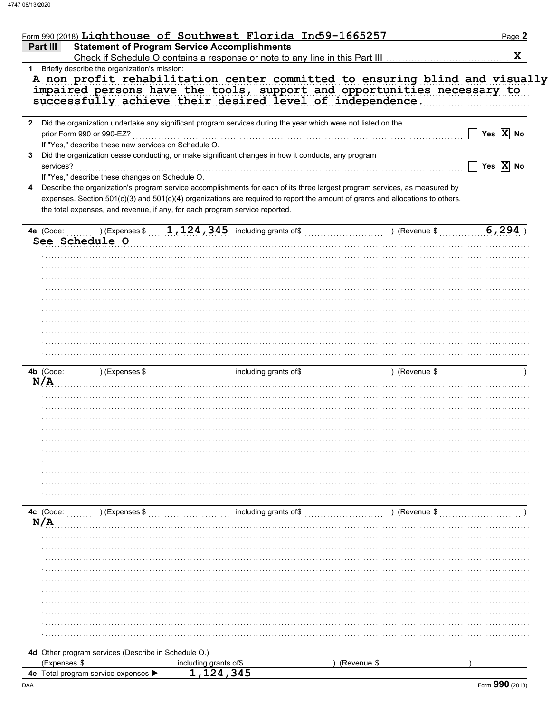| (Expenses \$              | 4d Other program services (Describe in Schedule O.)  | including grants of $1,124,345$                                                                                                | (Revenue \$   |                              |
|---------------------------|------------------------------------------------------|--------------------------------------------------------------------------------------------------------------------------------|---------------|------------------------------|
|                           |                                                      |                                                                                                                                |               |                              |
|                           |                                                      |                                                                                                                                |               |                              |
|                           |                                                      |                                                                                                                                |               |                              |
|                           |                                                      |                                                                                                                                |               |                              |
|                           |                                                      |                                                                                                                                |               |                              |
|                           |                                                      |                                                                                                                                |               |                              |
|                           |                                                      |                                                                                                                                |               |                              |
|                           |                                                      |                                                                                                                                |               |                              |
|                           |                                                      |                                                                                                                                |               |                              |
|                           |                                                      |                                                                                                                                |               |                              |
|                           |                                                      |                                                                                                                                |               |                              |
|                           |                                                      |                                                                                                                                |               |                              |
| N/A                       |                                                      |                                                                                                                                |               |                              |
| 4c (Code:                 | ) (Expenses \$                                       | including grants of\$                                                                                                          | ) (Revenue \$ |                              |
|                           |                                                      |                                                                                                                                |               |                              |
|                           |                                                      |                                                                                                                                |               |                              |
|                           |                                                      |                                                                                                                                |               |                              |
|                           |                                                      |                                                                                                                                |               |                              |
|                           |                                                      |                                                                                                                                |               |                              |
|                           |                                                      |                                                                                                                                |               |                              |
|                           |                                                      |                                                                                                                                |               |                              |
|                           |                                                      |                                                                                                                                |               |                              |
|                           |                                                      |                                                                                                                                |               |                              |
|                           |                                                      |                                                                                                                                |               |                              |
| N/A                       |                                                      |                                                                                                                                |               |                              |
|                           |                                                      |                                                                                                                                |               |                              |
|                           |                                                      |                                                                                                                                |               |                              |
|                           |                                                      |                                                                                                                                |               |                              |
|                           |                                                      |                                                                                                                                |               |                              |
|                           |                                                      |                                                                                                                                |               |                              |
|                           |                                                      |                                                                                                                                |               |                              |
|                           |                                                      |                                                                                                                                |               |                              |
|                           |                                                      |                                                                                                                                |               |                              |
|                           |                                                      |                                                                                                                                |               |                              |
|                           |                                                      |                                                                                                                                |               |                              |
|                           |                                                      |                                                                                                                                |               |                              |
|                           |                                                      |                                                                                                                                |               |                              |
| See Schedule O            |                                                      |                                                                                                                                |               |                              |
| 4a (Code:                 |                                                      | ) (Expenses $\sqrt[6]{1,124,345}$ including grants of $\sqrt[6]{1,124,345}$                                                    |               | 6, 294                       |
|                           |                                                      |                                                                                                                                |               |                              |
|                           |                                                      | the total expenses, and revenue, if any, for each program service reported.                                                    |               |                              |
|                           |                                                      | expenses. Section 501(c)(3) and 501(c)(4) organizations are required to report the amount of grants and allocations to others, |               |                              |
|                           |                                                      | Describe the organization's program service accomplishments for each of its three largest program services, as measured by     |               |                              |
|                           | If "Yes," describe these changes on Schedule O.      |                                                                                                                                |               |                              |
| services?                 |                                                      |                                                                                                                                |               | Yes $X$ No                   |
|                           |                                                      | Did the organization cease conducting, or make significant changes in how it conducts, any program                             |               |                              |
|                           | If "Yes," describe these new services on Schedule O. |                                                                                                                                |               |                              |
| prior Form 990 or 990-EZ? |                                                      |                                                                                                                                |               | $\Box$ Yes $\overline{X}$ No |
|                           |                                                      | 2 Did the organization undertake any significant program services during the year which were not listed on the                 |               |                              |
|                           |                                                      | successfully achieve their desired level of independence.                                                                      |               |                              |
|                           |                                                      | impaired persons have the tools, support and opportunities necessary to                                                        |               |                              |
|                           |                                                      | A non profit rehabilitation center committed to ensuring blind and visually                                                    |               |                              |
|                           | Briefly describe the organization's mission:         |                                                                                                                                |               |                              |
|                           |                                                      |                                                                                                                                |               | $\mathbf{x}$                 |
| Part III                  |                                                      | <b>Statement of Program Service Accomplishments</b>                                                                            |               |                              |
|                           |                                                      | Form 990 (2018) Lighthouse of Southwest Florida Ind59-1665257                                                                  |               | Page 2                       |
|                           |                                                      |                                                                                                                                |               |                              |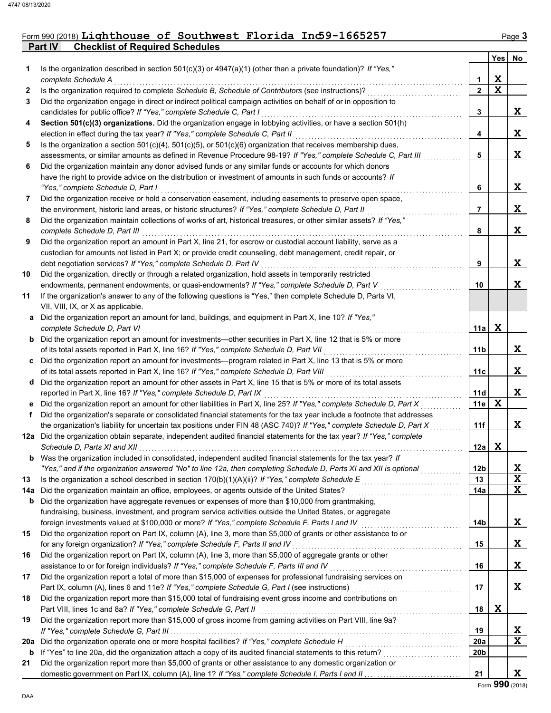## Form 990 (2018) Lighthouse of Southwest Florida Inc59-1665257 Page 3

**Part IV Checklist of Required Schedules**

|        |                                                                                                                                                                                                                           |                       | Yes              | No                                  |
|--------|---------------------------------------------------------------------------------------------------------------------------------------------------------------------------------------------------------------------------|-----------------------|------------------|-------------------------------------|
| 1.     | Is the organization described in section $501(c)(3)$ or $4947(a)(1)$ (other than a private foundation)? If "Yes,"                                                                                                         |                       |                  |                                     |
|        | complete Schedule A<br>Is the organization required to complete Schedule B, Schedule of Contributors (see instructions)?                                                                                                  | 1<br>$\overline{2}$   | X<br>$\mathbf x$ |                                     |
| 2<br>3 | Did the organization engage in direct or indirect political campaign activities on behalf of or in opposition to                                                                                                          |                       |                  |                                     |
|        | candidates for public office? If "Yes," complete Schedule C, Part I                                                                                                                                                       | 3                     |                  | X.                                  |
| 4      | Section 501(c)(3) organizations. Did the organization engage in lobbying activities, or have a section 501(h)                                                                                                             |                       |                  |                                     |
|        | election in effect during the tax year? If "Yes," complete Schedule C, Part II                                                                                                                                            | 4                     |                  | X                                   |
| 5      | Is the organization a section $501(c)(4)$ , $501(c)(5)$ , or $501(c)(6)$ organization that receives membership dues,                                                                                                      |                       |                  |                                     |
|        | assessments, or similar amounts as defined in Revenue Procedure 98-19? If "Yes," complete Schedule C, Part III                                                                                                            | 5                     |                  | X                                   |
| 6      | Did the organization maintain any donor advised funds or any similar funds or accounts for which donors                                                                                                                   |                       |                  |                                     |
|        | have the right to provide advice on the distribution or investment of amounts in such funds or accounts? If                                                                                                               |                       |                  |                                     |
|        | "Yes," complete Schedule D, Part I                                                                                                                                                                                        | 6                     |                  | X                                   |
| 7      | Did the organization receive or hold a conservation easement, including easements to preserve open space,                                                                                                                 |                       |                  |                                     |
|        | the environment, historic land areas, or historic structures? If "Yes," complete Schedule D, Part II                                                                                                                      | 7                     |                  | X                                   |
| 8      | Did the organization maintain collections of works of art, historical treasures, or other similar assets? If "Yes,"                                                                                                       |                       |                  |                                     |
|        | complete Schedule D, Part III                                                                                                                                                                                             | 8                     |                  | X                                   |
| 9      | Did the organization report an amount in Part X, line 21, for escrow or custodial account liability, serve as a                                                                                                           |                       |                  |                                     |
|        | custodian for amounts not listed in Part X; or provide credit counseling, debt management, credit repair, or                                                                                                              |                       |                  |                                     |
|        | debt negotiation services? If "Yes," complete Schedule D, Part IV                                                                                                                                                         | 9                     |                  | X                                   |
| 10     | Did the organization, directly or through a related organization, hold assets in temporarily restricted                                                                                                                   |                       |                  |                                     |
|        | endowments, permanent endowments, or quasi-endowments? If "Yes," complete Schedule D, Part V                                                                                                                              | 10                    |                  | X                                   |
| 11     | If the organization's answer to any of the following questions is "Yes," then complete Schedule D, Parts VI,                                                                                                              |                       |                  |                                     |
|        | VII, VIII, IX, or X as applicable.                                                                                                                                                                                        |                       |                  |                                     |
| a      | Did the organization report an amount for land, buildings, and equipment in Part X, line 10? If "Yes,"                                                                                                                    |                       |                  |                                     |
|        | complete Schedule D, Part VI                                                                                                                                                                                              | 11a                   | X                |                                     |
| b      | Did the organization report an amount for investments—other securities in Part X, line 12 that is 5% or more                                                                                                              |                       |                  |                                     |
|        | of its total assets reported in Part X, line 16? If "Yes," complete Schedule D, Part VII                                                                                                                                  | 11 <sub>b</sub>       |                  | X                                   |
| C      | Did the organization report an amount for investments—program related in Part X, line 13 that is 5% or more                                                                                                               |                       |                  |                                     |
|        | of its total assets reported in Part X, line 16? If "Yes," complete Schedule D, Part VIII                                                                                                                                 | 11c                   |                  | X                                   |
| d      | Did the organization report an amount for other assets in Part X, line 15 that is 5% or more of its total assets                                                                                                          |                       |                  |                                     |
|        | reported in Part X, line 16? If "Yes," complete Schedule D, Part IX                                                                                                                                                       | 11d                   |                  | X                                   |
| е      | Did the organization report an amount for other liabilities in Part X, line 25? If "Yes," complete Schedule D, Part X                                                                                                     | 11e                   | X                |                                     |
| f      | Did the organization's separate or consolidated financial statements for the tax year include a footnote that addresses                                                                                                   |                       |                  |                                     |
|        | the organization's liability for uncertain tax positions under FIN 48 (ASC 740)? If "Yes," complete Schedule D, Part X                                                                                                    | 11f                   |                  | X                                   |
|        | 12a Did the organization obtain separate, independent audited financial statements for the tax year? If "Yes," complete                                                                                                   |                       |                  |                                     |
|        |                                                                                                                                                                                                                           | 12a                   | X                |                                     |
|        | <b>b</b> Was the organization included in consolidated, independent audited financial statements for the tax year? If                                                                                                     |                       |                  |                                     |
| 13     | "Yes," and if the organization answered "No" to line 12a, then completing Schedule D, Parts XI and XII is optional<br>Is the organization a school described in section $170(b)(1)(A)(ii)?$ If "Yes," complete Schedule E | 12 <sub>b</sub><br>13 |                  | <u>x</u><br>$\overline{\mathbf{x}}$ |
| 14a    | Did the organization maintain an office, employees, or agents outside of the United States?                                                                                                                               | 14a                   |                  | X                                   |
| b      | Did the organization have aggregate revenues or expenses of more than \$10,000 from grantmaking,                                                                                                                          |                       |                  |                                     |
|        | fundraising, business, investment, and program service activities outside the United States, or aggregate                                                                                                                 |                       |                  |                                     |
|        | foreign investments valued at \$100,000 or more? If "Yes," complete Schedule F, Parts I and IV                                                                                                                            | 14b                   |                  | X                                   |
| 15     | Did the organization report on Part IX, column (A), line 3, more than \$5,000 of grants or other assistance to or                                                                                                         |                       |                  |                                     |
|        | for any foreign organization? If "Yes," complete Schedule F, Parts II and IV                                                                                                                                              | 15                    |                  | X                                   |
| 16     | Did the organization report on Part IX, column (A), line 3, more than \$5,000 of aggregate grants or other                                                                                                                |                       |                  |                                     |
|        | assistance to or for foreign individuals? If "Yes," complete Schedule F, Parts III and IV                                                                                                                                 | 16                    |                  | X                                   |
| 17     | Did the organization report a total of more than \$15,000 of expenses for professional fundraising services on                                                                                                            |                       |                  |                                     |
|        |                                                                                                                                                                                                                           | 17                    |                  | X                                   |
| 18     | Did the organization report more than \$15,000 total of fundraising event gross income and contributions on                                                                                                               |                       |                  |                                     |
|        | Part VIII, lines 1c and 8a? If "Yes," complete Schedule G, Part II                                                                                                                                                        | 18                    | X                |                                     |
| 19     | Did the organization report more than \$15,000 of gross income from gaming activities on Part VIII, line 9a?                                                                                                              |                       |                  |                                     |
|        | If "Yes," complete Schedule G, Part III                                                                                                                                                                                   | 19                    |                  | X                                   |
| 20a    | Did the organization operate one or more hospital facilities? If "Yes," complete Schedule H                                                                                                                               | 20a                   |                  | $\overline{\mathbf{x}}$             |
| b      |                                                                                                                                                                                                                           | 20b                   |                  |                                     |
| 21     | Did the organization report more than \$5,000 of grants or other assistance to any domestic organization or                                                                                                               |                       |                  |                                     |
|        |                                                                                                                                                                                                                           | 21                    |                  | X.                                  |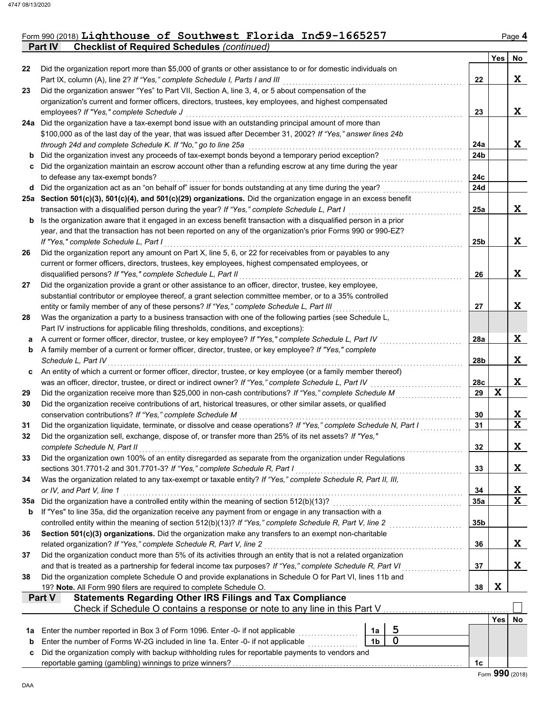### Form 990 (2018) **Lighthouse of Southwest Florida Ind59-1665257** Page 4 **Lighthouse of Southwest Florida Inc59-1665257**

**Part IV Checklist of Required Schedules** *(continued)*

|     |                                                                                                                                                                                                                      |                 | Yes | No          |
|-----|----------------------------------------------------------------------------------------------------------------------------------------------------------------------------------------------------------------------|-----------------|-----|-------------|
| 22  | Did the organization report more than \$5,000 of grants or other assistance to or for domestic individuals on                                                                                                        |                 |     |             |
|     | Part IX, column (A), line 2? If "Yes," complete Schedule I, Parts I and III                                                                                                                                          | 22              |     | X           |
| 23  | Did the organization answer "Yes" to Part VII, Section A, line 3, 4, or 5 about compensation of the                                                                                                                  |                 |     |             |
|     | organization's current and former officers, directors, trustees, key employees, and highest compensated                                                                                                              |                 |     |             |
|     | employees? If "Yes," complete Schedule J                                                                                                                                                                             | 23              |     | X           |
|     | 24a Did the organization have a tax-exempt bond issue with an outstanding principal amount of more than                                                                                                              |                 |     |             |
|     | \$100,000 as of the last day of the year, that was issued after December 31, 2002? If "Yes," answer lines 24b                                                                                                        |                 |     |             |
|     | through 24d and complete Schedule K. If "No," go to line 25a                                                                                                                                                         | 24a             |     | X           |
| b   | Did the organization invest any proceeds of tax-exempt bonds beyond a temporary period exception?                                                                                                                    | 24b             |     |             |
| c   | Did the organization maintain an escrow account other than a refunding escrow at any time during the year                                                                                                            | 24c             |     |             |
|     | to defease any tax-exempt bonds?<br>Did the organization act as an "on behalf of" issuer for bonds outstanding at any time during the year?                                                                          | 24d             |     |             |
| d   | 25a Section 501(c)(3), 501(c)(4), and 501(c)(29) organizations. Did the organization engage in an excess benefit                                                                                                     |                 |     |             |
|     | transaction with a disqualified person during the year? If "Yes," complete Schedule L, Part I                                                                                                                        | 25a             |     | X           |
| b   | Is the organization aware that it engaged in an excess benefit transaction with a disqualified person in a prior                                                                                                     |                 |     |             |
|     | year, and that the transaction has not been reported on any of the organization's prior Forms 990 or 990-EZ?                                                                                                         |                 |     |             |
|     | If "Yes," complete Schedule L, Part I                                                                                                                                                                                | 25b             |     | X           |
| 26  | Did the organization report any amount on Part X, line 5, 6, or 22 for receivables from or payables to any                                                                                                           |                 |     |             |
|     | current or former officers, directors, trustees, key employees, highest compensated employees, or                                                                                                                    |                 |     |             |
|     | disqualified persons? If "Yes," complete Schedule L, Part II                                                                                                                                                         | 26              |     | X           |
| 27  | Did the organization provide a grant or other assistance to an officer, director, trustee, key employee,                                                                                                             |                 |     |             |
|     | substantial contributor or employee thereof, a grant selection committee member, or to a 35% controlled                                                                                                              |                 |     |             |
|     | entity or family member of any of these persons? If "Yes," complete Schedule L, Part III                                                                                                                             | 27              |     | X           |
| 28  | Was the organization a party to a business transaction with one of the following parties (see Schedule L,                                                                                                            |                 |     |             |
|     | Part IV instructions for applicable filing thresholds, conditions, and exceptions):                                                                                                                                  |                 |     |             |
| а   | A current or former officer, director, trustee, or key employee? If "Yes," complete Schedule L, Part IV                                                                                                              | 28a             |     | X           |
| b   | A family member of a current or former officer, director, trustee, or key employee? If "Yes," complete                                                                                                               |                 |     |             |
|     | Schedule L, Part IV                                                                                                                                                                                                  | 28b             |     | X           |
| c   | An entity of which a current or former officer, director, trustee, or key employee (or a family member thereof)                                                                                                      |                 |     |             |
|     | was an officer, director, trustee, or direct or indirect owner? If "Yes," complete Schedule L, Part IV                                                                                                               | 28c             |     | X           |
| 29  | Did the organization receive more than \$25,000 in non-cash contributions? If "Yes," complete Schedule M                                                                                                             | 29              | X   |             |
| 30  | Did the organization receive contributions of art, historical treasures, or other similar assets, or qualified                                                                                                       |                 |     |             |
|     | conservation contributions? If "Yes," complete Schedule M                                                                                                                                                            | 30              |     | X           |
| 31  | Did the organization liquidate, terminate, or dissolve and cease operations? If "Yes," complete Schedule N, Part I                                                                                                   | 31              |     | $\mathbf x$ |
| 32  | Did the organization sell, exchange, dispose of, or transfer more than 25% of its net assets? If "Yes,"                                                                                                              |                 |     |             |
|     | complete Schedule N. Part II                                                                                                                                                                                         | 32              |     | X           |
| 33  | Did the organization own 100% of an entity disregarded as separate from the organization under Regulations                                                                                                           |                 |     |             |
|     | sections 301.7701-2 and 301.7701-3? If "Yes," complete Schedule R, Part I                                                                                                                                            | 33              |     | X           |
| 34  | Was the organization related to any tax-exempt or taxable entity? If "Yes," complete Schedule R, Part II, III,                                                                                                       |                 |     |             |
|     | or IV, and Part V, line 1                                                                                                                                                                                            | 34              |     | X           |
| 35а | Did the organization have a controlled entity within the meaning of section 512(b)(13)?                                                                                                                              | <b>35a</b>      |     | X           |
| b   | If "Yes" to line 35a, did the organization receive any payment from or engage in any transaction with a<br>controlled entity within the meaning of section 512(b)(13)? If "Yes," complete Schedule R, Part V, line 2 | 35 <sub>b</sub> |     |             |
| 36  | Section 501(c)(3) organizations. Did the organization make any transfers to an exempt non-charitable                                                                                                                 |                 |     |             |
|     | related organization? If "Yes," complete Schedule R, Part V, line 2                                                                                                                                                  | 36              |     | X           |
| 37  | Did the organization conduct more than 5% of its activities through an entity that is not a related organization                                                                                                     |                 |     |             |
|     | and that is treated as a partnership for federal income tax purposes? If "Yes," complete Schedule R, Part VI                                                                                                         | 37              |     | X           |
| 38  | Did the organization complete Schedule O and provide explanations in Schedule O for Part VI, lines 11b and                                                                                                           |                 |     |             |
|     | 19? Note. All Form 990 filers are required to complete Schedule O.                                                                                                                                                   | 38              | X   |             |
|     | <b>Statements Regarding Other IRS Filings and Tax Compliance</b><br>Part V                                                                                                                                           |                 |     |             |
|     | Check if Schedule O contains a response or note to any line in this Part V                                                                                                                                           |                 |     |             |
|     |                                                                                                                                                                                                                      |                 | Yes | No          |
| 1а  | 5<br>Enter the number reported in Box 3 of Form 1096. Enter -0- if not applicable<br>1a                                                                                                                              |                 |     |             |
| b   | $\mathbf 0$<br>Enter the number of Forms W-2G included in line 1a. Enter -0- if not applicable<br>1 <sub>b</sub>                                                                                                     |                 |     |             |
| c   | Did the organization comply with backup withholding rules for reportable payments to vendors and                                                                                                                     |                 |     |             |
|     |                                                                                                                                                                                                                      | 1c              |     |             |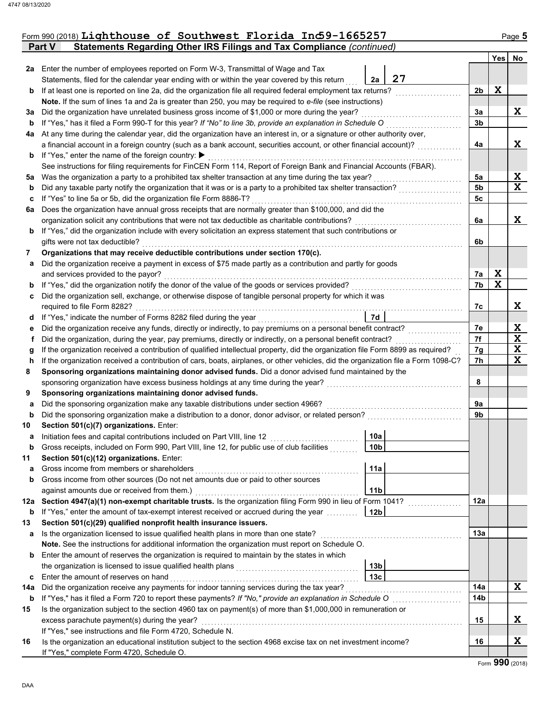|             | Form 990 (2018) Lighthouse of Southwest Florida Ind 9-1665257<br>Statements Regarding Other IRS Filings and Tax Compliance (continued)<br>Part V |                |                         | Page 5                     |
|-------------|--------------------------------------------------------------------------------------------------------------------------------------------------|----------------|-------------------------|----------------------------|
|             |                                                                                                                                                  |                | Yes                     | No                         |
| 2a          | Enter the number of employees reported on Form W-3, Transmittal of Wage and Tax                                                                  |                |                         |                            |
|             | 27<br>Statements, filed for the calendar year ending with or within the year covered by this return<br>2a                                        |                |                         |                            |
| b           | If at least one is reported on line 2a, did the organization file all required federal employment tax returns?                                   | 2b             | X                       |                            |
|             | Note. If the sum of lines 1a and 2a is greater than 250, you may be required to e-file (see instructions)                                        |                |                         |                            |
| За          | Did the organization have unrelated business gross income of \$1,000 or more during the year?                                                    | За             |                         | X                          |
| b           | If "Yes," has it filed a Form 990-T for this year? If "No" to line 3b, provide an explanation in Schedule O                                      | 3b             |                         |                            |
| 4a          | At any time during the calendar year, did the organization have an interest in, or a signature or other authority over,                          |                |                         |                            |
|             | a financial account in a foreign country (such as a bank account, securities account, or other financial account)?                               | 4a             |                         | X                          |
| b           | If "Yes," enter the name of the foreign country: ▶                                                                                               |                |                         |                            |
|             | See instructions for filing requirements for FinCEN Form 114, Report of Foreign Bank and Financial Accounts (FBAR).                              |                |                         |                            |
| 5a          | Was the organization a party to a prohibited tax shelter transaction at any time during the tax year?                                            | 5a             |                         | $\frac{X}{X}$              |
| $\mathbf b$ | Did any taxable party notify the organization that it was or is a party to a prohibited tax shelter transaction?                                 | 5 <sub>b</sub> |                         |                            |
| c           | If "Yes" to line 5a or 5b, did the organization file Form 8886-T?                                                                                | 5c             |                         |                            |
| 6a          | Does the organization have annual gross receipts that are normally greater than \$100,000, and did the                                           |                |                         |                            |
|             | organization solicit any contributions that were not tax deductible as charitable contributions?                                                 | 6a             |                         | X                          |
| b           | If "Yes," did the organization include with every solicitation an express statement that such contributions or                                   |                |                         |                            |
|             | gifts were not tax deductible?                                                                                                                   | 6b             |                         |                            |
| 7           | Organizations that may receive deductible contributions under section 170(c).                                                                    |                |                         |                            |
| а           | Did the organization receive a payment in excess of \$75 made partly as a contribution and partly for goods                                      |                |                         |                            |
|             | and services provided to the payor?                                                                                                              | 7а             | X                       |                            |
| b           | If "Yes," did the organization notify the donor of the value of the goods or services provided?                                                  | 7b             | $\overline{\mathbf{x}}$ |                            |
| c           | Did the organization sell, exchange, or otherwise dispose of tangible personal property for which it was                                         |                |                         |                            |
|             | required to file Form 8282?                                                                                                                      | 7c             |                         | X                          |
| a           | 7d<br>If "Yes," indicate the number of Forms 8282 filed during the year                                                                          |                |                         |                            |
| е           | Did the organization receive any funds, directly or indirectly, to pay premiums on a personal benefit contract?                                  | 7e             |                         |                            |
| Ť.          | Did the organization, during the year, pay premiums, directly or indirectly, on a personal benefit contract?                                     | 7f             |                         |                            |
| g           | If the organization received a contribution of qualified intellectual property, did the organization file Form 8899 as required?                 | 7g             |                         | $rac{X}{X}$<br>$rac{X}{X}$ |
| h           | If the organization received a contribution of cars, boats, airplanes, or other vehicles, did the organization file a Form 1098-C?               | 7h             |                         |                            |
| 8           | Sponsoring organizations maintaining donor advised funds. Did a donor advised fund maintained by the                                             |                |                         |                            |
|             | sponsoring organization have excess business holdings at any time during the year?                                                               | 8              |                         |                            |
| 9           | Sponsoring organizations maintaining donor advised funds.                                                                                        |                |                         |                            |
| а           | Did the sponsoring organization make any taxable distributions under section 4966?                                                               | 9a             |                         |                            |
| b           | Did the sponsoring organization make a distribution to a donor, donor advisor, or related person?                                                | 9b             |                         |                            |
| 10          | Section 501(c)(7) organizations. Enter:                                                                                                          |                |                         |                            |
| а           | 10a<br>Initiation fees and capital contributions included on Part VIII, line 12                                                                  |                |                         |                            |
| b           | 10 <sub>b</sub><br>Gross receipts, included on Form 990, Part VIII, line 12, for public use of club facilities                                   |                |                         |                            |
| 11          | Section 501(c)(12) organizations. Enter:                                                                                                         |                |                         |                            |
| а           | 11a<br>Gross income from members or shareholders                                                                                                 |                |                         |                            |
| b           | Gross income from other sources (Do not net amounts due or paid to other sources                                                                 |                |                         |                            |
|             | against amounts due or received from them.)<br>11 <sub>b</sub>                                                                                   |                |                         |                            |
| 12a         | Section 4947(a)(1) non-exempt charitable trusts. Is the organization filing Form 990 in lieu of Form 1041?                                       | 12a            |                         |                            |
| b           | If "Yes," enter the amount of tax-exempt interest received or accrued during the year<br> 12b                                                    |                |                         |                            |
| 13          | Section 501(c)(29) qualified nonprofit health insurance issuers.                                                                                 |                |                         |                            |
| а           | Is the organization licensed to issue qualified health plans in more than one state?                                                             | 13a            |                         |                            |
|             | Note. See the instructions for additional information the organization must report on Schedule O.                                                |                |                         |                            |

**13b**

Enter the amount of reserves the organization is required to maintain by the states in which the organization is licensed to issue qualified health plans . . . . . . . . . . . . . . . . . . . . . . . . . . . . . . . . . . . . . . .

**b**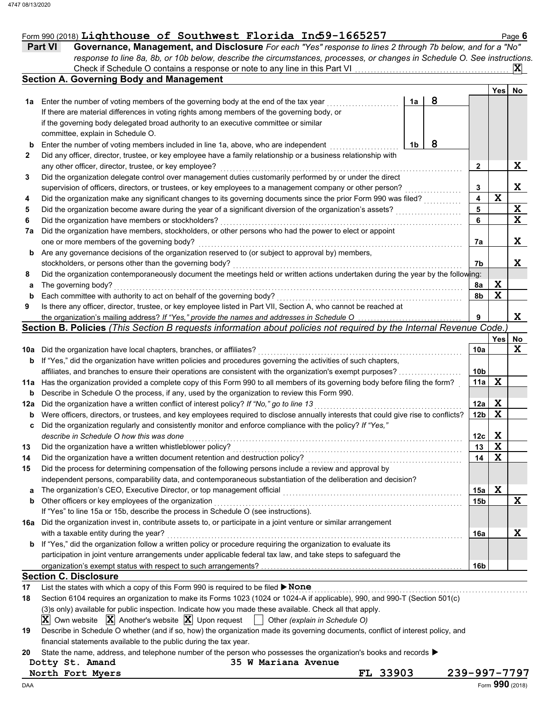|     | Governance, Management, and Disclosure For each "Yes" response to lines 2 through 7b below, and for a "No"<br>Part VI<br>response to line 8a, 8b, or 10b below, describe the circumstances, processes, or changes in Schedule O. See instructions. |    |   |                 |                  |               |
|-----|----------------------------------------------------------------------------------------------------------------------------------------------------------------------------------------------------------------------------------------------------|----|---|-----------------|------------------|---------------|
|     |                                                                                                                                                                                                                                                    |    |   |                 |                  |               |
|     |                                                                                                                                                                                                                                                    |    |   |                 |                  | $ {\bf X} $   |
|     | <b>Section A. Governing Body and Management</b>                                                                                                                                                                                                    |    |   |                 |                  |               |
|     |                                                                                                                                                                                                                                                    |    |   |                 | Yes              | <b>No</b>     |
| 1a  | Enter the number of voting members of the governing body at the end of the tax year                                                                                                                                                                | 1a | 8 |                 |                  |               |
|     | If there are material differences in voting rights among members of the governing body, or                                                                                                                                                         |    |   |                 |                  |               |
|     | if the governing body delegated broad authority to an executive committee or similar                                                                                                                                                               |    |   |                 |                  |               |
|     | committee, explain in Schedule O.                                                                                                                                                                                                                  |    |   |                 |                  |               |
|     | Enter the number of voting members included in line 1a, above, who are independent                                                                                                                                                                 | 1b | 8 |                 |                  |               |
| 2   | Did any officer, director, trustee, or key employee have a family relationship or a business relationship with                                                                                                                                     |    |   |                 |                  |               |
|     | any other officer, director, trustee, or key employee?                                                                                                                                                                                             |    |   | $\mathbf{2}$    |                  | X             |
| 3   | Did the organization delegate control over management duties customarily performed by or under the direct                                                                                                                                          |    |   |                 |                  |               |
|     | supervision of officers, directors, or trustees, or key employees to a management company or other person?                                                                                                                                         |    |   | 3               |                  | X             |
| 4   | Did the organization make any significant changes to its governing documents since the prior Form 990 was filed?                                                                                                                                   |    |   | 4               | $\mathbf x$      |               |
| 5   | Did the organization become aware during the year of a significant diversion of the organization's assets?                                                                                                                                         |    |   | 5               |                  | $\frac{X}{X}$ |
| 6   | Did the organization have members or stockholders?                                                                                                                                                                                                 |    |   | 6               |                  |               |
| 7a  | Did the organization have members, stockholders, or other persons who had the power to elect or appoint                                                                                                                                            |    |   |                 |                  |               |
|     | one or more members of the governing body?                                                                                                                                                                                                         |    |   | 7a              |                  | X             |
| b   | Are any governance decisions of the organization reserved to (or subject to approval by) members,                                                                                                                                                  |    |   |                 |                  |               |
|     | stockholders, or persons other than the governing body?                                                                                                                                                                                            |    |   | 7b              |                  | X             |
| 8   | Did the organization contemporaneously document the meetings held or written actions undertaken during the year by the following:                                                                                                                  |    |   |                 |                  |               |
| a   | The governing body?                                                                                                                                                                                                                                |    |   | 8a              | X<br>$\mathbf x$ |               |
| b   | Each committee with authority to act on behalf of the governing body?<br>Is there any officer, director, trustee, or key employee listed in Part VII, Section A, who cannot be reached at                                                          |    |   | 8b              |                  |               |
| 9   | the organization's mailing address? If "Yes," provide the names and addresses in Schedule O                                                                                                                                                        |    |   | 9               |                  | X             |
|     | Section B. Policies (This Section B requests information about policies not required by the Internal Revenue Code.)                                                                                                                                |    |   |                 |                  |               |
|     |                                                                                                                                                                                                                                                    |    |   |                 | <b>Yes</b>       | No            |
| 10a | Did the organization have local chapters, branches, or affiliates?                                                                                                                                                                                 |    |   | 10a             |                  | $\mathbf x$   |
| b   | If "Yes," did the organization have written policies and procedures governing the activities of such chapters,                                                                                                                                     |    |   |                 |                  |               |
|     | affiliates, and branches to ensure their operations are consistent with the organization's exempt purposes?                                                                                                                                        |    |   | 10b             |                  |               |
|     | Has the organization provided a complete copy of this Form 990 to all members of its governing body before filing the form?                                                                                                                        |    |   | 11a             | X                |               |
| b   | Describe in Schedule O the process, if any, used by the organization to review this Form 990.                                                                                                                                                      |    |   |                 |                  |               |
| 12a | Did the organization have a written conflict of interest policy? If "No," go to line 13                                                                                                                                                            |    |   | 12a             | X                |               |
| b   | Were officers, directors, or trustees, and key employees required to disclose annually interests that could give rise to conflicts?                                                                                                                |    |   | 12 <sub>b</sub> | $\mathbf x$      |               |
| c   | Did the organization regularly and consistently monitor and enforce compliance with the policy? If "Yes,"                                                                                                                                          |    |   |                 |                  |               |
|     | describe in Schedule O how this was done                                                                                                                                                                                                           |    |   | 12 <sub>c</sub> | X                |               |
| 13  | Did the organization have a written whistleblower policy?                                                                                                                                                                                          |    |   | 13              | $\mathbf x$      |               |
| 14  | Did the organization have a written document retention and destruction policy?                                                                                                                                                                     |    |   | 14              | X                |               |

| 17 List the states with which a copy of this Form 990 is required to be filed $\triangleright$ None |  |
|-----------------------------------------------------------------------------------------------------|--|
|                                                                                                     |  |

organization's exempt status with respect to such arrangements?

If "Yes" to line 15a or 15b, describe the process in Schedule O (see instructions).

| 18 | Section 6104 requires an organization to make its Forms 1023 (1024 or 1024-A if applicable), 990, and 990-T (Section 501(c)          |
|----|--------------------------------------------------------------------------------------------------------------------------------------|
|    | (3) only) available for public inspection. Indicate how you made these available. Check all that apply.                              |
|    | <b>X</b> Own website <b>X</b> Another's website <b>X</b> Upon request $\Box$ Other (explain in Schedule O)                           |
| 19 | Describe in Schedule O whether (and if so, how) the organization made its governing documents, conflict of interest policy, and      |
|    | financial statements available to the public during the tax year.                                                                    |
| 20 | State the name, address, and telephone number of the person who possesses the organization's books and records $\blacktriangleright$ |

**a** The organization's CEO, Executive Director, or top management official <sub>…………………………………………………………</sub> **b** Other officers or key employees of the organization **with the contained a set of the organization** 

with a taxable entity during the year? . . . . . . . . . . . . . . . . . . . . . . . . . . . . . . . . . . . . . . . . . . . . . . . . . . . . . . . . . . . . . . . . . . . . . . . . . . . . . . . . . . . . . . . . . . . . . .

**16a** Did the organization invest in, contribute assets to, or participate in a joint venture or similar arrangement

Did the process for determining compensation of the following persons include a review and approval by independent persons, comparability data, and contemporaneous substantiation of the deliberation and decision?

**b** If "Yes," did the organization follow a written policy or procedure requiring the organization to evaluate its

participation in joint venture arrangements under applicable federal tax law, and take steps to safeguard the

| Dotty St. Amand |  |  |
|-----------------|--|--|
|-----------------|--|--|

**North Fort Myers FL 33903 239-997-7797**

**Section C. Disclosure**

**Dotty St. Amand 35 W Mariana Avenue**

**15a 15b** **X**

**X**

**X**

**16a**

**16b**

**15**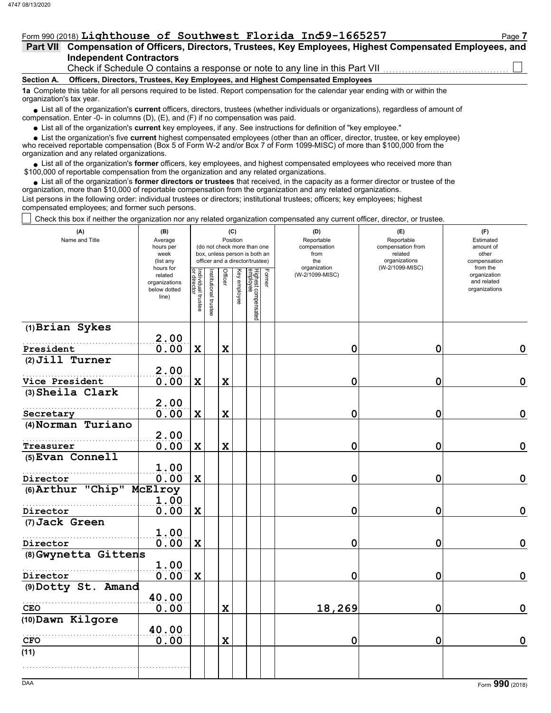### Form 990 (2018) Lighthouse of Southwest Florida Ind59-1665257 Page 7

| Part VII Compensation of Officers, Directors, Trustees, Key Employees, Highest Compensated Employees, and |  |  |                          |
|-----------------------------------------------------------------------------------------------------------|--|--|--------------------------|
| <b>Independent Contractors</b>                                                                            |  |  | $\overline{\phantom{0}}$ |

Check if Schedule O contains a response or note to any line in this Part VII

### **Section A. Officers, Directors, Trustees, Key Employees, and Highest Compensated Employees**

**1a** Complete this table for all persons required to be listed. Report compensation for the calendar year ending with or within the organization's tax year.

■ List all of the organization's **current** officers, directors, trustees (whether individuals or organizations), regardless of amount of compensation. Enter -0- in columns (D), (E), and (F) if no compensation was paid.

● List all of the organization's <mark>current</mark> key employees, if any. See instructions for definition of "key employee."<br>● List the organization's five **current** highest compensated employees (other than an officer, director, • List the organization's five current highest compensated employees (other than an officer, director, trustee, or key employee)

who received reportable compensation (Box 5 of Form W-2 and/or Box 7 of Form 1099-MISC) of more than \$100,000 from the organization and any related organizations.

• List all of the organization's **former** officers, key employees, and highest compensated employees who received more than<br>00,000 of reportable compensation from the organization and any related erganizations. \$100,000 of reportable compensation from the organization and any related organizations.

• List all of the organization's **former directors or trustees** that received, in the capacity as a former director or trustee of the organization, more than \$10,000 of reportable compensation from the organization and any related organizations. List persons in the following order: individual trustees or directors; institutional trustees; officers; key employees; highest compensated employees; and former such persons.

 $\vert\,\,\vert$  Check this box if neither the organization nor any related organization compensated any current officer, director, or trustee.

| (A)<br>Name and Title              | (B)<br>Average<br>hours per<br>week<br>(list any<br>hours for<br>related<br>organizations<br>below dotted<br>line) | Individual trustee<br>or director | Institutional trustee | Officer     | (C)<br>Position<br>Key employee | (do not check more than one<br>box, unless person is both an<br>officer and a director/trustee)<br>Highest compensated<br>employee | Former | (D)<br>Reportable<br>compensation<br>from<br>the<br>organization<br>(W-2/1099-MISC) | (E)<br>Reportable<br>compensation from<br>related<br>organizations<br>(W-2/1099-MISC) | (F)<br>Estimated<br>amount of<br>other<br>compensation<br>from the<br>organization<br>and related<br>organizations |
|------------------------------------|--------------------------------------------------------------------------------------------------------------------|-----------------------------------|-----------------------|-------------|---------------------------------|------------------------------------------------------------------------------------------------------------------------------------|--------|-------------------------------------------------------------------------------------|---------------------------------------------------------------------------------------|--------------------------------------------------------------------------------------------------------------------|
| (1) Brian Sykes                    |                                                                                                                    |                                   |                       |             |                                 |                                                                                                                                    |        |                                                                                     |                                                                                       |                                                                                                                    |
| President                          | 2.00<br>0.00                                                                                                       | $\mathbf x$                       |                       | $\mathbf x$ |                                 |                                                                                                                                    |        | 0                                                                                   | $\mathbf 0$                                                                           | 0                                                                                                                  |
| $(2)$ Jill Turner                  |                                                                                                                    |                                   |                       |             |                                 |                                                                                                                                    |        |                                                                                     |                                                                                       |                                                                                                                    |
|                                    | 2.00                                                                                                               |                                   |                       |             |                                 |                                                                                                                                    |        |                                                                                     |                                                                                       |                                                                                                                    |
| Vice President<br>(3) Sheila Clark | 0.00                                                                                                               | $\mathbf x$                       |                       | $\mathbf x$ |                                 |                                                                                                                                    |        | 0                                                                                   | $\mathbf 0$                                                                           | $\mathbf 0$                                                                                                        |
|                                    | 2.00                                                                                                               |                                   |                       |             |                                 |                                                                                                                                    |        |                                                                                     |                                                                                       |                                                                                                                    |
| Secretary<br>(4) Norman Turiano    | 0.00                                                                                                               | $\mathbf x$                       |                       | $\mathbf x$ |                                 |                                                                                                                                    |        | 0                                                                                   | $\mathbf 0$                                                                           | $\mathbf 0$                                                                                                        |
|                                    | 2.00                                                                                                               |                                   |                       |             |                                 |                                                                                                                                    |        |                                                                                     |                                                                                       |                                                                                                                    |
| Treasurer                          | 0.00                                                                                                               | $\mathbf x$                       |                       | $\mathbf x$ |                                 |                                                                                                                                    |        | 0                                                                                   | 0                                                                                     | $\mathbf 0$                                                                                                        |
| $(5)$ Evan Connell                 | 1.00                                                                                                               |                                   |                       |             |                                 |                                                                                                                                    |        |                                                                                     |                                                                                       |                                                                                                                    |
| Director                           | 0.00                                                                                                               | $\mathbf x$                       |                       |             |                                 |                                                                                                                                    |        | 0                                                                                   | $\mathbf 0$                                                                           | $\mathbf 0$                                                                                                        |
| (6) Arthur "Chip" McElroy          | 1.00                                                                                                               |                                   |                       |             |                                 |                                                                                                                                    |        |                                                                                     |                                                                                       |                                                                                                                    |
| Director                           | 0.00                                                                                                               | $\mathbf x$                       |                       |             |                                 |                                                                                                                                    |        | 0                                                                                   | $\mathbf 0$                                                                           | $\mathbf 0$                                                                                                        |
| (7) Jack Green                     |                                                                                                                    |                                   |                       |             |                                 |                                                                                                                                    |        |                                                                                     |                                                                                       |                                                                                                                    |
| Director                           | 1.00<br>0.00                                                                                                       | $\mathbf x$                       |                       |             |                                 |                                                                                                                                    |        | 0                                                                                   | 0                                                                                     | $\mathbf 0$                                                                                                        |
| (8) Gwynetta Gittens               |                                                                                                                    |                                   |                       |             |                                 |                                                                                                                                    |        |                                                                                     |                                                                                       |                                                                                                                    |
|                                    | 1.00                                                                                                               |                                   |                       |             |                                 |                                                                                                                                    |        |                                                                                     |                                                                                       |                                                                                                                    |
| Director<br>(9) Dotty St. Amand    | 0.00                                                                                                               | $\mathbf x$                       |                       |             |                                 |                                                                                                                                    |        | 0                                                                                   | $\mathbf 0$                                                                           | $\mathbf 0$                                                                                                        |
|                                    | 40.00                                                                                                              |                                   |                       |             |                                 |                                                                                                                                    |        |                                                                                     |                                                                                       |                                                                                                                    |
| <b>CEO</b>                         | 0.00                                                                                                               |                                   |                       | $\mathbf x$ |                                 |                                                                                                                                    |        | 18,269                                                                              | 0                                                                                     | $\mathbf 0$                                                                                                        |
| (10) Dawn Kilgore                  |                                                                                                                    |                                   |                       |             |                                 |                                                                                                                                    |        |                                                                                     |                                                                                       |                                                                                                                    |
|                                    | 40.00                                                                                                              |                                   |                       |             |                                 |                                                                                                                                    |        |                                                                                     |                                                                                       |                                                                                                                    |
| <b>CFO</b>                         | 0.00                                                                                                               |                                   |                       | $\mathbf x$ |                                 |                                                                                                                                    |        | 0                                                                                   | 0                                                                                     | $\mathbf 0$                                                                                                        |
| (11)                               |                                                                                                                    |                                   |                       |             |                                 |                                                                                                                                    |        |                                                                                     |                                                                                       |                                                                                                                    |
|                                    |                                                                                                                    |                                   |                       |             |                                 |                                                                                                                                    |        |                                                                                     |                                                                                       |                                                                                                                    |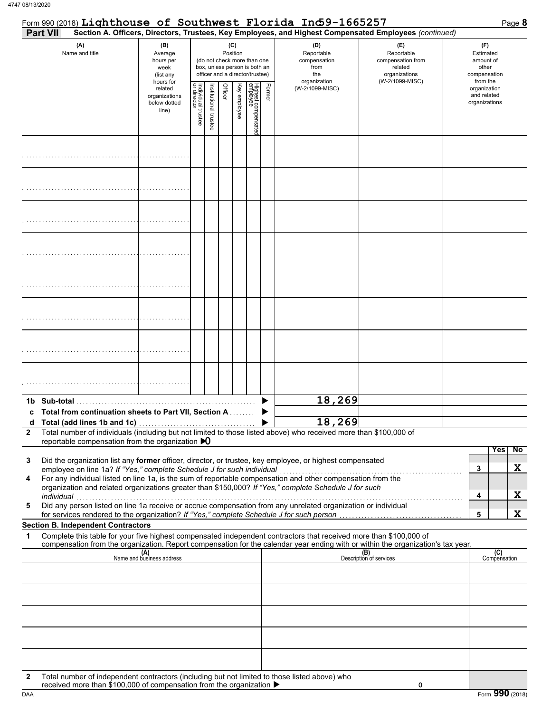| <b>Part VII</b> |                                                                                                                                                                       |                                                               |                                   |                       |         |                 |                                                                                                 |        | Section A. Officers, Directors, Trustees, Key Employees, and Highest Compensated Employees (continued)                                                                                                                                                                                                                           |                                                                                       |                                                                    |
|-----------------|-----------------------------------------------------------------------------------------------------------------------------------------------------------------------|---------------------------------------------------------------|-----------------------------------|-----------------------|---------|-----------------|-------------------------------------------------------------------------------------------------|--------|----------------------------------------------------------------------------------------------------------------------------------------------------------------------------------------------------------------------------------------------------------------------------------------------------------------------------------|---------------------------------------------------------------------------------------|--------------------------------------------------------------------|
|                 | (A)<br>Name and title                                                                                                                                                 | (B)<br>Average<br>hours per<br>week<br>(list any<br>hours for |                                   |                       |         | (C)<br>Position | (do not check more than one<br>box, unless person is both an<br>officer and a director/trustee) |        | (D)<br>Reportable<br>compensation<br>from<br>the<br>organization                                                                                                                                                                                                                                                                 | (E)<br>Reportable<br>compensation from<br>related<br>organizations<br>(W-2/1099-MISC) | (F)<br>Estimated<br>amount of<br>other<br>compensation<br>from the |
|                 |                                                                                                                                                                       | related<br>organizations<br>below dotted<br>line)             | Individual trustee<br>or director | Institutional trustee | Officer | Key employee    | Highest compensatec<br>employee                                                                 | Former | (W-2/1099-MISC)                                                                                                                                                                                                                                                                                                                  |                                                                                       | organization<br>and related<br>organizations                       |
|                 |                                                                                                                                                                       |                                                               |                                   |                       |         |                 |                                                                                                 |        |                                                                                                                                                                                                                                                                                                                                  |                                                                                       |                                                                    |
|                 |                                                                                                                                                                       |                                                               |                                   |                       |         |                 |                                                                                                 |        |                                                                                                                                                                                                                                                                                                                                  |                                                                                       |                                                                    |
|                 |                                                                                                                                                                       |                                                               |                                   |                       |         |                 |                                                                                                 |        |                                                                                                                                                                                                                                                                                                                                  |                                                                                       |                                                                    |
|                 |                                                                                                                                                                       |                                                               |                                   |                       |         |                 |                                                                                                 |        |                                                                                                                                                                                                                                                                                                                                  |                                                                                       |                                                                    |
|                 |                                                                                                                                                                       |                                                               |                                   |                       |         |                 |                                                                                                 |        |                                                                                                                                                                                                                                                                                                                                  |                                                                                       |                                                                    |
|                 |                                                                                                                                                                       |                                                               |                                   |                       |         |                 |                                                                                                 |        |                                                                                                                                                                                                                                                                                                                                  |                                                                                       |                                                                    |
|                 |                                                                                                                                                                       |                                                               |                                   |                       |         |                 |                                                                                                 |        |                                                                                                                                                                                                                                                                                                                                  |                                                                                       |                                                                    |
|                 |                                                                                                                                                                       |                                                               |                                   |                       |         |                 |                                                                                                 |        |                                                                                                                                                                                                                                                                                                                                  |                                                                                       |                                                                    |
|                 | 1b Sub-total<br>c Total from continuation sheets to Part VII, Section A                                                                                               |                                                               |                                   |                       |         |                 |                                                                                                 |        | 18,269                                                                                                                                                                                                                                                                                                                           |                                                                                       |                                                                    |
|                 |                                                                                                                                                                       |                                                               |                                   |                       |         |                 |                                                                                                 |        | 18,269                                                                                                                                                                                                                                                                                                                           |                                                                                       |                                                                    |
| $\mathbf{2}$    | reportable compensation from the organization $\mathbf{D}$                                                                                                            |                                                               |                                   |                       |         |                 |                                                                                                 |        | Total number of individuals (including but not limited to those listed above) who received more than \$100,000 of                                                                                                                                                                                                                |                                                                                       |                                                                    |
| 3<br>4          | employee on line 1a? If "Yes," complete Schedule J for such individual                                                                                                |                                                               |                                   |                       |         |                 |                                                                                                 |        | Did the organization list any former officer, director, or trustee, key employee, or highest compensated<br>For any individual listed on line 1a, is the sum of reportable compensation and other compensation from the<br>organization and related organizations greater than \$150,000? If "Yes," complete Schedule J for such |                                                                                       | Yes<br>$\overline{N}$<br>X<br>3                                    |
| 5               | individual<br>for services rendered to the organization? If "Yes," complete Schedule J for such person                                                                |                                                               |                                   |                       |         |                 |                                                                                                 |        | ndividual<br>Did any person listed on line 1a receive or accrue compensation from any unrelated organization or individual                                                                                                                                                                                                       |                                                                                       | X<br>4<br>X<br>5                                                   |
|                 | <b>Section B. Independent Contractors</b>                                                                                                                             |                                                               |                                   |                       |         |                 |                                                                                                 |        |                                                                                                                                                                                                                                                                                                                                  |                                                                                       |                                                                    |
| 1               |                                                                                                                                                                       |                                                               |                                   |                       |         |                 |                                                                                                 |        | Complete this table for your five highest compensated independent contractors that received more than \$100,000 of<br>compensation from the organization. Report compensation for the calendar year ending with or within the organization's tax year.                                                                           |                                                                                       |                                                                    |
|                 |                                                                                                                                                                       | (A)<br>Name and business address                              |                                   |                       |         |                 |                                                                                                 |        |                                                                                                                                                                                                                                                                                                                                  | (B)<br>Description of services                                                        | (C)<br>Compensation                                                |
|                 |                                                                                                                                                                       |                                                               |                                   |                       |         |                 |                                                                                                 |        |                                                                                                                                                                                                                                                                                                                                  |                                                                                       |                                                                    |
|                 |                                                                                                                                                                       |                                                               |                                   |                       |         |                 |                                                                                                 |        |                                                                                                                                                                                                                                                                                                                                  |                                                                                       |                                                                    |
|                 |                                                                                                                                                                       |                                                               |                                   |                       |         |                 |                                                                                                 |        |                                                                                                                                                                                                                                                                                                                                  |                                                                                       |                                                                    |
|                 |                                                                                                                                                                       |                                                               |                                   |                       |         |                 |                                                                                                 |        |                                                                                                                                                                                                                                                                                                                                  |                                                                                       |                                                                    |
| 2               | Total number of independent contractors (including but not limited to those listed above) who<br>received more than \$100,000 of compensation from the organization ▶ |                                                               |                                   |                       |         |                 |                                                                                                 |        |                                                                                                                                                                                                                                                                                                                                  | 0                                                                                     |                                                                    |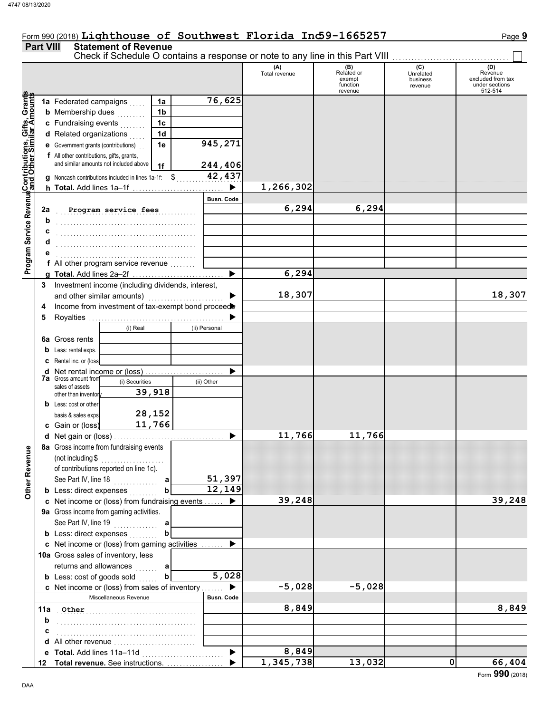## Form 990 (2018) Lighthouse of Southwest Florida Ind59-1665257 Page 9

### **Part VIII Statement of Revenue**

|                                                                                                                                      |     |                                                            |                                                     |                |                       | Check if Schedule O contains a response or note to any line in this Part VIII<br>(A)<br>Total revenue | (B)<br>Related or<br>exempt | (C)<br>Unrelated<br>business | (D)<br>Revenue<br>excluded from tax |
|--------------------------------------------------------------------------------------------------------------------------------------|-----|------------------------------------------------------------|-----------------------------------------------------|----------------|-----------------------|-------------------------------------------------------------------------------------------------------|-----------------------------|------------------------------|-------------------------------------|
|                                                                                                                                      |     |                                                            |                                                     |                |                       |                                                                                                       | function<br>revenue         | revenue                      | under sections<br>512-514           |
|                                                                                                                                      |     | 1a Federated campaigns                                     |                                                     | 1a             | 76,625                |                                                                                                       |                             |                              |                                     |
|                                                                                                                                      |     | <b>b</b> Membership dues                                   |                                                     | 1 <sub>b</sub> |                       |                                                                                                       |                             |                              |                                     |
|                                                                                                                                      |     | c Fundraising events                                       |                                                     | 1c             |                       |                                                                                                       |                             |                              |                                     |
|                                                                                                                                      |     | d Related organizations                                    |                                                     | 1 <sub>d</sub> |                       |                                                                                                       |                             |                              |                                     |
|                                                                                                                                      |     | <b>e</b> Government grants (contributions)                 |                                                     | 1e             | 945,271               |                                                                                                       |                             |                              |                                     |
|                                                                                                                                      |     | f All other contributions, gifts, grants,                  |                                                     |                |                       |                                                                                                       |                             |                              |                                     |
|                                                                                                                                      |     |                                                            | and similar amounts not included above              | 1f             | 244,406               |                                                                                                       |                             |                              |                                     |
|                                                                                                                                      |     |                                                            | g Noncash contributions included in lines 1a-1f: \$ |                | 42, 437               |                                                                                                       |                             |                              |                                     |
|                                                                                                                                      |     |                                                            | h Total. Add lines 1a-1f                            |                | $\blacktriangleright$ | 1,266,302                                                                                             |                             |                              |                                     |
|                                                                                                                                      |     |                                                            |                                                     |                | <b>Busn. Code</b>     |                                                                                                       |                             |                              |                                     |
|                                                                                                                                      | 2a  |                                                            | Program service fees                                |                |                       | 6,294                                                                                                 | 6,294                       |                              |                                     |
|                                                                                                                                      |     |                                                            |                                                     |                |                       |                                                                                                       |                             |                              |                                     |
|                                                                                                                                      |     |                                                            |                                                     |                |                       |                                                                                                       |                             |                              |                                     |
|                                                                                                                                      |     |                                                            |                                                     |                |                       |                                                                                                       |                             |                              |                                     |
|                                                                                                                                      |     |                                                            |                                                     |                |                       |                                                                                                       |                             |                              |                                     |
|                                                                                                                                      |     |                                                            | f All other program service revenue                 |                |                       |                                                                                                       |                             |                              |                                     |
| Program Service Revenu <mark>¢</mark> Contributions, Gifts, Grants<br>Program Service Revenu∮and Other Similar Amount <mark>s</mark> |     |                                                            |                                                     |                | ▶                     | 6,294                                                                                                 |                             |                              |                                     |
|                                                                                                                                      | 3   |                                                            | Investment income (including dividends, interest,   |                |                       |                                                                                                       |                             |                              |                                     |
|                                                                                                                                      |     | and other similar amounts)                                 |                                                     |                |                       | 18,307                                                                                                |                             |                              | 18,307                              |
|                                                                                                                                      |     |                                                            | Income from investment of tax-exempt bond proceed   |                |                       |                                                                                                       |                             |                              |                                     |
|                                                                                                                                      | 4   |                                                            |                                                     |                |                       |                                                                                                       |                             |                              |                                     |
|                                                                                                                                      | 5   |                                                            | (i) Real                                            |                | (ii) Personal         |                                                                                                       |                             |                              |                                     |
|                                                                                                                                      |     |                                                            |                                                     |                |                       |                                                                                                       |                             |                              |                                     |
|                                                                                                                                      | 6a  | Gross rents                                                |                                                     |                |                       |                                                                                                       |                             |                              |                                     |
|                                                                                                                                      | b   | Less: rental exps.                                         |                                                     |                |                       |                                                                                                       |                             |                              |                                     |
|                                                                                                                                      | c   | Rental inc. or (loss)                                      |                                                     |                |                       |                                                                                                       |                             |                              |                                     |
|                                                                                                                                      | d   | Net rental income or (loss)<br><b>7a</b> Gross amount from |                                                     |                |                       |                                                                                                       |                             |                              |                                     |
|                                                                                                                                      |     | sales of assets                                            | (i) Securities                                      | 39,918         | (ii) Other            |                                                                                                       |                             |                              |                                     |
|                                                                                                                                      |     | other than inventory                                       |                                                     |                |                       |                                                                                                       |                             |                              |                                     |
|                                                                                                                                      |     | <b>b</b> Less: cost or other                               |                                                     | 28,152         |                       |                                                                                                       |                             |                              |                                     |
|                                                                                                                                      |     | basis & sales exps.                                        |                                                     | 11,766         |                       |                                                                                                       |                             |                              |                                     |
|                                                                                                                                      |     | c Gain or (loss)                                           |                                                     |                |                       |                                                                                                       | 11,766                      |                              |                                     |
|                                                                                                                                      | d   |                                                            |                                                     |                |                       | 11,766                                                                                                |                             |                              |                                     |
| ₾                                                                                                                                    |     |                                                            | 8a Gross income from fundraising events             |                |                       |                                                                                                       |                             |                              |                                     |
|                                                                                                                                      |     | (not including \$                                          |                                                     |                |                       |                                                                                                       |                             |                              |                                     |
|                                                                                                                                      |     |                                                            | of contributions reported on line 1c).              |                |                       |                                                                                                       |                             |                              |                                     |
| Other Reven                                                                                                                          |     | See Part IV, line 18                                       | .                                                   |                | 51,397<br>12,149      |                                                                                                       |                             |                              |                                     |
|                                                                                                                                      |     | <b>b</b> Less: direct expenses                             |                                                     |                |                       |                                                                                                       |                             |                              |                                     |
|                                                                                                                                      |     |                                                            | c Net income or (loss) from fundraising events      |                |                       | 39,248                                                                                                |                             |                              | 39,248                              |
|                                                                                                                                      |     |                                                            | 9a Gross income from gaming activities.             |                |                       |                                                                                                       |                             |                              |                                     |
|                                                                                                                                      |     |                                                            | See Part IV, line 19                                | a              |                       |                                                                                                       |                             |                              |                                     |
|                                                                                                                                      |     | <b>b</b> Less: direct expenses                             |                                                     | b              |                       |                                                                                                       |                             |                              |                                     |
|                                                                                                                                      |     |                                                            | c Net income or (loss) from gaming activities       |                |                       |                                                                                                       |                             |                              |                                     |
|                                                                                                                                      |     |                                                            | 10a Gross sales of inventory, less                  |                |                       |                                                                                                       |                             |                              |                                     |
|                                                                                                                                      |     | returns and allowances                                     |                                                     | а<br>a a a a a |                       |                                                                                                       |                             |                              |                                     |
|                                                                                                                                      |     | <b>b</b> Less: cost of goods sold                          |                                                     | b              | 5,028                 |                                                                                                       |                             |                              |                                     |
|                                                                                                                                      |     |                                                            | c Net income or (loss) from sales of inventory      |                |                       | $-5,028$                                                                                              | $-5,028$                    |                              |                                     |
|                                                                                                                                      |     |                                                            | Miscellaneous Revenue                               |                | <b>Busn. Code</b>     |                                                                                                       |                             |                              |                                     |
|                                                                                                                                      | 11a | Other                                                      |                                                     |                |                       | 8,849                                                                                                 |                             |                              | 8,849                               |
|                                                                                                                                      | b   |                                                            |                                                     |                |                       |                                                                                                       |                             |                              |                                     |
|                                                                                                                                      | c   |                                                            |                                                     |                |                       |                                                                                                       |                             |                              |                                     |
|                                                                                                                                      | d   |                                                            | All other revenue                                   |                |                       |                                                                                                       |                             |                              |                                     |
|                                                                                                                                      | е   | Total. Add lines 11a-11d                                   |                                                     |                |                       | 8,849                                                                                                 |                             |                              |                                     |
|                                                                                                                                      | 12  |                                                            | Total revenue. See instructions.                    |                |                       | $\overline{1,}345,738$                                                                                | 13,032                      | 0                            | 66,404                              |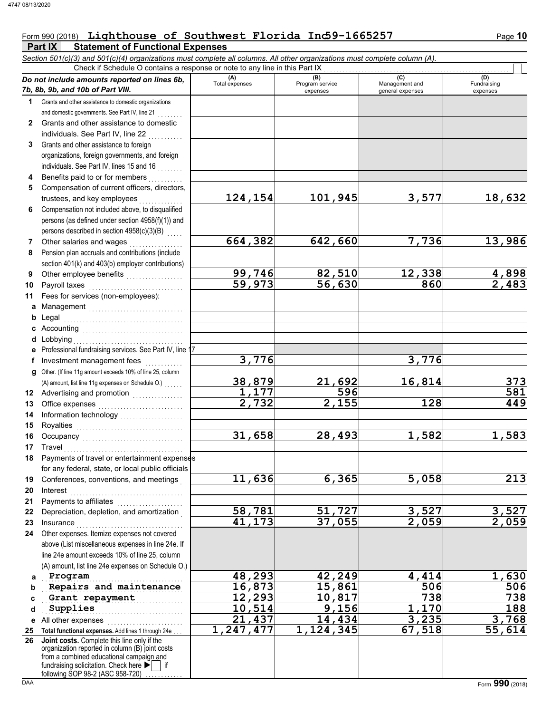## Form 990 (2018) Lighthouse of Southwest Florida Ind59-1665257 Page 10

**Part IX Statement of Functional Expenses**

|              | Section 501(c)(3) and 501(c)(4) organizations must complete all columns. All other organizations must complete column (A).<br>Check if Schedule O contains a response or note to any line in this Part IX                      |                |                             |                                    |                         |
|--------------|--------------------------------------------------------------------------------------------------------------------------------------------------------------------------------------------------------------------------------|----------------|-----------------------------|------------------------------------|-------------------------|
|              | Do not include amounts reported on lines 6b,                                                                                                                                                                                   | (A)            | (B)                         | (C)                                | (D)                     |
|              | 7b, 8b, 9b, and 10b of Part VIII.                                                                                                                                                                                              | Total expenses | Program service<br>expenses | Management and<br>general expenses | Fundraising<br>expenses |
| 1            | Grants and other assistance to domestic organizations                                                                                                                                                                          |                |                             |                                    |                         |
|              | and domestic governments. See Part IV, line 21                                                                                                                                                                                 |                |                             |                                    |                         |
| $\mathbf{2}$ | Grants and other assistance to domestic                                                                                                                                                                                        |                |                             |                                    |                         |
|              | individuals. See Part IV, line 22                                                                                                                                                                                              |                |                             |                                    |                         |
| 3            | Grants and other assistance to foreign                                                                                                                                                                                         |                |                             |                                    |                         |
|              | organizations, foreign governments, and foreign                                                                                                                                                                                |                |                             |                                    |                         |
|              | individuals. See Part IV, lines 15 and 16                                                                                                                                                                                      |                |                             |                                    |                         |
|              | Benefits paid to or for members                                                                                                                                                                                                |                |                             |                                    |                         |
| 5            | Compensation of current officers, directors,                                                                                                                                                                                   |                |                             |                                    |                         |
|              | trustees, and key employees                                                                                                                                                                                                    | 124,154        | 101,945                     | 3,577                              | 18,632                  |
| 6            | Compensation not included above, to disqualified                                                                                                                                                                               |                |                             |                                    |                         |
|              | persons (as defined under section 4958(f)(1)) and                                                                                                                                                                              |                |                             |                                    |                         |
|              | persons described in section 4958(c)(3)(B)                                                                                                                                                                                     |                |                             |                                    |                         |
| 7            | Other salaries and wages                                                                                                                                                                                                       | 664,382        | 642,660                     | 7,736                              | 13,986                  |
| 8            | Pension plan accruals and contributions (include                                                                                                                                                                               |                |                             |                                    |                         |
|              | section 401(k) and 403(b) employer contributions)                                                                                                                                                                              | 99,746         | 82,510                      | 12,338                             |                         |
| 9            | Other employee benefits                                                                                                                                                                                                        | 59,973         | $\overline{56}$ , 630       | 860                                | $\frac{4,898}{2,483}$   |
| 10<br>11     | Payroll taxes<br>Fees for services (non-employees):                                                                                                                                                                            |                |                             |                                    |                         |
| a            |                                                                                                                                                                                                                                |                |                             |                                    |                         |
| b            | Management<br>Legal                                                                                                                                                                                                            |                |                             |                                    |                         |
| c            |                                                                                                                                                                                                                                |                |                             |                                    |                         |
| d            | Lobbying                                                                                                                                                                                                                       |                |                             |                                    |                         |
| е            | Professional fundraising services. See Part IV, line 17                                                                                                                                                                        |                |                             |                                    |                         |
| f            | Investment management fees                                                                                                                                                                                                     | 3,776          |                             | 3,776                              |                         |
| g            | Other. (If line 11g amount exceeds 10% of line 25, column                                                                                                                                                                      |                |                             |                                    |                         |
|              | (A) amount, list line 11g expenses on Schedule O.)                                                                                                                                                                             | 38,879         |                             | 16,814                             | 373                     |
| 12           | Advertising and promotion [1] [1] [1] Advertising and promotion                                                                                                                                                                | 1,177          | $\frac{21,692}{596}$        |                                    | 581                     |
| 13           |                                                                                                                                                                                                                                | 2,732          | 2,155                       | 128                                | 449                     |
| 14           | Information technology<br>                                                                                                                                                                                                     |                |                             |                                    |                         |
| 15           |                                                                                                                                                                                                                                |                |                             |                                    |                         |
| 16           | Occupancy will be contained a series of the contact of the contact of the contact of the contact of the contact of the contact of the contact of the contact of the contact of the contact of the contact of the contact of th | 31,658         | 28,493                      | 1,582                              | 1,583                   |
| 17           | Travel                                                                                                                                                                                                                         |                |                             |                                    |                         |
| 18           | Payments of travel or entertainment expenses                                                                                                                                                                                   |                |                             |                                    |                         |
|              | for any federal, state, or local public officials                                                                                                                                                                              |                |                             |                                    |                         |
| 19           | Conferences, conventions, and meetings                                                                                                                                                                                         | 11,636         | 6,365                       | 5,058                              | 213                     |
| 20           | Interest                                                                                                                                                                                                                       |                |                             |                                    |                         |
| 21           | Payments to affiliates                                                                                                                                                                                                         |                |                             |                                    |                         |
| 22           | Depreciation, depletion, and amortization                                                                                                                                                                                      | 58,781         | 51,727                      | 3,527                              | $\frac{3,527}{2,059}$   |
| 23           | Insurance <b>Committee Committee Committee Committee</b>                                                                                                                                                                       | 41,173         | 37,055                      | 2,059                              |                         |
| 24           | Other expenses. Itemize expenses not covered                                                                                                                                                                                   |                |                             |                                    |                         |
|              | above (List miscellaneous expenses in line 24e. If<br>line 24e amount exceeds 10% of line 25, column                                                                                                                           |                |                             |                                    |                         |
|              | (A) amount, list line 24e expenses on Schedule O.)                                                                                                                                                                             |                |                             |                                    |                         |
| a            | Program                                                                                                                                                                                                                        | 48,293         | 42,249                      | 4,414                              | 1,630                   |
| b            | Repairs and maintenance                                                                                                                                                                                                        | 16,873         | 15,861                      | 506                                | 506                     |
| C            | Grant repayment                                                                                                                                                                                                                | 12, 293        | 10,817                      | 738                                | 738                     |
| d            | Supplies                                                                                                                                                                                                                       | 10,514         | 9,156                       | 1,170                              | 188                     |
| е            | All other expenses                                                                                                                                                                                                             | 21,437         | 14,434                      | 3,235                              | 3,768                   |
| 25           | Total functional expenses. Add lines 1 through 24e                                                                                                                                                                             | 1,247,477      | 1,124,345                   | 67,518                             | 55,614                  |
| 26           | Joint costs. Complete this line only if the                                                                                                                                                                                    |                |                             |                                    |                         |
|              | organization reported in column (B) joint costs<br>from a combined educational campaign and                                                                                                                                    |                |                             |                                    |                         |
|              | fundraising solicitation. Check here $\blacktriangleright$   if                                                                                                                                                                |                |                             |                                    |                         |
|              | following SOP 98-2 (ASC 958-720)                                                                                                                                                                                               |                |                             |                                    |                         |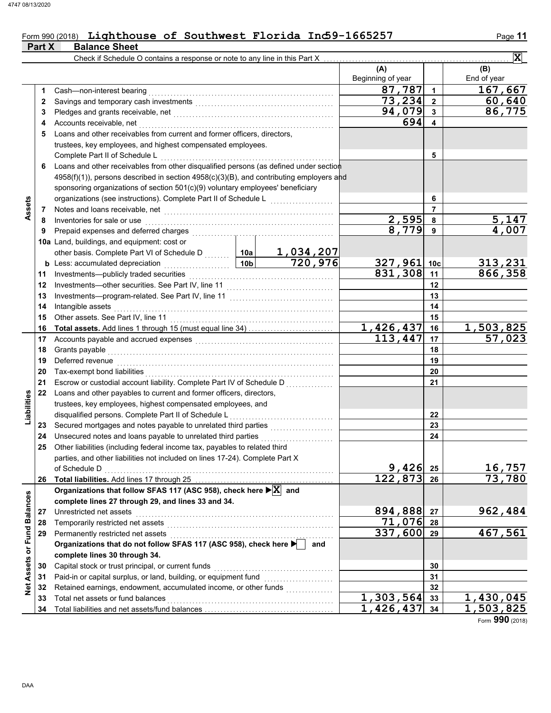### Form 990 (2018) Lighthouse of Southwest Florida Ind59-1665257 Page 11 **Part X** Balance Sheet

|                             |    | Check if Schedule O contains a response or note to any line in this Part X                            |                                                                                                                |                |                          |                 | $\overline{\mathbf{x}}$ |
|-----------------------------|----|-------------------------------------------------------------------------------------------------------|----------------------------------------------------------------------------------------------------------------|----------------|--------------------------|-----------------|-------------------------|
|                             |    |                                                                                                       |                                                                                                                |                | (A)<br>Beginning of year |                 | (B)<br>End of year      |
|                             | 1  | Cash-non-interest bearing                                                                             |                                                                                                                |                | 87,787                   | $\mathbf{1}$    | 167,667                 |
|                             | 2  |                                                                                                       |                                                                                                                |                | 73,234                   | $\mathbf 2$     | 60,640                  |
|                             | 3  |                                                                                                       |                                                                                                                |                | 94,079                   | 3               | 86,775                  |
|                             | 4  | Accounts receivable, net                                                                              |                                                                                                                |                | 694                      | 4               |                         |
|                             | 5  | Loans and other receivables from current and former officers, directors,                              |                                                                                                                |                |                          |                 |                         |
|                             |    | trustees, key employees, and highest compensated employees.                                           |                                                                                                                |                |                          |                 |                         |
|                             |    | Complete Part II of Schedule L                                                                        |                                                                                                                |                |                          | 5               |                         |
|                             | 6  | Loans and other receivables from other disqualified persons (as defined under section                 |                                                                                                                |                |                          |                 |                         |
|                             |    | 4958(f)(1)), persons described in section 4958(c)(3)(B), and contributing employers and               |                                                                                                                |                |                          |                 |                         |
|                             |    | sponsoring organizations of section 501(c)(9) voluntary employees' beneficiary                        |                                                                                                                |                |                          |                 |                         |
|                             |    | organizations (see instructions). Complete Part II of Schedule L                                      |                                                                                                                | 6              |                          |                 |                         |
| Assets                      | 7  |                                                                                                       |                                                                                                                | $\overline{7}$ |                          |                 |                         |
|                             | 8  | Inventories for sale or use                                                                           |                                                                                                                |                | 2,595                    | 8               | 5,147                   |
|                             | 9  | Prepaid expenses and deferred charges                                                                 |                                                                                                                |                | 8,779                    | 9               | 4,007                   |
|                             |    | 10a Land, buildings, and equipment: cost or                                                           |                                                                                                                |                |                          |                 |                         |
|                             |    | other basis. Complete Part VI of Schedule D                                                           | 10a                                                                                                            | 1,034,207      |                          |                 |                         |
|                             |    | <b>b</b> Less: accumulated depreciation<br>.                                                          | 10 <sub>b</sub>                                                                                                | 720,976        | 327,961                  | 10 <sub>c</sub> | 313,231                 |
|                             | 11 | Investments-publicly traded securities                                                                |                                                                                                                |                | $831,308$ 11             |                 | 866,358                 |
|                             | 12 | Investments-other securities. See Part IV, line 11                                                    |                                                                                                                |                |                          | 12              |                         |
|                             | 13 | Investments-program-related. See Part IV, line 11                                                     |                                                                                                                | 13             |                          |                 |                         |
|                             | 14 | Intangible assets                                                                                     |                                                                                                                | 14             |                          |                 |                         |
|                             | 15 | Other assets. See Part IV, line 11                                                                    |                                                                                                                |                |                          | 15              |                         |
|                             | 16 |                                                                                                       |                                                                                                                |                | 1,426,437                | 16              | <u>1,503,825</u>        |
|                             | 17 | Accounts payable and accrued expenses                                                                 |                                                                                                                |                | 113,447                  | 17              | 57,023                  |
|                             | 18 | Grants payable                                                                                        |                                                                                                                |                |                          | 18              |                         |
|                             | 19 | Deferred revenue                                                                                      |                                                                                                                |                |                          | 19              |                         |
|                             | 20 | Tax-exempt bond liabilities                                                                           |                                                                                                                |                |                          | 20              |                         |
|                             | 21 | Escrow or custodial account liability. Complete Part IV of Schedule D                                 |                                                                                                                |                |                          | 21              |                         |
|                             | 22 | Loans and other payables to current and former officers, directors,                                   |                                                                                                                |                |                          |                 |                         |
| Liabilities                 |    | trustees, key employees, highest compensated employees, and                                           |                                                                                                                |                |                          |                 |                         |
|                             |    | disqualified persons. Complete Part II of Schedule L                                                  |                                                                                                                |                |                          | 22              |                         |
|                             | 23 | Secured mortgages and notes payable to unrelated third parties                                        |                                                                                                                |                |                          | 23              |                         |
|                             | 24 | Unsecured notes and loans payable to unrelated third parties                                          |                                                                                                                |                |                          | 24              |                         |
|                             | 25 | Other liabilities (including federal income tax, payables to related third                            |                                                                                                                |                |                          |                 |                         |
|                             |    | parties, and other liabilities not included on lines 17-24). Complete Part X                          |                                                                                                                |                |                          |                 |                         |
|                             |    | of Schedule D                                                                                         |                                                                                                                |                | 9,426                    | 25              | 16,757                  |
|                             | 26 |                                                                                                       |                                                                                                                |                | 122,873                  | 26              | $\overline{73}$ , 780   |
|                             |    | Organizations that follow SFAS 117 (ASC 958), check here $\blacktriangleright$ $\boxed{\text{X}}$ and |                                                                                                                |                |                          |                 |                         |
|                             |    | complete lines 27 through 29, and lines 33 and 34.                                                    |                                                                                                                |                |                          |                 |                         |
|                             | 27 | Unrestricted net assets                                                                               |                                                                                                                |                | 894,888                  | 27              | 962,484                 |
|                             | 28 | Temporarily restricted net assets                                                                     | a se de la construcción de la construcción de la construcción de la construcción de la construcción de la cons |                | 71,076                   | 28              |                         |
|                             | 29 | Permanently restricted net assets                                                                     |                                                                                                                | 337,600        | 29                       | 467,561         |                         |
|                             |    | Organizations that do not follow SFAS 117 (ASC 958), check here                                       | and                                                                                                            |                |                          |                 |                         |
|                             |    | complete lines 30 through 34.                                                                         |                                                                                                                |                |                          |                 |                         |
|                             | 30 | Capital stock or trust principal, or current funds                                                    |                                                                                                                |                | 30                       |                 |                         |
| Net Assets or Fund Balances | 31 | Paid-in or capital surplus, or land, building, or equipment fund                                      |                                                                                                                |                | 31                       |                 |                         |
|                             | 32 | Retained earnings, endowment, accumulated income, or other funds                                      |                                                                                                                |                |                          | 32              |                         |
|                             | 33 | Total net assets or fund balances                                                                     |                                                                                                                |                | 1,303,564                | 33              | 1,430,045               |
|                             | 34 |                                                                                                       |                                                                                                                |                | 1,426,437                | 34              | 1,503,825               |

Form **990** (2018)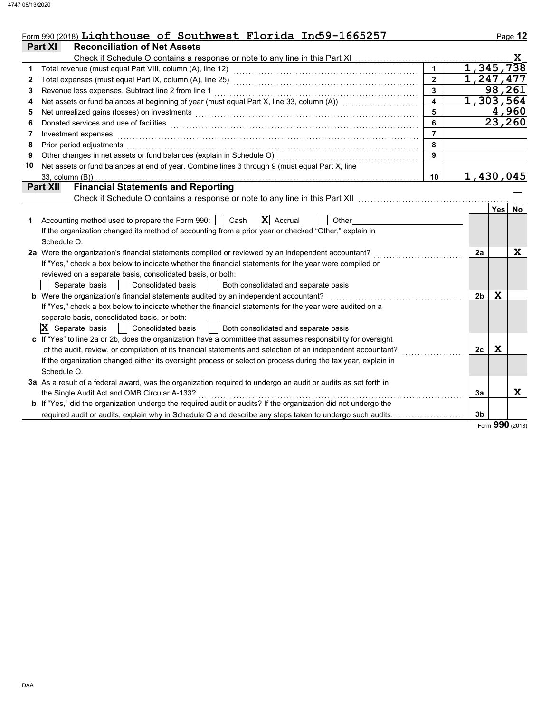|    | Form 990 (2018) Lighthouse of Southwest Florida In $\Phi$ 9-1665257                                                                                                                                                           |                |                |             | Page 12                 |
|----|-------------------------------------------------------------------------------------------------------------------------------------------------------------------------------------------------------------------------------|----------------|----------------|-------------|-------------------------|
|    | <b>Reconciliation of Net Assets</b><br><b>Part XI</b>                                                                                                                                                                         |                |                |             |                         |
|    |                                                                                                                                                                                                                               |                |                |             | $\overline{\mathbf{x}}$ |
| 1  |                                                                                                                                                                                                                               |                | 1,345,738      |             |                         |
| 2  |                                                                                                                                                                                                                               |                | 1,247,477      |             |                         |
| 3  | Revenue less expenses. Subtract line 2 from line 1                                                                                                                                                                            |                |                |             | 98,261                  |
| 4  | Net assets or fund balances at beginning of year (must equal Part X, line 33, column (A)) [[[[[[[[[[[[[[[[[[[                                                                                                                 |                | 1,303,564      |             |                         |
| 5  | Net unrealized gains (losses) on investments [11] with the content of the content of the state of the content of the content of the content of the content of the content of the content of the content of the content of the |                |                |             | 4,960                   |
| 6  | Donated services and use of facilities <b>constructs</b> and a service of the service of the services and use of facilities                                                                                                   | 6              |                |             | 23,260                  |
| 7  | Investment expenses                                                                                                                                                                                                           | $\overline{7}$ |                |             |                         |
| 8  | Prior period adjustments                                                                                                                                                                                                      | 8              |                |             |                         |
| 9  | Other changes in net assets or fund balances (explain in Schedule O)                                                                                                                                                          | 9              |                |             |                         |
| 10 | Net assets or fund balances at end of year. Combine lines 3 through 9 (must equal Part X, line                                                                                                                                |                |                |             |                         |
|    | 33, column (B))                                                                                                                                                                                                               | 10             | 1,430,045      |             |                         |
|    | <b>Financial Statements and Reporting</b><br>Part XII                                                                                                                                                                         |                |                |             |                         |
|    |                                                                                                                                                                                                                               |                |                |             |                         |
|    |                                                                                                                                                                                                                               |                |                | <b>Yes</b>  | <b>No</b>               |
| 1  | $ \mathbf{X} $ Accrual<br>Accounting method used to prepare the Form 990:<br>Cash<br>Other                                                                                                                                    |                |                |             |                         |
|    | If the organization changed its method of accounting from a prior year or checked "Other," explain in                                                                                                                         |                |                |             |                         |
|    | Schedule O.                                                                                                                                                                                                                   |                |                |             |                         |
|    | 2a Were the organization's financial statements compiled or reviewed by an independent accountant?                                                                                                                            |                | 2a             |             | X                       |
|    | If "Yes," check a box below to indicate whether the financial statements for the year were compiled or                                                                                                                        |                |                |             |                         |
|    | reviewed on a separate basis, consolidated basis, or both:                                                                                                                                                                    |                |                |             |                         |
|    | Separate basis<br><b>Consolidated basis</b><br>Both consolidated and separate basis                                                                                                                                           |                |                |             |                         |
|    | <b>b</b> Were the organization's financial statements audited by an independent accountant?                                                                                                                                   |                | 2 <sub>b</sub> | X           |                         |
|    | If "Yes," check a box below to indicate whether the financial statements for the year were audited on a                                                                                                                       |                |                |             |                         |
|    | separate basis, consolidated basis, or both:                                                                                                                                                                                  |                |                |             |                         |
|    | $ \mathbf{X} $ Separate basis<br><b>Consolidated basis</b><br>Both consolidated and separate basis                                                                                                                            |                |                |             |                         |
|    | c If "Yes" to line 2a or 2b, does the organization have a committee that assumes responsibility for oversight                                                                                                                 |                |                |             |                         |
|    | of the audit, review, or compilation of its financial statements and selection of an independent accountant?                                                                                                                  |                | 2с             | $\mathbf x$ |                         |
|    | If the organization changed either its oversight process or selection process during the tax year, explain in                                                                                                                 |                |                |             |                         |
|    | Schedule O.                                                                                                                                                                                                                   |                |                |             |                         |
|    | 3a As a result of a federal award, was the organization required to undergo an audit or audits as set forth in                                                                                                                |                |                |             |                         |
|    | the Single Audit Act and OMB Circular A-133?                                                                                                                                                                                  |                | 3a             |             | X                       |
|    | b If "Yes," did the organization undergo the required audit or audits? If the organization did not undergo the                                                                                                                |                |                |             |                         |
|    | required audit or audits, explain why in Schedule O and describe any steps taken to undergo such audits.                                                                                                                      |                | 3 <sub>b</sub> |             |                         |
|    |                                                                                                                                                                                                                               |                |                |             |                         |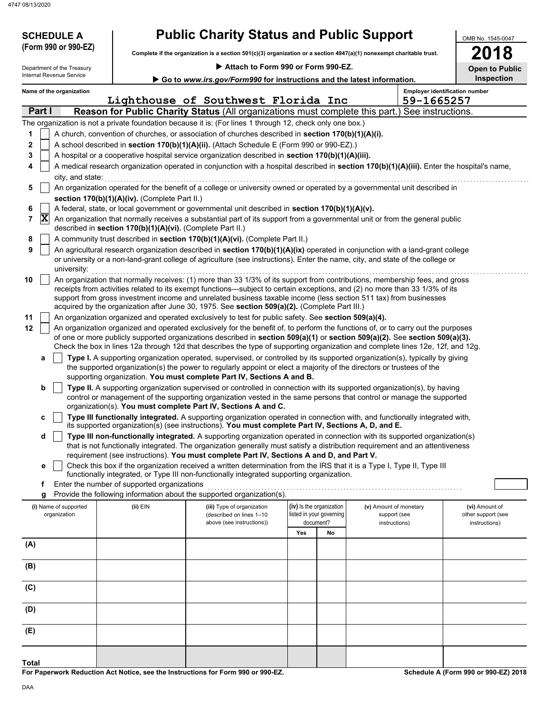47

| <b>SCHEDULE A</b>                |                                                            | <b>Public Charity Status and Public Support</b>                                                                          |     |                                       |                                                                                                                                                                                                                                                                 | OMB No. 1545-0047                   |
|----------------------------------|------------------------------------------------------------|--------------------------------------------------------------------------------------------------------------------------|-----|---------------------------------------|-----------------------------------------------------------------------------------------------------------------------------------------------------------------------------------------------------------------------------------------------------------------|-------------------------------------|
| (Form 990 or 990-EZ)             |                                                            | Complete if the organization is a section $501(c)(3)$ organization or a section $4947(a)(1)$ nonexempt charitable trust. |     |                                       |                                                                                                                                                                                                                                                                 | 18<br>20                            |
| Department of the Treasury       |                                                            | Attach to Form 990 or Form 990-EZ.                                                                                       |     |                                       |                                                                                                                                                                                                                                                                 | <b>Open to Public</b>               |
| Internal Revenue Service         |                                                            | Go to www.irs.gov/Form990 for instructions and the latest information.                                                   |     |                                       |                                                                                                                                                                                                                                                                 | Inspection                          |
| Name of the organization         |                                                            |                                                                                                                          |     |                                       | <b>Employer identification number</b>                                                                                                                                                                                                                           |                                     |
|                                  |                                                            | Lighthouse of Southwest Florida Inc                                                                                      |     |                                       | 59-1665257                                                                                                                                                                                                                                                      |                                     |
| Part I                           |                                                            |                                                                                                                          |     |                                       | Reason for Public Charity Status (All organizations must complete this part.) See instructions.                                                                                                                                                                 |                                     |
|                                  |                                                            | The organization is not a private foundation because it is: (For lines 1 through 12, check only one box.)                |     |                                       |                                                                                                                                                                                                                                                                 |                                     |
| 1                                |                                                            | A church, convention of churches, or association of churches described in section 170(b)(1)(A)(i).                       |     |                                       |                                                                                                                                                                                                                                                                 |                                     |
| $\mathbf 2$                      |                                                            | A school described in section 170(b)(1)(A)(ii). (Attach Schedule E (Form 990 or 990-EZ).)                                |     |                                       |                                                                                                                                                                                                                                                                 |                                     |
| 3                                |                                                            | A hospital or a cooperative hospital service organization described in section 170(b)(1)(A)(iii).                        |     |                                       |                                                                                                                                                                                                                                                                 |                                     |
| 4<br>city, and state:            |                                                            |                                                                                                                          |     |                                       | A medical research organization operated in conjunction with a hospital described in section 170(b)(1)(A)(iii). Enter the hospital's name,                                                                                                                      |                                     |
| 5                                |                                                            |                                                                                                                          |     |                                       | An organization operated for the benefit of a college or university owned or operated by a governmental unit described in                                                                                                                                       |                                     |
|                                  | section 170(b)(1)(A)(iv). (Complete Part II.)              |                                                                                                                          |     |                                       |                                                                                                                                                                                                                                                                 |                                     |
| 6                                |                                                            | A federal, state, or local government or governmental unit described in section 170(b)(1)(A)(v).                         |     |                                       |                                                                                                                                                                                                                                                                 |                                     |
| $ \mathbf{X} $<br>$\overline{7}$ |                                                            |                                                                                                                          |     |                                       | An organization that normally receives a substantial part of its support from a governmental unit or from the general public                                                                                                                                    |                                     |
|                                  | described in section 170(b)(1)(A)(vi). (Complete Part II.) |                                                                                                                          |     |                                       |                                                                                                                                                                                                                                                                 |                                     |
| 8                                |                                                            | A community trust described in section 170(b)(1)(A)(vi). (Complete Part II.)                                             |     |                                       |                                                                                                                                                                                                                                                                 |                                     |
| 9                                |                                                            |                                                                                                                          |     |                                       | An agricultural research organization described in section 170(b)(1)(A)(ix) operated in conjunction with a land-grant college                                                                                                                                   |                                     |
| university:                      |                                                            |                                                                                                                          |     |                                       | or university or a non-land-grant college of agriculture (see instructions). Enter the name, city, and state of the college or                                                                                                                                  |                                     |
| 10                               |                                                            |                                                                                                                          |     |                                       | An organization that normally receives: (1) more than 33 1/3% of its support from contributions, membership fees, and gross                                                                                                                                     |                                     |
|                                  |                                                            |                                                                                                                          |     |                                       | receipts from activities related to its exempt functions—subject to certain exceptions, and (2) no more than 33 1/3% of its                                                                                                                                     |                                     |
|                                  |                                                            |                                                                                                                          |     |                                       | support from gross investment income and unrelated business taxable income (less section 511 tax) from businesses                                                                                                                                               |                                     |
|                                  |                                                            | acquired by the organization after June 30, 1975. See section 509(a)(2). (Complete Part III.)                            |     |                                       |                                                                                                                                                                                                                                                                 |                                     |
| 11                               |                                                            | An organization organized and operated exclusively to test for public safety. See section 509(a)(4).                     |     |                                       |                                                                                                                                                                                                                                                                 |                                     |
| 12                               |                                                            |                                                                                                                          |     |                                       | An organization organized and operated exclusively for the benefit of, to perform the functions of, or to carry out the purposes<br>of one or more publicly supported organizations described in section 509(a)(1) or section 509(a)(2). See section 509(a)(3). |                                     |
|                                  |                                                            |                                                                                                                          |     |                                       | Check the box in lines 12a through 12d that describes the type of supporting organization and complete lines 12e, 12f, and 12g.                                                                                                                                 |                                     |
| а                                |                                                            |                                                                                                                          |     |                                       | Type I. A supporting organization operated, supervised, or controlled by its supported organization(s), typically by giving                                                                                                                                     |                                     |
|                                  |                                                            | the supported organization(s) the power to regularly appoint or elect a majority of the directors or trustees of the     |     |                                       |                                                                                                                                                                                                                                                                 |                                     |
|                                  |                                                            | supporting organization. You must complete Part IV, Sections A and B.                                                    |     |                                       |                                                                                                                                                                                                                                                                 |                                     |
| b                                |                                                            |                                                                                                                          |     |                                       | Type II. A supporting organization supervised or controlled in connection with its supported organization(s), by having                                                                                                                                         |                                     |
|                                  |                                                            | organization(s). You must complete Part IV, Sections A and C.                                                            |     |                                       | control or management of the supporting organization vested in the same persons that control or manage the supported                                                                                                                                            |                                     |
| c                                |                                                            |                                                                                                                          |     |                                       | Type III functionally integrated. A supporting organization operated in connection with, and functionally integrated with,                                                                                                                                      |                                     |
|                                  |                                                            | its supported organization(s) (see instructions). You must complete Part IV, Sections A, D, and E.                       |     |                                       |                                                                                                                                                                                                                                                                 |                                     |
| d                                |                                                            |                                                                                                                          |     |                                       | Type III non-functionally integrated. A supporting organization operated in connection with its supported organization(s)                                                                                                                                       |                                     |
|                                  |                                                            |                                                                                                                          |     |                                       | that is not functionally integrated. The organization generally must satisfy a distribution requirement and an attentiveness                                                                                                                                    |                                     |
|                                  |                                                            | requirement (see instructions). You must complete Part IV, Sections A and D, and Part V.                                 |     |                                       |                                                                                                                                                                                                                                                                 |                                     |
| е                                |                                                            | functionally integrated, or Type III non-functionally integrated supporting organization.                                |     |                                       | Check this box if the organization received a written determination from the IRS that it is a Type I, Type II, Type III                                                                                                                                         |                                     |
| f                                | Enter the number of supported organizations                |                                                                                                                          |     |                                       |                                                                                                                                                                                                                                                                 |                                     |
| g                                |                                                            | Provide the following information about the supported organization(s).                                                   |     |                                       |                                                                                                                                                                                                                                                                 |                                     |
| (i) Name of supported            | (ii) EIN                                                   | (iii) Type of organization                                                                                               |     | (iv) Is the organization              | (v) Amount of monetary                                                                                                                                                                                                                                          | (vi) Amount of                      |
| organization                     |                                                            | (described on lines 1-10<br>above (see instructions))                                                                    |     | listed in your governing<br>document? | support (see<br>instructions)                                                                                                                                                                                                                                   | other support (see<br>instructions) |
|                                  |                                                            |                                                                                                                          | Yes | No                                    |                                                                                                                                                                                                                                                                 |                                     |
| (A)                              |                                                            |                                                                                                                          |     |                                       |                                                                                                                                                                                                                                                                 |                                     |
|                                  |                                                            |                                                                                                                          |     |                                       |                                                                                                                                                                                                                                                                 |                                     |
| (B)                              |                                                            |                                                                                                                          |     |                                       |                                                                                                                                                                                                                                                                 |                                     |
|                                  |                                                            |                                                                                                                          |     |                                       |                                                                                                                                                                                                                                                                 |                                     |
| (C)                              |                                                            |                                                                                                                          |     |                                       |                                                                                                                                                                                                                                                                 |                                     |
|                                  |                                                            |                                                                                                                          |     |                                       |                                                                                                                                                                                                                                                                 |                                     |
| (D)                              |                                                            |                                                                                                                          |     |                                       |                                                                                                                                                                                                                                                                 |                                     |

**For Paperwork Reduction Act Notice, see the Instructions for Form 990 or 990-EZ. Total**

**Schedule A (Form 990 or 990-EZ) 2018**

**(E)**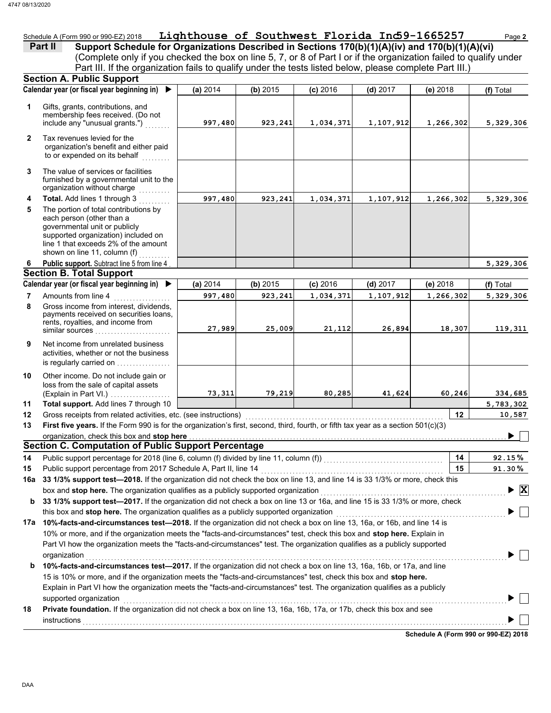## Schedule A (Form 990 or 990-EZ) 2018 **Lighthouse of Southwest Florida Ind59-1665257** Page 2

| Part II | Support Schedule for Organizations Described in Sections 170(b)(1)(A)(iv) and 170(b)(1)(A)(vi)                    |
|---------|-------------------------------------------------------------------------------------------------------------------|
|         | (Complete only if you checked the box on line 5, 7, or 8 of Part I or if the organization failed to qualify under |
|         | Part III. If the organization fails to qualify under the tests listed below, please complete Part III.)           |

| Calendar year (or fiscal year beginning in)<br>$\blacktriangleright$<br>(a) 2014<br>(b) 2015<br>$(c)$ 2016<br>$(d)$ 2017<br>(e) 2018<br>Gifts, grants, contributions, and<br>1<br>membership fees received. (Do not<br>include any "unusual grants.")<br>997,480<br>923,241<br>1,034,371<br>1,107,912<br>1,266,302<br>Tax revenues levied for the<br>$\mathbf{2}$<br>organization's benefit and either paid<br>to or expended on its behalf<br>The value of services or facilities<br>3<br>furnished by a governmental unit to the<br>organization without charge<br>Total. Add lines 1 through 3<br>997,480<br>923,241<br>1,034,371<br>1,107,912<br>4<br>1,266,302<br>5<br>The portion of total contributions by<br>each person (other than a<br>governmental unit or publicly<br>supported organization) included on<br>line 1 that exceeds 2% of the amount<br>shown on line 11, column (f)<br>Public support. Subtract line 5 from line 4<br>6<br><b>Section B. Total Support</b><br>Calendar year (or fiscal year beginning in)<br>(b) 2015<br>(a) 2014<br>$(c)$ 2016<br>$(d)$ 2017<br>(e) 2018<br>Amounts from line 4<br>7<br>997,480<br>923,241<br>1,034,371<br>1,107,912<br>1,266,302<br>8<br>Gross income from interest, dividends,<br>payments received on securities loans,<br>rents, royalties, and income from<br>21,112<br>27,989<br>25,009<br>26,894<br>18,307<br>similar sources<br>Net income from unrelated business<br>9<br>activities, whether or not the business<br>is regularly carried on<br>10<br>Other income. Do not include gain or<br>loss from the sale of capital assets<br>73,311<br>79,219<br>80,285<br>41,624<br>60,246<br>(Explain in Part VI.)<br>Total support. Add lines 7 through 10<br>11<br>12<br>12<br>Gross receipts from related activities, etc. (see instructions)<br>First five years. If the Form 990 is for the organization's first, second, third, fourth, or fifth tax year as a section 501(c)(3)<br>13<br>organization, check this box and stop here<br><b>Section C. Computation of Public Support Percentage</b><br>Public support percentage for 2018 (line 6, column (f) divided by line 11, column (f)) [[[[[[[[[[[[[[[[[[[[[[<br>14<br>14<br>15<br>Public support percentage from 2017 Schedule A, Part II, line 14<br>91.30%<br>15<br>box and stop here. The organization qualifies as a publicly supported organization<br>33 1/3% support test-2017. If the organization did not check a box on line 13 or 16a, and line 15 is 33 1/3% or more, check<br>this box and stop here. The organization qualifies as a publicly supported organization<br>17a 10%-facts-and-circumstances test-2018. If the organization did not check a box on line 13, 16a, or 16b, and line 14 is<br>10% or more, and if the organization meets the "facts-and-circumstances" test, check this box and stop here. Explain in<br>Part VI how the organization meets the "facts-and-circumstances" test. The organization qualifies as a publicly supported<br>organization<br>10%-facts-and-circumstances test-2017. If the organization did not check a box on line 13, 16a, 16b, or 17a, and line<br>b<br>15 is 10% or more, and if the organization meets the "facts-and-circumstances" test, check this box and stop here.<br>Explain in Part VI how the organization meets the "facts-and-circumstances" test. The organization qualifies as a publicly<br>supported organization<br>Private foundation. If the organization did not check a box on line 13, 16a, 16b, 17a, or 17b, check this box and see<br>18<br>instructions | <b>Section A. Public Support</b> |  |  |  |  |  |                              |  |  |  |  |  |  |
|----------------------------------------------------------------------------------------------------------------------------------------------------------------------------------------------------------------------------------------------------------------------------------------------------------------------------------------------------------------------------------------------------------------------------------------------------------------------------------------------------------------------------------------------------------------------------------------------------------------------------------------------------------------------------------------------------------------------------------------------------------------------------------------------------------------------------------------------------------------------------------------------------------------------------------------------------------------------------------------------------------------------------------------------------------------------------------------------------------------------------------------------------------------------------------------------------------------------------------------------------------------------------------------------------------------------------------------------------------------------------------------------------------------------------------------------------------------------------------------------------------------------------------------------------------------------------------------------------------------------------------------------------------------------------------------------------------------------------------------------------------------------------------------------------------------------------------------------------------------------------------------------------------------------------------------------------------------------------------------------------------------------------------------------------------------------------------------------------------------------------------------------------------------------------------------------------------------------------------------------------------------------------------------------------------------------------------------------------------------------------------------------------------------------------------------------------------------------------------------------------------------------------------------------------------------------------------------------------------------------------------------------------------------------------------------------------------------------------------------------------------------------------------------------------------------------------------------------------------------------------------------------------------------------------------------------------------------------------------------------------------------------------------------------------------------------------------------------------------------------------------------------------------------------------------------------------------------------------------------------------------------------------------------------------------------------------------------------------------------------------------------------------------------------------------------------------------------------------------------------------------------------------------------------------------------------------------|----------------------------------|--|--|--|--|--|------------------------------|--|--|--|--|--|--|
|                                                                                                                                                                                                                                                                                                                                                                                                                                                                                                                                                                                                                                                                                                                                                                                                                                                                                                                                                                                                                                                                                                                                                                                                                                                                                                                                                                                                                                                                                                                                                                                                                                                                                                                                                                                                                                                                                                                                                                                                                                                                                                                                                                                                                                                                                                                                                                                                                                                                                                                                                                                                                                                                                                                                                                                                                                                                                                                                                                                                                                                                                                                                                                                                                                                                                                                                                                                                                                                                                                                                                                                  |                                  |  |  |  |  |  | (f) Total                    |  |  |  |  |  |  |
|                                                                                                                                                                                                                                                                                                                                                                                                                                                                                                                                                                                                                                                                                                                                                                                                                                                                                                                                                                                                                                                                                                                                                                                                                                                                                                                                                                                                                                                                                                                                                                                                                                                                                                                                                                                                                                                                                                                                                                                                                                                                                                                                                                                                                                                                                                                                                                                                                                                                                                                                                                                                                                                                                                                                                                                                                                                                                                                                                                                                                                                                                                                                                                                                                                                                                                                                                                                                                                                                                                                                                                                  |                                  |  |  |  |  |  | 5,329,306                    |  |  |  |  |  |  |
|                                                                                                                                                                                                                                                                                                                                                                                                                                                                                                                                                                                                                                                                                                                                                                                                                                                                                                                                                                                                                                                                                                                                                                                                                                                                                                                                                                                                                                                                                                                                                                                                                                                                                                                                                                                                                                                                                                                                                                                                                                                                                                                                                                                                                                                                                                                                                                                                                                                                                                                                                                                                                                                                                                                                                                                                                                                                                                                                                                                                                                                                                                                                                                                                                                                                                                                                                                                                                                                                                                                                                                                  |                                  |  |  |  |  |  |                              |  |  |  |  |  |  |
|                                                                                                                                                                                                                                                                                                                                                                                                                                                                                                                                                                                                                                                                                                                                                                                                                                                                                                                                                                                                                                                                                                                                                                                                                                                                                                                                                                                                                                                                                                                                                                                                                                                                                                                                                                                                                                                                                                                                                                                                                                                                                                                                                                                                                                                                                                                                                                                                                                                                                                                                                                                                                                                                                                                                                                                                                                                                                                                                                                                                                                                                                                                                                                                                                                                                                                                                                                                                                                                                                                                                                                                  |                                  |  |  |  |  |  |                              |  |  |  |  |  |  |
|                                                                                                                                                                                                                                                                                                                                                                                                                                                                                                                                                                                                                                                                                                                                                                                                                                                                                                                                                                                                                                                                                                                                                                                                                                                                                                                                                                                                                                                                                                                                                                                                                                                                                                                                                                                                                                                                                                                                                                                                                                                                                                                                                                                                                                                                                                                                                                                                                                                                                                                                                                                                                                                                                                                                                                                                                                                                                                                                                                                                                                                                                                                                                                                                                                                                                                                                                                                                                                                                                                                                                                                  |                                  |  |  |  |  |  | 5,329,306                    |  |  |  |  |  |  |
|                                                                                                                                                                                                                                                                                                                                                                                                                                                                                                                                                                                                                                                                                                                                                                                                                                                                                                                                                                                                                                                                                                                                                                                                                                                                                                                                                                                                                                                                                                                                                                                                                                                                                                                                                                                                                                                                                                                                                                                                                                                                                                                                                                                                                                                                                                                                                                                                                                                                                                                                                                                                                                                                                                                                                                                                                                                                                                                                                                                                                                                                                                                                                                                                                                                                                                                                                                                                                                                                                                                                                                                  |                                  |  |  |  |  |  |                              |  |  |  |  |  |  |
|                                                                                                                                                                                                                                                                                                                                                                                                                                                                                                                                                                                                                                                                                                                                                                                                                                                                                                                                                                                                                                                                                                                                                                                                                                                                                                                                                                                                                                                                                                                                                                                                                                                                                                                                                                                                                                                                                                                                                                                                                                                                                                                                                                                                                                                                                                                                                                                                                                                                                                                                                                                                                                                                                                                                                                                                                                                                                                                                                                                                                                                                                                                                                                                                                                                                                                                                                                                                                                                                                                                                                                                  |                                  |  |  |  |  |  | 5,329,306                    |  |  |  |  |  |  |
|                                                                                                                                                                                                                                                                                                                                                                                                                                                                                                                                                                                                                                                                                                                                                                                                                                                                                                                                                                                                                                                                                                                                                                                                                                                                                                                                                                                                                                                                                                                                                                                                                                                                                                                                                                                                                                                                                                                                                                                                                                                                                                                                                                                                                                                                                                                                                                                                                                                                                                                                                                                                                                                                                                                                                                                                                                                                                                                                                                                                                                                                                                                                                                                                                                                                                                                                                                                                                                                                                                                                                                                  |                                  |  |  |  |  |  |                              |  |  |  |  |  |  |
|                                                                                                                                                                                                                                                                                                                                                                                                                                                                                                                                                                                                                                                                                                                                                                                                                                                                                                                                                                                                                                                                                                                                                                                                                                                                                                                                                                                                                                                                                                                                                                                                                                                                                                                                                                                                                                                                                                                                                                                                                                                                                                                                                                                                                                                                                                                                                                                                                                                                                                                                                                                                                                                                                                                                                                                                                                                                                                                                                                                                                                                                                                                                                                                                                                                                                                                                                                                                                                                                                                                                                                                  |                                  |  |  |  |  |  | (f) Total                    |  |  |  |  |  |  |
|                                                                                                                                                                                                                                                                                                                                                                                                                                                                                                                                                                                                                                                                                                                                                                                                                                                                                                                                                                                                                                                                                                                                                                                                                                                                                                                                                                                                                                                                                                                                                                                                                                                                                                                                                                                                                                                                                                                                                                                                                                                                                                                                                                                                                                                                                                                                                                                                                                                                                                                                                                                                                                                                                                                                                                                                                                                                                                                                                                                                                                                                                                                                                                                                                                                                                                                                                                                                                                                                                                                                                                                  |                                  |  |  |  |  |  | 5,329,306                    |  |  |  |  |  |  |
|                                                                                                                                                                                                                                                                                                                                                                                                                                                                                                                                                                                                                                                                                                                                                                                                                                                                                                                                                                                                                                                                                                                                                                                                                                                                                                                                                                                                                                                                                                                                                                                                                                                                                                                                                                                                                                                                                                                                                                                                                                                                                                                                                                                                                                                                                                                                                                                                                                                                                                                                                                                                                                                                                                                                                                                                                                                                                                                                                                                                                                                                                                                                                                                                                                                                                                                                                                                                                                                                                                                                                                                  |                                  |  |  |  |  |  | 119,311                      |  |  |  |  |  |  |
|                                                                                                                                                                                                                                                                                                                                                                                                                                                                                                                                                                                                                                                                                                                                                                                                                                                                                                                                                                                                                                                                                                                                                                                                                                                                                                                                                                                                                                                                                                                                                                                                                                                                                                                                                                                                                                                                                                                                                                                                                                                                                                                                                                                                                                                                                                                                                                                                                                                                                                                                                                                                                                                                                                                                                                                                                                                                                                                                                                                                                                                                                                                                                                                                                                                                                                                                                                                                                                                                                                                                                                                  |                                  |  |  |  |  |  |                              |  |  |  |  |  |  |
|                                                                                                                                                                                                                                                                                                                                                                                                                                                                                                                                                                                                                                                                                                                                                                                                                                                                                                                                                                                                                                                                                                                                                                                                                                                                                                                                                                                                                                                                                                                                                                                                                                                                                                                                                                                                                                                                                                                                                                                                                                                                                                                                                                                                                                                                                                                                                                                                                                                                                                                                                                                                                                                                                                                                                                                                                                                                                                                                                                                                                                                                                                                                                                                                                                                                                                                                                                                                                                                                                                                                                                                  |                                  |  |  |  |  |  | 334,685                      |  |  |  |  |  |  |
|                                                                                                                                                                                                                                                                                                                                                                                                                                                                                                                                                                                                                                                                                                                                                                                                                                                                                                                                                                                                                                                                                                                                                                                                                                                                                                                                                                                                                                                                                                                                                                                                                                                                                                                                                                                                                                                                                                                                                                                                                                                                                                                                                                                                                                                                                                                                                                                                                                                                                                                                                                                                                                                                                                                                                                                                                                                                                                                                                                                                                                                                                                                                                                                                                                                                                                                                                                                                                                                                                                                                                                                  |                                  |  |  |  |  |  | 5,783,302                    |  |  |  |  |  |  |
| 1. The component percentage from zone contenue A, Fart II, IIIIB 14 2000. The Component Component Component La<br>16a 33 1/3% support test—2018. If the organization did not check the box on line 13, and line 14 is 33 1/3% or                                                                                                                                                                                                                                                                                                                                                                                                                                                                                                                                                                                                                                                                                                                                                                                                                                                                                                                                                                                                                                                                                                                                                                                                                                                                                                                                                                                                                                                                                                                                                                                                                                                                                                                                                                                                                                                                                                                                                                                                                                                                                                                                                                                                                                                                                                                                                                                                                                                                                                                                                                                                                                                                                                                                                                                                                                                                                                                                                                                                                                                                                                                                                                                                                                                                                                                                                 |                                  |  |  |  |  |  | 10,587                       |  |  |  |  |  |  |
|                                                                                                                                                                                                                                                                                                                                                                                                                                                                                                                                                                                                                                                                                                                                                                                                                                                                                                                                                                                                                                                                                                                                                                                                                                                                                                                                                                                                                                                                                                                                                                                                                                                                                                                                                                                                                                                                                                                                                                                                                                                                                                                                                                                                                                                                                                                                                                                                                                                                                                                                                                                                                                                                                                                                                                                                                                                                                                                                                                                                                                                                                                                                                                                                                                                                                                                                                                                                                                                                                                                                                                                  |                                  |  |  |  |  |  |                              |  |  |  |  |  |  |
|                                                                                                                                                                                                                                                                                                                                                                                                                                                                                                                                                                                                                                                                                                                                                                                                                                                                                                                                                                                                                                                                                                                                                                                                                                                                                                                                                                                                                                                                                                                                                                                                                                                                                                                                                                                                                                                                                                                                                                                                                                                                                                                                                                                                                                                                                                                                                                                                                                                                                                                                                                                                                                                                                                                                                                                                                                                                                                                                                                                                                                                                                                                                                                                                                                                                                                                                                                                                                                                                                                                                                                                  |                                  |  |  |  |  |  |                              |  |  |  |  |  |  |
|                                                                                                                                                                                                                                                                                                                                                                                                                                                                                                                                                                                                                                                                                                                                                                                                                                                                                                                                                                                                                                                                                                                                                                                                                                                                                                                                                                                                                                                                                                                                                                                                                                                                                                                                                                                                                                                                                                                                                                                                                                                                                                                                                                                                                                                                                                                                                                                                                                                                                                                                                                                                                                                                                                                                                                                                                                                                                                                                                                                                                                                                                                                                                                                                                                                                                                                                                                                                                                                                                                                                                                                  |                                  |  |  |  |  |  |                              |  |  |  |  |  |  |
|                                                                                                                                                                                                                                                                                                                                                                                                                                                                                                                                                                                                                                                                                                                                                                                                                                                                                                                                                                                                                                                                                                                                                                                                                                                                                                                                                                                                                                                                                                                                                                                                                                                                                                                                                                                                                                                                                                                                                                                                                                                                                                                                                                                                                                                                                                                                                                                                                                                                                                                                                                                                                                                                                                                                                                                                                                                                                                                                                                                                                                                                                                                                                                                                                                                                                                                                                                                                                                                                                                                                                                                  |                                  |  |  |  |  |  | 92.15%                       |  |  |  |  |  |  |
|                                                                                                                                                                                                                                                                                                                                                                                                                                                                                                                                                                                                                                                                                                                                                                                                                                                                                                                                                                                                                                                                                                                                                                                                                                                                                                                                                                                                                                                                                                                                                                                                                                                                                                                                                                                                                                                                                                                                                                                                                                                                                                                                                                                                                                                                                                                                                                                                                                                                                                                                                                                                                                                                                                                                                                                                                                                                                                                                                                                                                                                                                                                                                                                                                                                                                                                                                                                                                                                                                                                                                                                  |                                  |  |  |  |  |  |                              |  |  |  |  |  |  |
|                                                                                                                                                                                                                                                                                                                                                                                                                                                                                                                                                                                                                                                                                                                                                                                                                                                                                                                                                                                                                                                                                                                                                                                                                                                                                                                                                                                                                                                                                                                                                                                                                                                                                                                                                                                                                                                                                                                                                                                                                                                                                                                                                                                                                                                                                                                                                                                                                                                                                                                                                                                                                                                                                                                                                                                                                                                                                                                                                                                                                                                                                                                                                                                                                                                                                                                                                                                                                                                                                                                                                                                  |                                  |  |  |  |  |  | $\overline{\mathbf{x}}$<br>▶ |  |  |  |  |  |  |
|                                                                                                                                                                                                                                                                                                                                                                                                                                                                                                                                                                                                                                                                                                                                                                                                                                                                                                                                                                                                                                                                                                                                                                                                                                                                                                                                                                                                                                                                                                                                                                                                                                                                                                                                                                                                                                                                                                                                                                                                                                                                                                                                                                                                                                                                                                                                                                                                                                                                                                                                                                                                                                                                                                                                                                                                                                                                                                                                                                                                                                                                                                                                                                                                                                                                                                                                                                                                                                                                                                                                                                                  |                                  |  |  |  |  |  |                              |  |  |  |  |  |  |
|                                                                                                                                                                                                                                                                                                                                                                                                                                                                                                                                                                                                                                                                                                                                                                                                                                                                                                                                                                                                                                                                                                                                                                                                                                                                                                                                                                                                                                                                                                                                                                                                                                                                                                                                                                                                                                                                                                                                                                                                                                                                                                                                                                                                                                                                                                                                                                                                                                                                                                                                                                                                                                                                                                                                                                                                                                                                                                                                                                                                                                                                                                                                                                                                                                                                                                                                                                                                                                                                                                                                                                                  |                                  |  |  |  |  |  |                              |  |  |  |  |  |  |
|                                                                                                                                                                                                                                                                                                                                                                                                                                                                                                                                                                                                                                                                                                                                                                                                                                                                                                                                                                                                                                                                                                                                                                                                                                                                                                                                                                                                                                                                                                                                                                                                                                                                                                                                                                                                                                                                                                                                                                                                                                                                                                                                                                                                                                                                                                                                                                                                                                                                                                                                                                                                                                                                                                                                                                                                                                                                                                                                                                                                                                                                                                                                                                                                                                                                                                                                                                                                                                                                                                                                                                                  |                                  |  |  |  |  |  |                              |  |  |  |  |  |  |
|                                                                                                                                                                                                                                                                                                                                                                                                                                                                                                                                                                                                                                                                                                                                                                                                                                                                                                                                                                                                                                                                                                                                                                                                                                                                                                                                                                                                                                                                                                                                                                                                                                                                                                                                                                                                                                                                                                                                                                                                                                                                                                                                                                                                                                                                                                                                                                                                                                                                                                                                                                                                                                                                                                                                                                                                                                                                                                                                                                                                                                                                                                                                                                                                                                                                                                                                                                                                                                                                                                                                                                                  |                                  |  |  |  |  |  |                              |  |  |  |  |  |  |
|                                                                                                                                                                                                                                                                                                                                                                                                                                                                                                                                                                                                                                                                                                                                                                                                                                                                                                                                                                                                                                                                                                                                                                                                                                                                                                                                                                                                                                                                                                                                                                                                                                                                                                                                                                                                                                                                                                                                                                                                                                                                                                                                                                                                                                                                                                                                                                                                                                                                                                                                                                                                                                                                                                                                                                                                                                                                                                                                                                                                                                                                                                                                                                                                                                                                                                                                                                                                                                                                                                                                                                                  |                                  |  |  |  |  |  |                              |  |  |  |  |  |  |
|                                                                                                                                                                                                                                                                                                                                                                                                                                                                                                                                                                                                                                                                                                                                                                                                                                                                                                                                                                                                                                                                                                                                                                                                                                                                                                                                                                                                                                                                                                                                                                                                                                                                                                                                                                                                                                                                                                                                                                                                                                                                                                                                                                                                                                                                                                                                                                                                                                                                                                                                                                                                                                                                                                                                                                                                                                                                                                                                                                                                                                                                                                                                                                                                                                                                                                                                                                                                                                                                                                                                                                                  |                                  |  |  |  |  |  |                              |  |  |  |  |  |  |
|                                                                                                                                                                                                                                                                                                                                                                                                                                                                                                                                                                                                                                                                                                                                                                                                                                                                                                                                                                                                                                                                                                                                                                                                                                                                                                                                                                                                                                                                                                                                                                                                                                                                                                                                                                                                                                                                                                                                                                                                                                                                                                                                                                                                                                                                                                                                                                                                                                                                                                                                                                                                                                                                                                                                                                                                                                                                                                                                                                                                                                                                                                                                                                                                                                                                                                                                                                                                                                                                                                                                                                                  |                                  |  |  |  |  |  |                              |  |  |  |  |  |  |
|                                                                                                                                                                                                                                                                                                                                                                                                                                                                                                                                                                                                                                                                                                                                                                                                                                                                                                                                                                                                                                                                                                                                                                                                                                                                                                                                                                                                                                                                                                                                                                                                                                                                                                                                                                                                                                                                                                                                                                                                                                                                                                                                                                                                                                                                                                                                                                                                                                                                                                                                                                                                                                                                                                                                                                                                                                                                                                                                                                                                                                                                                                                                                                                                                                                                                                                                                                                                                                                                                                                                                                                  |                                  |  |  |  |  |  |                              |  |  |  |  |  |  |
|                                                                                                                                                                                                                                                                                                                                                                                                                                                                                                                                                                                                                                                                                                                                                                                                                                                                                                                                                                                                                                                                                                                                                                                                                                                                                                                                                                                                                                                                                                                                                                                                                                                                                                                                                                                                                                                                                                                                                                                                                                                                                                                                                                                                                                                                                                                                                                                                                                                                                                                                                                                                                                                                                                                                                                                                                                                                                                                                                                                                                                                                                                                                                                                                                                                                                                                                                                                                                                                                                                                                                                                  |                                  |  |  |  |  |  |                              |  |  |  |  |  |  |
|                                                                                                                                                                                                                                                                                                                                                                                                                                                                                                                                                                                                                                                                                                                                                                                                                                                                                                                                                                                                                                                                                                                                                                                                                                                                                                                                                                                                                                                                                                                                                                                                                                                                                                                                                                                                                                                                                                                                                                                                                                                                                                                                                                                                                                                                                                                                                                                                                                                                                                                                                                                                                                                                                                                                                                                                                                                                                                                                                                                                                                                                                                                                                                                                                                                                                                                                                                                                                                                                                                                                                                                  |                                  |  |  |  |  |  |                              |  |  |  |  |  |  |
| Schedule A (Form 990 or 990-EZ) 2018                                                                                                                                                                                                                                                                                                                                                                                                                                                                                                                                                                                                                                                                                                                                                                                                                                                                                                                                                                                                                                                                                                                                                                                                                                                                                                                                                                                                                                                                                                                                                                                                                                                                                                                                                                                                                                                                                                                                                                                                                                                                                                                                                                                                                                                                                                                                                                                                                                                                                                                                                                                                                                                                                                                                                                                                                                                                                                                                                                                                                                                                                                                                                                                                                                                                                                                                                                                                                                                                                                                                             |                                  |  |  |  |  |  |                              |  |  |  |  |  |  |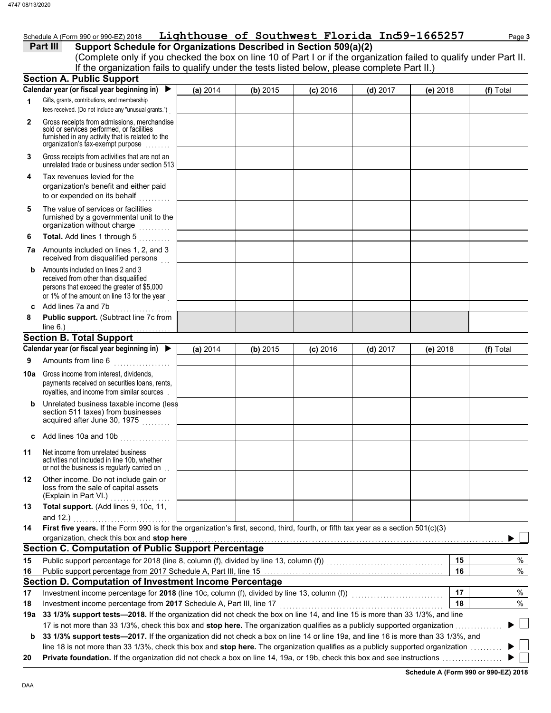### Schedule A (Form 990 or 990-EZ) 2018 **Lighthouse of Southwest Florida Ind59-1665257** Page 3

### **Part III Support Schedule for Organizations Described in Section 509(a)(2)**

(Complete only if you checked the box on line 10 of Part I or if the organization failed to qualify under Part II. If the organization fails to qualify under the tests listed below, please complete Part II.)

|              | <b>Section A. Public Support</b>                                                                                                                                                                     |          |          |            |            |          |    |           |
|--------------|------------------------------------------------------------------------------------------------------------------------------------------------------------------------------------------------------|----------|----------|------------|------------|----------|----|-----------|
|              | Calendar year (or fiscal year beginning in)                                                                                                                                                          | (a) 2014 | (b) 2015 | $(c)$ 2016 | $(d)$ 2017 | (e) 2018 |    | (f) Total |
| 1            | Gifts, grants, contributions, and membership<br>fees received. (Do not include any "unusual grants.")                                                                                                |          |          |            |            |          |    |           |
| $\mathbf{2}$ | Gross receipts from admissions, merchandise<br>sold or services performed, or facilities<br>furnished in any activity that is related to the<br>organization's tax-exempt purpose                    |          |          |            |            |          |    |           |
| 3            | Gross receipts from activities that are not an<br>unrelated trade or business under section 513                                                                                                      |          |          |            |            |          |    |           |
| 4            | Tax revenues levied for the<br>organization's benefit and either paid<br>to or expended on its behalf                                                                                                |          |          |            |            |          |    |           |
| 5            | The value of services or facilities<br>furnished by a governmental unit to the<br>organization without charge                                                                                        |          |          |            |            |          |    |           |
| 6            | Total. Add lines 1 through 5<br>.                                                                                                                                                                    |          |          |            |            |          |    |           |
|              | 7a Amounts included on lines 1, 2, and 3<br>received from disqualified persons                                                                                                                       |          |          |            |            |          |    |           |
| b            | Amounts included on lines 2 and 3<br>received from other than disqualified<br>persons that exceed the greater of \$5,000<br>or 1% of the amount on line 13 for the year                              |          |          |            |            |          |    |           |
| c            | Add lines 7a and 7b                                                                                                                                                                                  |          |          |            |            |          |    |           |
| 8            | Public support. (Subtract line 7c from                                                                                                                                                               |          |          |            |            |          |    |           |
|              | line $6.$ )<br><b>Section B. Total Support</b>                                                                                                                                                       |          |          |            |            |          |    |           |
|              | Calendar year (or fiscal year beginning in) $\blacktriangleright$                                                                                                                                    | (a) 2014 | (b) 2015 | $(c)$ 2016 | $(d)$ 2017 | (e) 2018 |    | (f) Total |
| 9            | Amounts from line 6                                                                                                                                                                                  |          |          |            |            |          |    |           |
| 10a          | Gross income from interest, dividends,<br>payments received on securities loans, rents,                                                                                                              |          |          |            |            |          |    |           |
|              | royalties, and income from similar sources                                                                                                                                                           |          |          |            |            |          |    |           |
| b            | Unrelated business taxable income (less<br>section 511 taxes) from businesses<br>acquired after June 30, 1975                                                                                        |          |          |            |            |          |    |           |
| c            | Add lines 10a and 10b                                                                                                                                                                                |          |          |            |            |          |    |           |
| 11           | Net income from unrelated business<br>activities not included in line 10b, whether<br>or not the business is regularly carried on.                                                                   |          |          |            |            |          |    |           |
| 12           | Other income. Do not include gain or<br>loss from the sale of capital assets<br>(Explain in Part VI.)                                                                                                |          |          |            |            |          |    |           |
| 13           | Total support. (Add lines 9, 10c, 11,<br>and 12.)                                                                                                                                                    |          |          |            |            |          |    |           |
| 14           | First five years. If the Form 990 is for the organization's first, second, third, fourth, or fifth tax year as a section 501(c)(3)                                                                   |          |          |            |            |          |    |           |
|              | organization, check this box and stop here                                                                                                                                                           |          |          |            |            |          |    |           |
|              | <b>Section C. Computation of Public Support Percentage</b>                                                                                                                                           |          |          |            |            |          |    |           |
| 15           | Public support percentage for 2018 (line 8, column (f), divided by line 13, column (f)) [[[[[[[[[[[[[[[[[[[[[                                                                                        |          |          |            |            |          | 15 | %         |
| 16           |                                                                                                                                                                                                      |          |          |            |            |          | 16 | $\%$      |
|              | Section D. Computation of Investment Income Percentage                                                                                                                                               |          |          |            |            |          |    |           |
| 17           | Investment income percentage for 2018 (line 10c, column (f), divided by line 13, column (f)) [[[[[[[[[[[[[[[[                                                                                        |          |          |            |            |          | 17 | %         |
| 18           | Investment income percentage from 2017 Schedule A, Part III, line 17<br>33 1/3% support tests-2018. If the organization did not check the box on line 14, and line 15 is more than 33 1/3%, and line |          |          |            |            |          | 18 | $\%$      |
| 19a          | 17 is not more than 33 1/3%, check this box and stop here. The organization qualifies as a publicly supported organization.                                                                          |          |          |            |            |          |    |           |
| b            | 33 1/3% support tests-2017. If the organization did not check a box on line 14 or line 19a, and line 16 is more than 33 1/3%, and                                                                    |          |          |            |            |          |    |           |
|              | line 18 is not more than 33 1/3%, check this box and stop here. The organization qualifies as a publicly supported organization                                                                      |          |          |            |            |          |    |           |
| 20           |                                                                                                                                                                                                      |          |          |            |            |          |    |           |

**Schedule A (Form 990 or 990-EZ) 2018**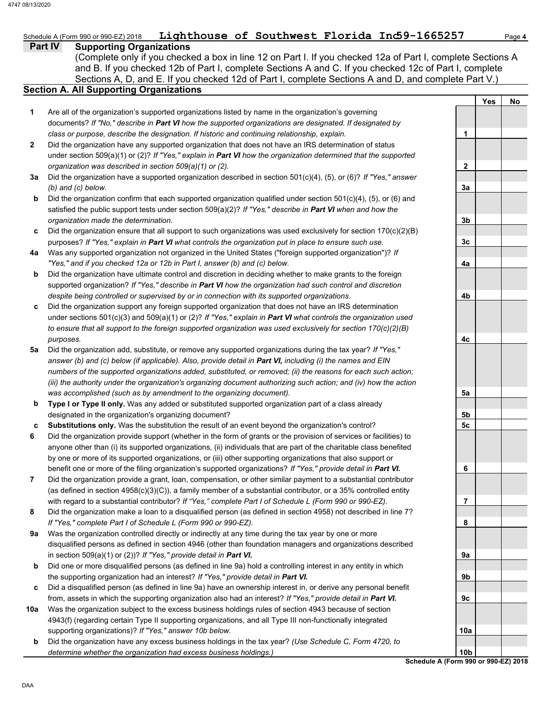## Schedule A (Form 990 or 990-EZ) 2018 **Lighthouse of Southwest Florida Ind59-1665257** Page 4

### **Part IV Supporting Organizations**

Sections A, D, and E. If you checked 12d of Part I, complete Sections A and D, and complete Part V.) (Complete only if you checked a box in line 12 on Part I. If you checked 12a of Part I, complete Sections A and B. If you checked 12b of Part I, complete Sections A and C. If you checked 12c of Part I, complete

### **Section A. All Supporting Organizations**

- Are all of the organization's supported organizations listed by name in the organization's governing documents? *If "No," describe in Part VI how the supported organizations are designated. If designated by class or purpose, describe the designation. If historic and continuing relationship, explain.* **1**
- Did the organization have any supported organization that does not have an IRS determination of status under section 509(a)(1) or (2)? *If "Yes," explain in Part VI how the organization determined that the supported organization was described in section 509(a)(1) or (2).* **2**
- **3a** Did the organization have a supported organization described in section 501(c)(4), (5), or (6)? *If "Yes," answer (b) and (c) below.*
- **b** Did the organization confirm that each supported organization qualified under section 501(c)(4), (5), or (6) and satisfied the public support tests under section 509(a)(2)? *If "Yes," describe in Part VI when and how the organization made the determination.*
- **c** Did the organization ensure that all support to such organizations was used exclusively for section 170(c)(2)(B) purposes? *If "Yes," explain in Part VI what controls the organization put in place to ensure such use.*
- **4a** Was any supported organization not organized in the United States ("foreign supported organization")? *If "Yes," and if you checked 12a or 12b in Part I, answer (b) and (c) below.*
- **b** Did the organization have ultimate control and discretion in deciding whether to make grants to the foreign supported organization? *If "Yes," describe in Part VI how the organization had such control and discretion despite being controlled or supervised by or in connection with its supported organizations.*
- **c** Did the organization support any foreign supported organization that does not have an IRS determination under sections 501(c)(3) and 509(a)(1) or (2)? *If "Yes," explain in Part VI what controls the organization used to ensure that all support to the foreign supported organization was used exclusively for section 170(c)(2)(B) purposes.*
- **5a** Did the organization add, substitute, or remove any supported organizations during the tax year? *If "Yes," answer (b) and (c) below (if applicable). Also, provide detail in Part VI, including (i) the names and EIN numbers of the supported organizations added, substituted, or removed; (ii) the reasons for each such action; (iii) the authority under the organization's organizing document authorizing such action; and (iv) how the action was accomplished (such as by amendment to the organizing document).*
- **b Type I or Type II only.** Was any added or substituted supported organization part of a class already designated in the organization's organizing document?
- **c Substitutions only.** Was the substitution the result of an event beyond the organization's control?
- **6** Did the organization provide support (whether in the form of grants or the provision of services or facilities) to anyone other than (i) its supported organizations, (ii) individuals that are part of the charitable class benefited by one or more of its supported organizations, or (iii) other supporting organizations that also support or benefit one or more of the filing organization's supported organizations? *If "Yes," provide detail in Part VI.*
- **7** Did the organization provide a grant, loan, compensation, or other similar payment to a substantial contributor (as defined in section 4958(c)(3)(C)), a family member of a substantial contributor, or a 35% controlled entity with regard to a substantial contributor? *If "Yes," complete Part I of Schedule L (Form 990 or 990-EZ).*
- **8** Did the organization make a loan to a disqualified person (as defined in section 4958) not described in line 7? *If "Yes," complete Part I of Schedule L (Form 990 or 990-EZ).*
- **9a** Was the organization controlled directly or indirectly at any time during the tax year by one or more disqualified persons as defined in section 4946 (other than foundation managers and organizations described in section 509(a)(1) or (2))? *If "Yes," provide detail in Part VI.*
- **b** Did one or more disqualified persons (as defined in line 9a) hold a controlling interest in any entity in which the supporting organization had an interest? *If "Yes," provide detail in Part VI.*
- **c** Did a disqualified person (as defined in line 9a) have an ownership interest in, or derive any personal benefit from, assets in which the supporting organization also had an interest? *If "Yes," provide detail in Part VI.*
- **10a** Was the organization subject to the excess business holdings rules of section 4943 because of section 4943(f) (regarding certain Type II supporting organizations, and all Type III non-functionally integrated supporting organizations)? *If "Yes," answer 10b below.*
- **b** Did the organization have any excess business holdings in the tax year? *(Use Schedule C, Form 4720, to determine whether the organization had excess business holdings.)*

**Yes No 1 2 3a 3b 3c 4a 4b 4c 5a 5b 5c 6 7 8 9a 9b 9c 10a 10b**

**Schedule A (Form 990 or 990-EZ) 2018**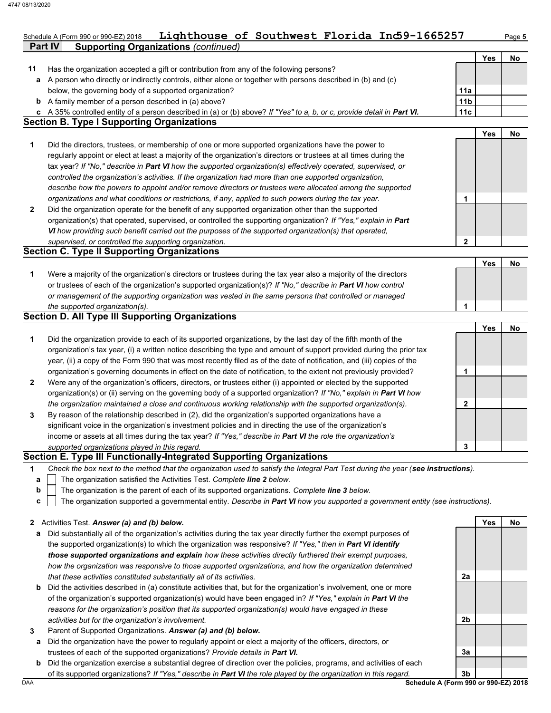**Part IV Supporting Organizations** *(continued)*

## Schedule A (Form 990 or 990-EZ) 2018 **Lighthouse of Southwest Florida Ind59-1665257** Page 5

|              | oupporting organizations (commaca                                                                                                                                            |                 |            |    |
|--------------|------------------------------------------------------------------------------------------------------------------------------------------------------------------------------|-----------------|------------|----|
|              |                                                                                                                                                                              |                 | <b>Yes</b> | No |
| 11           | Has the organization accepted a gift or contribution from any of the following persons?                                                                                      |                 |            |    |
|              | a A person who directly or indirectly controls, either alone or together with persons described in (b) and (c)<br>below, the governing body of a supported organization?     | 11a             |            |    |
|              | <b>b</b> A family member of a person described in (a) above?                                                                                                                 | 11 <sub>b</sub> |            |    |
|              |                                                                                                                                                                              | 11c             |            |    |
|              | c A 35% controlled entity of a person described in (a) or (b) above? If "Yes" to a, b, or c, provide detail in Part VI.<br><b>Section B. Type I Supporting Organizations</b> |                 |            |    |
|              |                                                                                                                                                                              |                 | Yes        | No |
| 1            | Did the directors, trustees, or membership of one or more supported organizations have the power to                                                                          |                 |            |    |
|              |                                                                                                                                                                              |                 |            |    |
|              | regularly appoint or elect at least a majority of the organization's directors or trustees at all times during the                                                           |                 |            |    |
|              | tax year? If "No," describe in Part VI how the supported organization(s) effectively operated, supervised, or                                                                |                 |            |    |
|              | controlled the organization's activities. If the organization had more than one supported organization,                                                                      |                 |            |    |
|              | describe how the powers to appoint and/or remove directors or trustees were allocated among the supported                                                                    |                 |            |    |
|              | organizations and what conditions or restrictions, if any, applied to such powers during the tax year.                                                                       | 1               |            |    |
| 2            | Did the organization operate for the benefit of any supported organization other than the supported                                                                          |                 |            |    |
|              | organization(s) that operated, supervised, or controlled the supporting organization? If "Yes," explain in Part                                                              |                 |            |    |
|              | VI how providing such benefit carried out the purposes of the supported organization(s) that operated,                                                                       |                 |            |    |
|              | supervised, or controlled the supporting organization.                                                                                                                       | 2               |            |    |
|              | <b>Section C. Type II Supporting Organizations</b>                                                                                                                           |                 |            |    |
|              |                                                                                                                                                                              |                 | Yes        | No |
| 1            | Were a majority of the organization's directors or trustees during the tax year also a majority of the directors                                                             |                 |            |    |
|              | or trustees of each of the organization's supported organization(s)? If "No," describe in Part VI how control                                                                |                 |            |    |
|              | or management of the supporting organization was vested in the same persons that controlled or managed                                                                       |                 |            |    |
|              | the supported organization(s).                                                                                                                                               | 1               |            |    |
|              | <b>Section D. All Type III Supporting Organizations</b>                                                                                                                      |                 |            |    |
|              |                                                                                                                                                                              |                 | Yes        | No |
| 1            | Did the organization provide to each of its supported organizations, by the last day of the fifth month of the                                                               |                 |            |    |
|              | organization's tax year, (i) a written notice describing the type and amount of support provided during the prior tax                                                        |                 |            |    |
|              | year, (ii) a copy of the Form 990 that was most recently filed as of the date of notification, and (iii) copies of the                                                       |                 |            |    |
|              | organization's governing documents in effect on the date of notification, to the extent not previously provided?                                                             | 1               |            |    |
| 2            | Were any of the organization's officers, directors, or trustees either (i) appointed or elected by the supported                                                             |                 |            |    |
|              | organization(s) or (ii) serving on the governing body of a supported organization? If "No," explain in Part VI how                                                           |                 |            |    |
|              | the organization maintained a close and continuous working relationship with the supported organization(s).                                                                  | 2               |            |    |
| 3            | By reason of the relationship described in (2), did the organization's supported organizations have a                                                                        |                 |            |    |
|              | significant voice in the organization's investment policies and in directing the use of the organization's                                                                   |                 |            |    |
|              | income or assets at all times during the tax year? If "Yes," describe in Part VI the role the organization's                                                                 |                 |            |    |
|              | supported organizations played in this regard.                                                                                                                               | 3               |            |    |
|              | Section E. Type III Functionally-Integrated Supporting Organizations                                                                                                         |                 |            |    |
| 1.           | Check the box next to the method that the organization used to satisfy the Integral Part Test during the year (see instructions).                                            |                 |            |    |
| a            | The organization satisfied the Activities Test. Complete line 2 below.                                                                                                       |                 |            |    |
| b            | The organization is the parent of each of its supported organizations. Complete line 3 below.                                                                                |                 |            |    |
| C            | The organization supported a governmental entity. Describe in Part VI how you supported a government entity (see instructions).                                              |                 |            |    |
|              |                                                                                                                                                                              |                 |            |    |
| $\mathbf{z}$ | Activities Test. Answer (a) and (b) below.                                                                                                                                   |                 | Yes        | No |
| а            | Did substantially all of the organization's activities during the tax year directly further the exempt purposes of                                                           |                 |            |    |
|              | the supported organization(s) to which the organization was responsive? If "Yes," then in Part VI identify                                                                   |                 |            |    |
|              | those supported organizations and explain how these activities directly furthered their exempt purposes,                                                                     |                 |            |    |
|              | how the organization was responsive to those supported organizations, and how the organization determined                                                                    |                 |            |    |
|              | that these activities constituted substantially all of its activities.                                                                                                       | 2a              |            |    |
| b            | Did the activities described in (a) constitute activities that, but for the organization's involvement, one or more                                                          |                 |            |    |
|              | of the organization's supported organization(s) would have been engaged in? If "Yes," explain in Part VI the                                                                 |                 |            |    |
|              |                                                                                                                                                                              |                 |            |    |
|              | reasons for the organization's position that its supported organization(s) would have engaged in these                                                                       |                 |            |    |
|              | activities but for the organization's involvement.                                                                                                                           | 2b              |            |    |
| 3            | Parent of Supported Organizations. Answer (a) and (b) below.                                                                                                                 |                 |            |    |
| а            | Did the organization have the power to regularly appoint or elect a majority of the officers, directors, or                                                                  |                 |            |    |
|              | trustees of each of the supported organizations? Provide details in Part VI.                                                                                                 | За              |            |    |
| b            | Did the organization exercise a substantial degree of direction over the policies, programs, and activities of each                                                          |                 |            |    |
|              | of its supported organizations? If "Yes," describe in Part VI the role played by the organization in this regard.                                                            | 3b              |            |    |
| DAA          | Schedule A (Form 990 or 990-EZ) 2018                                                                                                                                         |                 |            |    |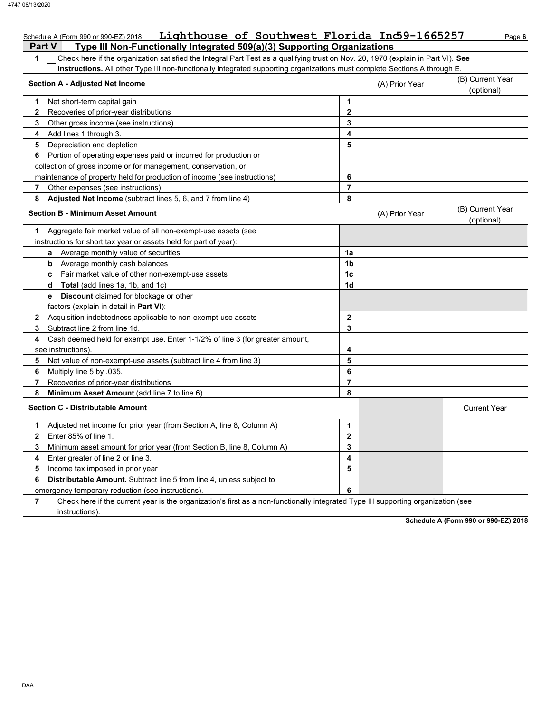| Lighthouse of Southwest Florida Ind9-1665257<br>Schedule A (Form 990 or 990-EZ) 2018                                                             |                |                | Page 6                         |
|--------------------------------------------------------------------------------------------------------------------------------------------------|----------------|----------------|--------------------------------|
| <b>Part V</b><br>Type III Non-Functionally Integrated 509(a)(3) Supporting Organizations                                                         |                |                |                                |
| $\mathbf{1}$<br>Check here if the organization satisfied the Integral Part Test as a qualifying trust on Nov. 20, 1970 (explain in Part VI). See |                |                |                                |
| instructions. All other Type III non-functionally integrated supporting organizations must complete Sections A through E.                        |                |                |                                |
| <b>Section A - Adjusted Net Income</b>                                                                                                           |                | (A) Prior Year | (B) Current Year               |
|                                                                                                                                                  |                |                | (optional)                     |
| Net short-term capital gain<br>1                                                                                                                 | 1              |                |                                |
| 2<br>Recoveries of prior-year distributions                                                                                                      | $\mathbf{2}$   |                |                                |
| 3<br>Other gross income (see instructions)                                                                                                       | 3              |                |                                |
| 4<br>Add lines 1 through 3.                                                                                                                      | 4              |                |                                |
| Depreciation and depletion<br>5                                                                                                                  | 5              |                |                                |
| Portion of operating expenses paid or incurred for production or<br>6                                                                            |                |                |                                |
| collection of gross income or for management, conservation, or                                                                                   |                |                |                                |
| maintenance of property held for production of income (see instructions)                                                                         | 6              |                |                                |
| 7<br>Other expenses (see instructions)                                                                                                           | $\overline{7}$ |                |                                |
| Adjusted Net Income (subtract lines 5, 6, and 7 from line 4)<br>8                                                                                | 8              |                |                                |
| <b>Section B - Minimum Asset Amount</b>                                                                                                          |                | (A) Prior Year | (B) Current Year<br>(optional) |
| Aggregate fair market value of all non-exempt-use assets (see<br>1                                                                               |                |                |                                |
| instructions for short tax year or assets held for part of year):                                                                                |                |                |                                |
| a Average monthly value of securities                                                                                                            | 1a             |                |                                |
| Average monthly cash balances<br>b                                                                                                               | 1 <sub>b</sub> |                |                                |
| c Fair market value of other non-exempt-use assets                                                                                               | 1 <sub>c</sub> |                |                                |
| <b>Total</b> (add lines 1a, 1b, and 1c)<br>d                                                                                                     | 1d             |                |                                |
| <b>e</b> Discount claimed for blockage or other                                                                                                  |                |                |                                |
| factors (explain in detail in Part VI):                                                                                                          |                |                |                                |
| Acquisition indebtedness applicable to non-exempt-use assets<br>$\mathbf{2}$                                                                     | $\mathbf{2}$   |                |                                |
| Subtract line 2 from line 1d.<br>3                                                                                                               | 3              |                |                                |
| Cash deemed held for exempt use. Enter 1-1/2% of line 3 (for greater amount,<br>4                                                                |                |                |                                |
| see instructions).                                                                                                                               | 4              |                |                                |
| 5<br>Net value of non-exempt-use assets (subtract line 4 from line 3)                                                                            | 5              |                |                                |
| 6<br>Multiply line 5 by 035.                                                                                                                     | 6              |                |                                |
| 7<br>Recoveries of prior-year distributions                                                                                                      | $\overline{7}$ |                |                                |
| 8<br>Minimum Asset Amount (add line 7 to line 6)                                                                                                 | 8              |                |                                |
| <b>Section C - Distributable Amount</b>                                                                                                          |                |                | <b>Current Year</b>            |
| Adjusted net income for prior year (from Section A, line 8, Column A)<br>1                                                                       | 1              |                |                                |
| Enter 85% of line 1.<br>$\mathbf{2}$                                                                                                             | $\mathbf{2}$   |                |                                |
| 3<br>Minimum asset amount for prior year (from Section B, line 8, Column A)                                                                      | 3              |                |                                |
| 4<br>Enter greater of line 2 or line 3.                                                                                                          | 4              |                |                                |
| 5<br>Income tax imposed in prior year                                                                                                            | 5              |                |                                |
| <b>Distributable Amount.</b> Subtract line 5 from line 4, unless subject to<br>6                                                                 |                |                |                                |
| emergency temporary reduction (see instructions).                                                                                                | 6              |                |                                |

emergency temporary reduction (see instructions).

**7** instructions). Check here if the current year is the organization's first as a non-functionally integrated Type III supporting organization (see

**Schedule A (Form 990 or 990-EZ) 2018**

DAA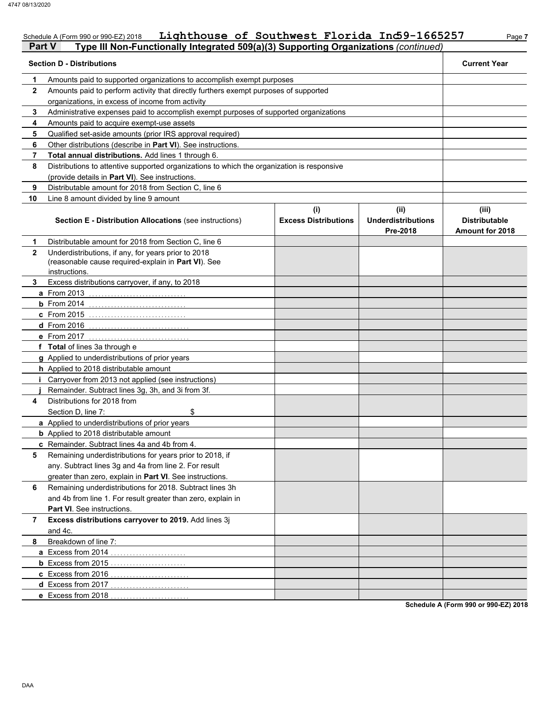## Schedule A (Form 990 or 990-EZ) 2018 **Lighthouse of Southwest Florida Ind59-1665257** Page 7

| Part V       | Type III Non-Functionally Integrated 509(a)(3) Supporting Organizations (continued)                                         |                                    |                                               |                                                         |  |  |
|--------------|-----------------------------------------------------------------------------------------------------------------------------|------------------------------------|-----------------------------------------------|---------------------------------------------------------|--|--|
|              | <b>Section D - Distributions</b>                                                                                            |                                    |                                               | <b>Current Year</b>                                     |  |  |
| 1            | Amounts paid to supported organizations to accomplish exempt purposes                                                       |                                    |                                               |                                                         |  |  |
| $\mathbf{2}$ | Amounts paid to perform activity that directly furthers exempt purposes of supported                                        |                                    |                                               |                                                         |  |  |
|              | organizations, in excess of income from activity                                                                            |                                    |                                               |                                                         |  |  |
| 3            | Administrative expenses paid to accomplish exempt purposes of supported organizations                                       |                                    |                                               |                                                         |  |  |
| 4            | Amounts paid to acquire exempt-use assets                                                                                   |                                    |                                               |                                                         |  |  |
| 5            | Qualified set-aside amounts (prior IRS approval required)                                                                   |                                    |                                               |                                                         |  |  |
| 6            | Other distributions (describe in Part VI). See instructions.                                                                |                                    |                                               |                                                         |  |  |
| 7            | Total annual distributions. Add lines 1 through 6.                                                                          |                                    |                                               |                                                         |  |  |
| 8            | Distributions to attentive supported organizations to which the organization is responsive                                  |                                    |                                               |                                                         |  |  |
|              | (provide details in Part VI). See instructions.                                                                             |                                    |                                               |                                                         |  |  |
| 9            | Distributable amount for 2018 from Section C, line 6                                                                        |                                    |                                               |                                                         |  |  |
| 10           | Line 8 amount divided by line 9 amount                                                                                      |                                    |                                               |                                                         |  |  |
|              | <b>Section E - Distribution Allocations (see instructions)</b>                                                              | (i)<br><b>Excess Distributions</b> | (ii)<br><b>Underdistributions</b><br>Pre-2018 | (iii)<br><b>Distributable</b><br><b>Amount for 2018</b> |  |  |
| 1            | Distributable amount for 2018 from Section C, line 6                                                                        |                                    |                                               |                                                         |  |  |
| $\mathbf{2}$ | Underdistributions, if any, for years prior to 2018<br>(reasonable cause required-explain in Part VI). See<br>instructions. |                                    |                                               |                                                         |  |  |
| 3            | Excess distributions carryover, if any, to 2018                                                                             |                                    |                                               |                                                         |  |  |
|              | <b>a</b> From 2013                                                                                                          |                                    |                                               |                                                         |  |  |
|              | $b$ From 2014                                                                                                               |                                    |                                               |                                                         |  |  |
|              | <b>c</b> From 2015                                                                                                          |                                    |                                               |                                                         |  |  |
|              | <b>d</b> From 2016                                                                                                          |                                    |                                               |                                                         |  |  |
|              | e From 2017                                                                                                                 |                                    |                                               |                                                         |  |  |
|              | f Total of lines 3a through e                                                                                               |                                    |                                               |                                                         |  |  |
|              | g Applied to underdistributions of prior years                                                                              |                                    |                                               |                                                         |  |  |
|              | h Applied to 2018 distributable amount                                                                                      |                                    |                                               |                                                         |  |  |
|              | Carryover from 2013 not applied (see instructions)                                                                          |                                    |                                               |                                                         |  |  |
|              | Remainder. Subtract lines 3g, 3h, and 3i from 3f.                                                                           |                                    |                                               |                                                         |  |  |
| 4            | Distributions for 2018 from                                                                                                 |                                    |                                               |                                                         |  |  |
|              | \$<br>Section D, line 7:                                                                                                    |                                    |                                               |                                                         |  |  |
|              | a Applied to underdistributions of prior years                                                                              |                                    |                                               |                                                         |  |  |
|              | <b>b</b> Applied to 2018 distributable amount                                                                               |                                    |                                               |                                                         |  |  |
|              | c Remainder. Subtract lines 4a and 4b from 4.                                                                               |                                    |                                               |                                                         |  |  |
| 5            | Remaining underdistributions for years prior to 2018, if                                                                    |                                    |                                               |                                                         |  |  |
|              | any. Subtract lines 3g and 4a from line 2. For result                                                                       |                                    |                                               |                                                         |  |  |
|              | greater than zero, explain in Part VI. See instructions.                                                                    |                                    |                                               |                                                         |  |  |
| 6            | Remaining underdistributions for 2018. Subtract lines 3h<br>and 4b from line 1. For result greater than zero, explain in    |                                    |                                               |                                                         |  |  |
|              | Part VI. See instructions.                                                                                                  |                                    |                                               |                                                         |  |  |
| 7            | Excess distributions carryover to 2019. Add lines 3j<br>and 4c.                                                             |                                    |                                               |                                                         |  |  |
| 8            | Breakdown of line 7:                                                                                                        |                                    |                                               |                                                         |  |  |
|              | a Excess from 2014                                                                                                          |                                    |                                               |                                                         |  |  |
|              |                                                                                                                             |                                    |                                               |                                                         |  |  |
|              | c Excess from 2016<br>.                                                                                                     |                                    |                                               |                                                         |  |  |
|              | d Excess from 2017<br>.                                                                                                     |                                    |                                               |                                                         |  |  |
|              | e Excess from 2018                                                                                                          |                                    |                                               |                                                         |  |  |
|              |                                                                                                                             |                                    |                                               |                                                         |  |  |

**Schedule A (Form 990 or 990-EZ) 2018**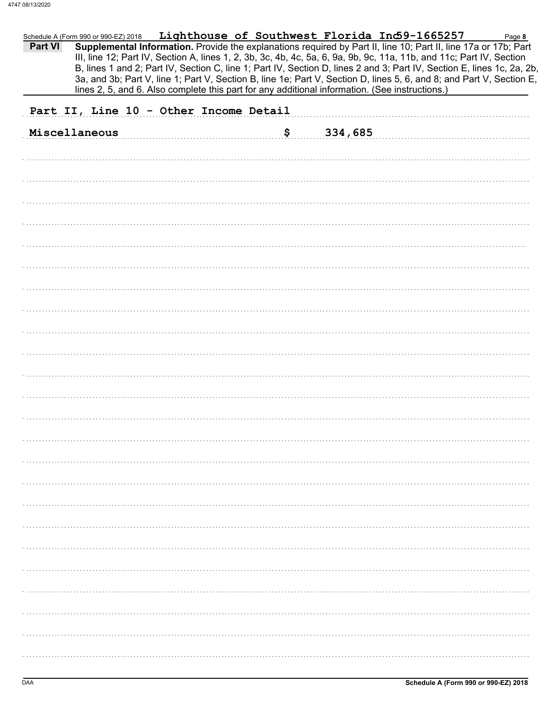| <b>Part VI</b> | Schedule A (Form 990 or 990-EZ) 2018   |  |                                                                                                | Lighthouse of Southwest Florida Ind9-1665257<br>Supplemental Information. Provide the explanations required by Part II, line 10; Part II, line 17a or 17b; Part<br>III, line 12; Part IV, Section A, lines 1, 2, 3b, 3c, 4b, 4c, 5a, 6, 9a, 9b, 9c, 11a, 11b, and 11c; Part IV, Section<br>B, lines 1 and 2; Part IV, Section C, line 1; Part IV, Section D, lines 2 and 3; Part IV, Section E, lines 1c, 2a, 2b,<br>3a, and 3b; Part V, line 1; Part V, Section B, line 1e; Part V, Section D, lines 5, 6, and 8; and Part V, Section E, | Page 8 |
|----------------|----------------------------------------|--|------------------------------------------------------------------------------------------------|-------------------------------------------------------------------------------------------------------------------------------------------------------------------------------------------------------------------------------------------------------------------------------------------------------------------------------------------------------------------------------------------------------------------------------------------------------------------------------------------------------------------------------------------|--------|
|                |                                        |  | lines 2, 5, and 6. Also complete this part for any additional information. (See instructions.) |                                                                                                                                                                                                                                                                                                                                                                                                                                                                                                                                           |        |
|                | Part II, Line 10 - Other Income Detail |  |                                                                                                |                                                                                                                                                                                                                                                                                                                                                                                                                                                                                                                                           |        |
|                | Miscellaneous                          |  | \$<br>334,685                                                                                  |                                                                                                                                                                                                                                                                                                                                                                                                                                                                                                                                           |        |
|                |                                        |  |                                                                                                |                                                                                                                                                                                                                                                                                                                                                                                                                                                                                                                                           |        |
|                |                                        |  |                                                                                                |                                                                                                                                                                                                                                                                                                                                                                                                                                                                                                                                           |        |
|                |                                        |  |                                                                                                |                                                                                                                                                                                                                                                                                                                                                                                                                                                                                                                                           |        |
|                |                                        |  |                                                                                                |                                                                                                                                                                                                                                                                                                                                                                                                                                                                                                                                           |        |
|                |                                        |  |                                                                                                |                                                                                                                                                                                                                                                                                                                                                                                                                                                                                                                                           |        |
|                |                                        |  |                                                                                                |                                                                                                                                                                                                                                                                                                                                                                                                                                                                                                                                           |        |
|                |                                        |  |                                                                                                |                                                                                                                                                                                                                                                                                                                                                                                                                                                                                                                                           |        |
|                |                                        |  |                                                                                                |                                                                                                                                                                                                                                                                                                                                                                                                                                                                                                                                           |        |
|                |                                        |  |                                                                                                |                                                                                                                                                                                                                                                                                                                                                                                                                                                                                                                                           |        |
|                |                                        |  |                                                                                                |                                                                                                                                                                                                                                                                                                                                                                                                                                                                                                                                           |        |
|                |                                        |  |                                                                                                |                                                                                                                                                                                                                                                                                                                                                                                                                                                                                                                                           |        |
|                |                                        |  |                                                                                                |                                                                                                                                                                                                                                                                                                                                                                                                                                                                                                                                           |        |
|                |                                        |  |                                                                                                |                                                                                                                                                                                                                                                                                                                                                                                                                                                                                                                                           |        |
|                |                                        |  |                                                                                                |                                                                                                                                                                                                                                                                                                                                                                                                                                                                                                                                           |        |
|                |                                        |  |                                                                                                |                                                                                                                                                                                                                                                                                                                                                                                                                                                                                                                                           |        |
|                |                                        |  |                                                                                                |                                                                                                                                                                                                                                                                                                                                                                                                                                                                                                                                           |        |
|                |                                        |  |                                                                                                |                                                                                                                                                                                                                                                                                                                                                                                                                                                                                                                                           |        |
|                |                                        |  |                                                                                                |                                                                                                                                                                                                                                                                                                                                                                                                                                                                                                                                           |        |
|                |                                        |  |                                                                                                |                                                                                                                                                                                                                                                                                                                                                                                                                                                                                                                                           |        |
|                |                                        |  |                                                                                                |                                                                                                                                                                                                                                                                                                                                                                                                                                                                                                                                           |        |
|                |                                        |  |                                                                                                |                                                                                                                                                                                                                                                                                                                                                                                                                                                                                                                                           |        |
|                |                                        |  |                                                                                                |                                                                                                                                                                                                                                                                                                                                                                                                                                                                                                                                           |        |
|                |                                        |  |                                                                                                |                                                                                                                                                                                                                                                                                                                                                                                                                                                                                                                                           |        |
|                |                                        |  |                                                                                                |                                                                                                                                                                                                                                                                                                                                                                                                                                                                                                                                           |        |
|                |                                        |  |                                                                                                |                                                                                                                                                                                                                                                                                                                                                                                                                                                                                                                                           |        |
|                |                                        |  |                                                                                                |                                                                                                                                                                                                                                                                                                                                                                                                                                                                                                                                           |        |
|                |                                        |  |                                                                                                |                                                                                                                                                                                                                                                                                                                                                                                                                                                                                                                                           |        |
|                |                                        |  |                                                                                                |                                                                                                                                                                                                                                                                                                                                                                                                                                                                                                                                           |        |
|                |                                        |  |                                                                                                |                                                                                                                                                                                                                                                                                                                                                                                                                                                                                                                                           |        |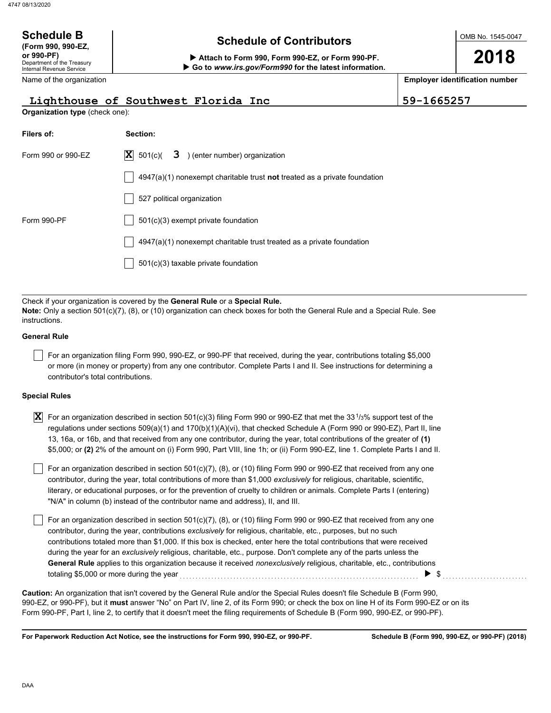| <b>Schedule B</b><br>(Form 990, 990-EZ,<br>or 990-PF)<br>Department of the Treasury<br><b>Internal Revenue Service</b><br>Name of the organization                                                                              | <b>Schedule of Contributors</b><br>Attach to Form 990, Form 990-EZ, or Form 990-PF.<br>Go to www.irs.gov/Form990 for the latest information. |            | OMB No. 1545-0047<br>2018<br><b>Employer identification number</b> |  |  |  |
|---------------------------------------------------------------------------------------------------------------------------------------------------------------------------------------------------------------------------------|----------------------------------------------------------------------------------------------------------------------------------------------|------------|--------------------------------------------------------------------|--|--|--|
|                                                                                                                                                                                                                                 | Lighthouse of Southwest Florida Inc                                                                                                          | 59-1665257 |                                                                    |  |  |  |
| Organization type (check one):                                                                                                                                                                                                  |                                                                                                                                              |            |                                                                    |  |  |  |
| Filers of:                                                                                                                                                                                                                      | Section:                                                                                                                                     |            |                                                                    |  |  |  |
| Form 990 or 990-EZ                                                                                                                                                                                                              | 3 ) (enter number) organization<br>$ \mathbf{X} $ 501(c)(                                                                                    |            |                                                                    |  |  |  |
|                                                                                                                                                                                                                                 | $4947(a)(1)$ nonexempt charitable trust <b>not</b> treated as a private foundation                                                           |            |                                                                    |  |  |  |
|                                                                                                                                                                                                                                 | 527 political organization                                                                                                                   |            |                                                                    |  |  |  |
| Form 990-PF                                                                                                                                                                                                                     | 501(c)(3) exempt private foundation                                                                                                          |            |                                                                    |  |  |  |
| 4947(a)(1) nonexempt charitable trust treated as a private foundation                                                                                                                                                           |                                                                                                                                              |            |                                                                    |  |  |  |
|                                                                                                                                                                                                                                 | 501(c)(3) taxable private foundation                                                                                                         |            |                                                                    |  |  |  |
|                                                                                                                                                                                                                                 |                                                                                                                                              |            |                                                                    |  |  |  |
| Check if your organization is covered by the General Rule or a Special Rule.<br>Note: Only a section $501(c)(7)$ , (8), or (10) organization can check boxes for both the General Rule and a Special Rule. See<br>instructions. |                                                                                                                                              |            |                                                                    |  |  |  |

### **General Rule**

For an organization filing Form 990, 990-EZ, or 990-PF that received, during the year, contributions totaling \$5,000 or more (in money or property) from any one contributor. Complete Parts I and II. See instructions for determining a contributor's total contributions.

### **Special Rules**

| <b>X</b> For an organization described in section 501(c)(3) filing Form 990 or 990-EZ that met the 33 <sup>1</sup> /3% support test of the |
|--------------------------------------------------------------------------------------------------------------------------------------------|
| regulations under sections 509(a)(1) and 170(b)(1)(A)(vi), that checked Schedule A (Form 990 or 990-EZ), Part II, line                     |
| 13, 16a, or 16b, and that received from any one contributor, during the year, total contributions of the greater of (1)                    |
| \$5,000; or (2) 2% of the amount on (i) Form 990, Part VIII, line 1h; or (ii) Form 990-EZ, line 1. Complete Parts I and II.                |

literary, or educational purposes, or for the prevention of cruelty to children or animals. Complete Parts I (entering) For an organization described in section 501(c)(7), (8), or (10) filing Form 990 or 990-EZ that received from any one contributor, during the year, total contributions of more than \$1,000 *exclusively* for religious, charitable, scientific, "N/A" in column (b) instead of the contributor name and address), II, and III.

For an organization described in section 501(c)(7), (8), or (10) filing Form 990 or 990-EZ that received from any one contributor, during the year, contributions *exclusively* for religious, charitable, etc., purposes, but no such contributions totaled more than \$1,000. If this box is checked, enter here the total contributions that were received during the year for an *exclusively* religious, charitable, etc., purpose. Don't complete any of the parts unless the **General Rule** applies to this organization because it received *nonexclusively* religious, charitable, etc., contributions totaling \$5,000 or more during the year . . . . . . . . . . . . . . . . . . . . . . . . . . . . . . . . . . . . . . . . . . . . . . . . . . . . . . . . . . . . . . . . . . . . . . . . . . . . \$ . . . . . . . . . . . . . . . . . . . . . . . . . . .

990-EZ, or 990-PF), but it **must** answer "No" on Part IV, line 2, of its Form 990; or check the box on line H of its Form 990-EZ or on its Form 990-PF, Part I, line 2, to certify that it doesn't meet the filing requirements of Schedule B (Form 990, 990-EZ, or 990-PF). **Caution:** An organization that isn't covered by the General Rule and/or the Special Rules doesn't file Schedule B (Form 990,

**For Paperwork Reduction Act Notice, see the instructions for Form 990, 990-EZ, or 990-PF.**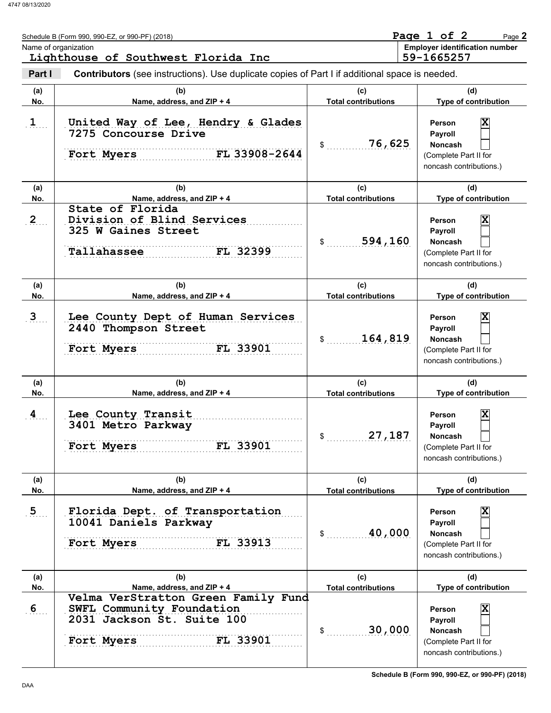|                  | Schedule B (Form 990, 990-EZ, or 990-PF) (2018)<br>Name of organization<br>Lighthouse of Southwest Florida Inc           |                                   | Page 1 of 2<br>Page 2<br><b>Employer identification number</b><br>59-1665257                                              |
|------------------|--------------------------------------------------------------------------------------------------------------------------|-----------------------------------|---------------------------------------------------------------------------------------------------------------------------|
| Part I           | <b>Contributors</b> (see instructions). Use duplicate copies of Part I if additional space is needed.                    |                                   |                                                                                                                           |
| (a)<br>No.       | (b)<br>Name, address, and ZIP + 4                                                                                        | (c)<br><b>Total contributions</b> | (d)<br>Type of contribution                                                                                               |
| $\mathbf{1}$     | United Way of Lee, Hendry & Glades<br><b>7275 Concourse Drive</b><br>FL 33908-2644<br>Fort Myers                         | 76,625<br>$\mathsf{S}$            | $\overline{\mathbf{x}}$<br><b>Person</b><br>Payroll<br><b>Noncash</b><br>(Complete Part II for<br>noncash contributions.) |
| (a)<br>No.       | (b)<br>Name, address, and ZIP + 4                                                                                        | (c)<br><b>Total contributions</b> | (d)<br>Type of contribution                                                                                               |
| 2                | State of Florida<br>Division of Blind Services<br>325 W Gaines Street<br>Tallahassee<br>FL 32399                         | 594,160                           | $\overline{\mathbf{x}}$<br>Person<br>Payroll<br><b>Noncash</b><br>(Complete Part II for<br>noncash contributions.)        |
| (a)<br>No.       | (b)<br>Name, address, and ZIP + 4                                                                                        | (c)<br><b>Total contributions</b> | (d)<br>Type of contribution                                                                                               |
| 3 <sub>1</sub>   | Lee County Dept of Human Services<br>2440 Thompson Street<br>FL 33901<br>Fort Myers                                      | 164,819<br>\$                     | X<br>Person<br>Payroll<br><b>Noncash</b><br>(Complete Part II for<br>noncash contributions.)                              |
| (a)<br>No.       | (b)<br>Name, address, and ZIP + 4                                                                                        | (c)<br><b>Total contributions</b> | (d)<br>Type of contribution                                                                                               |
| $\overline{4}$   | Lee County Transit<br>3401 Metro Parkway<br>Fort Myers<br>FL 33901                                                       | 27,187<br>\$                      | $\overline{\mathbf{x}}$<br><b>Person</b><br>Payroll<br>Noncash<br>(Complete Part II for<br>noncash contributions.)        |
| (a)<br>No.       | (b)<br>Name, address, and ZIP + 4                                                                                        | (c)<br><b>Total contributions</b> | (d)<br>Type of contribution                                                                                               |
| $\overline{5}$   | Florida Dept. of Transportation<br>10041 Daniels Parkway<br>FL 33913<br>Fort Myers                                       | 40,000<br>\$                      | X<br>Person<br>Payroll<br>Noncash<br>(Complete Part II for<br>noncash contributions.)                                     |
| (a)<br>No.       | (b)<br>Name, address, and ZIP + 4                                                                                        | (c)<br><b>Total contributions</b> | (d)<br>Type of contribution                                                                                               |
| $6 \overline{6}$ | Velma VerStratton Green Family Fund<br>SWFL Community Foundation<br>2031 Jackson St. Suite 100<br>FL 33901<br>Fort Myers | 30,000<br>\$                      | $\overline{\mathbf{x}}$<br>Person<br>Payroll<br>Noncash<br>(Complete Part II for<br>noncash contributions.)               |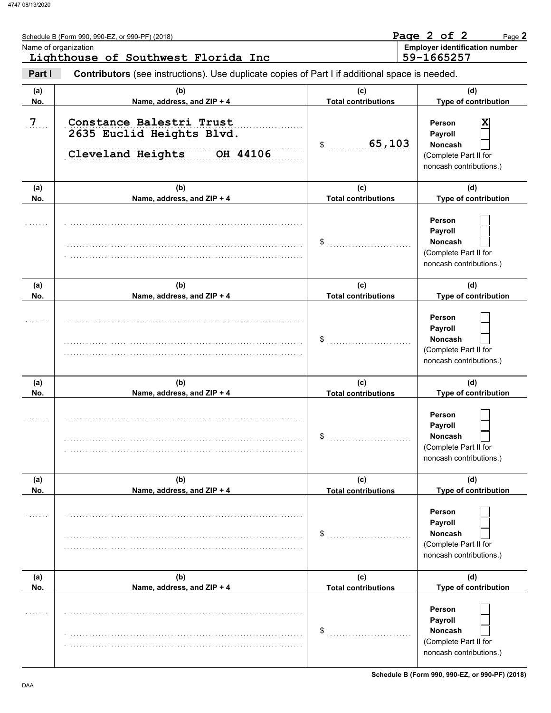|                 | Schedule B (Form 990, 990-EZ, or 990-PF) (2018)<br>Name of organization<br>Lighthouse of Southwest Florida Inc |                                   | Page 2 of 2<br>Page 2<br><b>Employer identification number</b><br>59-1665257                                |
|-----------------|----------------------------------------------------------------------------------------------------------------|-----------------------------------|-------------------------------------------------------------------------------------------------------------|
| Part I          | Contributors (see instructions). Use duplicate copies of Part I if additional space is needed.                 |                                   |                                                                                                             |
| (a)<br>No.      | (b)<br>Name, address, and ZIP + 4                                                                              | (c)<br><b>Total contributions</b> | (d)<br>Type of contribution                                                                                 |
| $7$ <sub></sub> | Constance Balestri Trust<br>2635 Euclid Heights Blvd.<br>Cleveland Heights<br>OH 44106                         | 65,103<br>$\sim$                  | $\overline{\mathbf{x}}$<br>Person<br>Payroll<br>Noncash<br>(Complete Part II for<br>noncash contributions.) |
| (a)<br>No.      | (b)<br>Name, address, and ZIP + 4                                                                              | (c)<br><b>Total contributions</b> | (d)<br>Type of contribution                                                                                 |
|                 |                                                                                                                | \$                                | <b>Person</b><br>Payroll<br>Noncash<br>(Complete Part II for<br>noncash contributions.)                     |
| (a)<br>No.      | (b)<br>Name, address, and ZIP + 4                                                                              | (c)<br><b>Total contributions</b> | (d)<br>Type of contribution                                                                                 |
|                 |                                                                                                                | \$                                | Person<br>Payroll<br>Noncash<br>(Complete Part II for<br>noncash contributions.)                            |
| (a)<br>No.      | (b)<br>Name, address, and ZIP + 4                                                                              | (c)<br><b>Total contributions</b> | (d)<br>Type of contribution                                                                                 |
| .               |                                                                                                                | \$                                | Person<br><b>Payroll</b><br>Noncash<br>(Complete Part II for<br>noncash contributions.)                     |
| (a)<br>No.      | (b)<br>Name, address, and ZIP + 4                                                                              | (c)<br><b>Total contributions</b> | (d)<br>Type of contribution                                                                                 |
|                 |                                                                                                                | \$                                | Person<br>Payroll<br><b>Noncash</b><br>(Complete Part II for<br>noncash contributions.)                     |
| (a)<br>No.      | (b)<br>Name, address, and ZIP + 4                                                                              | (c)<br><b>Total contributions</b> | (d)<br>Type of contribution                                                                                 |
|                 |                                                                                                                | \$                                | Person<br>Payroll<br>Noncash<br>(Complete Part II for<br>noncash contributions.)                            |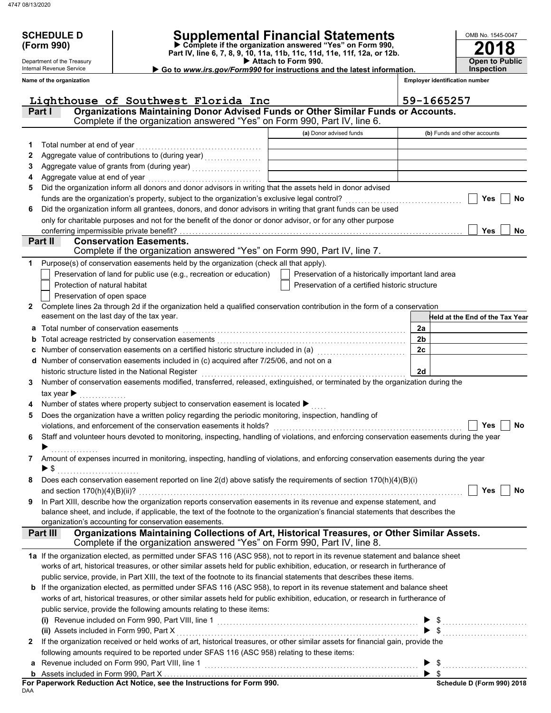Department of the Treasury Internal Revenue Service **Name of the organization**

# **SCHEDULE D Supplemental Financial Statements**

 **Attach to Form 990. (Form 990) Part IV, line 6, 7, 8, 9, 10, 11a, 11b, 11c, 11d, 11e, 11f, 12a, or 12b. Complete if the organization answered "Yes" on Form 990,**

 **Go to** *www.irs.gov/Form990* **for instructions and the latest information.**

**2018 Open to Public Inspection**

OMB No. 1545-0047

**Employer identification number**

|   | Lighthouse of Southwest Florida Inc                                                                                                                     |                                                    | 59-1665257                      |
|---|---------------------------------------------------------------------------------------------------------------------------------------------------------|----------------------------------------------------|---------------------------------|
|   | Organizations Maintaining Donor Advised Funds or Other Similar Funds or Accounts.<br>Part I                                                             |                                                    |                                 |
|   | Complete if the organization answered "Yes" on Form 990, Part IV, line 6.                                                                               |                                                    |                                 |
|   |                                                                                                                                                         | (a) Donor advised funds                            | (b) Funds and other accounts    |
| 1 | Total number at end of year                                                                                                                             |                                                    |                                 |
| 2 |                                                                                                                                                         |                                                    |                                 |
| З |                                                                                                                                                         |                                                    |                                 |
| 4 | Aggregate value at end of year                                                                                                                          |                                                    |                                 |
| 5 | Did the organization inform all donors and donor advisors in writing that the assets held in donor advised                                              |                                                    |                                 |
|   | funds are the organization's property, subject to the organization's exclusive legal control?                                                           |                                                    | Yes<br>No                       |
| 6 | Did the organization inform all grantees, donors, and donor advisors in writing that grant funds can be used                                            |                                                    |                                 |
|   | only for charitable purposes and not for the benefit of the donor or donor advisor, or for any other purpose                                            |                                                    |                                 |
|   | conferring impermissible private benefit?                                                                                                               |                                                    | Yes<br>No                       |
|   | Part II<br><b>Conservation Easements.</b>                                                                                                               |                                                    |                                 |
|   | Complete if the organization answered "Yes" on Form 990, Part IV, line 7.                                                                               |                                                    |                                 |
| 1 | Purpose(s) of conservation easements held by the organization (check all that apply).                                                                   |                                                    |                                 |
|   | Preservation of land for public use (e.g., recreation or education)                                                                                     |                                                    |                                 |
|   | Protection of natural habitat                                                                                                                           | Preservation of a historically important land area |                                 |
|   |                                                                                                                                                         | Preservation of a certified historic structure     |                                 |
|   | Preservation of open space<br>Complete lines 2a through 2d if the organization held a qualified conservation contribution in the form of a conservation |                                                    |                                 |
| 2 | easement on the last day of the tax year.                                                                                                               |                                                    |                                 |
|   |                                                                                                                                                         |                                                    | Held at the End of the Tax Year |
| а | Total number of conservation easements                                                                                                                  |                                                    | 2a                              |
| b |                                                                                                                                                         |                                                    | 2b                              |
|   | Number of conservation easements on a certified historic structure included in (a) [11] Number of conservation                                          |                                                    | 2c                              |
|   | d Number of conservation easements included in (c) acquired after 7/25/06, and not on a                                                                 |                                                    |                                 |
|   | historic structure listed in the National Register                                                                                                      |                                                    | 2d                              |
| 3 | Number of conservation easements modified, transferred, released, extinguished, or terminated by the organization during the                            |                                                    |                                 |
|   | tax year $\blacktriangleright$                                                                                                                          |                                                    |                                 |
|   | Number of states where property subject to conservation easement is located ▶                                                                           |                                                    |                                 |
| 5 | Does the organization have a written policy regarding the periodic monitoring, inspection, handling of                                                  |                                                    |                                 |
|   | violations, and enforcement of the conservation easements it holds?                                                                                     |                                                    | Yes<br>No                       |
| 6 | Staff and volunteer hours devoted to monitoring, inspecting, handling of violations, and enforcing conservation easements during the year               |                                                    |                                 |
|   |                                                                                                                                                         |                                                    |                                 |
| 7 | Amount of expenses incurred in monitoring, inspecting, handling of violations, and enforcing conservation easements during the year                     |                                                    |                                 |
|   | $\blacktriangleright$ \$                                                                                                                                |                                                    |                                 |
| 8 | Does each conservation easement reported on line 2(d) above satisfy the requirements of section 170(h)(4)(B)(i)                                         |                                                    |                                 |
|   |                                                                                                                                                         |                                                    | Yes<br>No                       |
| 9 | In Part XIII, describe how the organization reports conservation easements in its revenue and expense statement, and                                    |                                                    |                                 |
|   | balance sheet, and include, if applicable, the text of the footnote to the organization's financial statements that describes the                       |                                                    |                                 |
|   | organization's accounting for conservation easements.                                                                                                   |                                                    |                                 |
|   | Organizations Maintaining Collections of Art, Historical Treasures, or Other Similar Assets.<br>Part III                                                |                                                    |                                 |
|   | Complete if the organization answered "Yes" on Form 990, Part IV, line 8.                                                                               |                                                    |                                 |
|   | 1a If the organization elected, as permitted under SFAS 116 (ASC 958), not to report in its revenue statement and balance sheet                         |                                                    |                                 |
|   | works of art, historical treasures, or other similar assets held for public exhibition, education, or research in furtherance of                        |                                                    |                                 |
|   | public service, provide, in Part XIII, the text of the footnote to its financial statements that describes these items.                                 |                                                    |                                 |
|   | <b>b</b> If the organization elected, as permitted under SFAS 116 (ASC 958), to report in its revenue statement and balance sheet                       |                                                    |                                 |
|   | works of art, historical treasures, or other similar assets held for public exhibition, education, or research in furtherance of                        |                                                    |                                 |
|   | public service, provide the following amounts relating to these items:                                                                                  |                                                    |                                 |
|   |                                                                                                                                                         |                                                    | $\blacktriangleright$ \$        |
|   | (ii) Assets included in Form 990, Part X                                                                                                                |                                                    |                                 |
| 2 | If the organization received or held works of art, historical treasures, or other similar assets for financial gain, provide the                        |                                                    |                                 |
|   | following amounts required to be reported under SFAS 116 (ASC 958) relating to these items:                                                             |                                                    |                                 |
| a | Revenue included on Form 990, Part VIII, line 1                                                                                                         |                                                    | $\triangleright$ \$             |
|   |                                                                                                                                                         |                                                    |                                 |

|     | For Paperwork Reduction Act Notice, see the Instructions for Form 990. |
|-----|------------------------------------------------------------------------|
| DAA |                                                                        |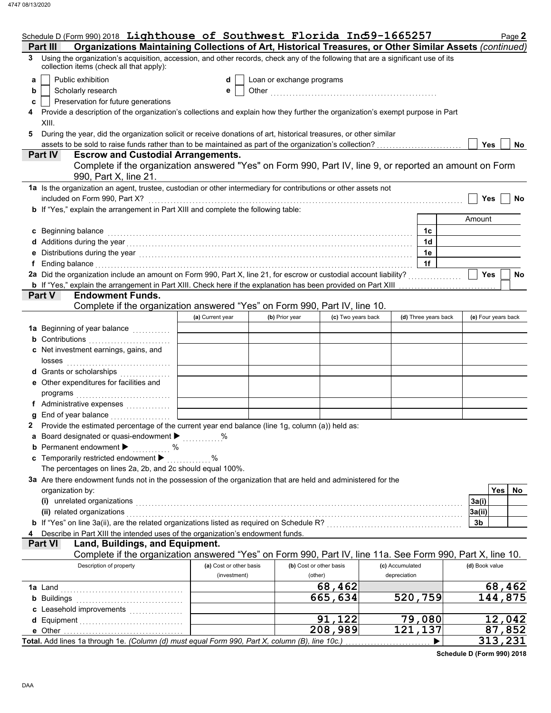|   | Schedule D (Form 990) 2018 Lighthouse of Southwest Florida Ind 9-1665257                                                                                                                                                      |                         |                |                         |                 |                      |  |                | Page 2              |
|---|-------------------------------------------------------------------------------------------------------------------------------------------------------------------------------------------------------------------------------|-------------------------|----------------|-------------------------|-----------------|----------------------|--|----------------|---------------------|
|   | Organizations Maintaining Collections of Art, Historical Treasures, or Other Similar Assets (continued)<br><b>Part III</b>                                                                                                    |                         |                |                         |                 |                      |  |                |                     |
| 3 | Using the organization's acquisition, accession, and other records, check any of the following that are a significant use of its<br>collection items (check all that apply):                                                  |                         |                |                         |                 |                      |  |                |                     |
| a | Public exhibition<br>Loan or exchange programs<br>d                                                                                                                                                                           |                         |                |                         |                 |                      |  |                |                     |
| b | Scholarly research                                                                                                                                                                                                            | е                       |                |                         |                 |                      |  |                |                     |
| c | Preservation for future generations                                                                                                                                                                                           |                         |                |                         |                 |                      |  |                |                     |
|   | Provide a description of the organization's collections and explain how they further the organization's exempt purpose in Part                                                                                                |                         |                |                         |                 |                      |  |                |                     |
|   | XIII.                                                                                                                                                                                                                         |                         |                |                         |                 |                      |  |                |                     |
| 5 | During the year, did the organization solicit or receive donations of art, historical treasures, or other similar                                                                                                             |                         |                |                         |                 |                      |  |                |                     |
|   |                                                                                                                                                                                                                               |                         |                |                         |                 |                      |  | Yes            | No                  |
|   | <b>Escrow and Custodial Arrangements.</b><br><b>Part IV</b>                                                                                                                                                                   |                         |                |                         |                 |                      |  |                |                     |
|   | Complete if the organization answered "Yes" on Form 990, Part IV, line 9, or reported an amount on Form<br>990, Part X, line 21.                                                                                              |                         |                |                         |                 |                      |  |                |                     |
|   | 1a Is the organization an agent, trustee, custodian or other intermediary for contributions or other assets not<br>included on Form 990, Part X?                                                                              |                         |                |                         |                 |                      |  | Yes            | No                  |
|   | <b>b</b> If "Yes," explain the arrangement in Part XIII and complete the following table:                                                                                                                                     |                         |                |                         |                 |                      |  |                |                     |
|   |                                                                                                                                                                                                                               |                         |                |                         |                 |                      |  | Amount         |                     |
|   | c Beginning balance                                                                                                                                                                                                           |                         |                |                         |                 | 1c                   |  |                |                     |
|   |                                                                                                                                                                                                                               |                         |                |                         |                 | 1 <sub>d</sub>       |  |                |                     |
|   |                                                                                                                                                                                                                               |                         |                |                         |                 | 1e                   |  |                |                     |
|   | Ending balance with a construction of the construction of the construction of the construction of the construction of the construction of the construction of the construction of the construction of the construction of the |                         |                |                         |                 | 1f                   |  |                |                     |
|   |                                                                                                                                                                                                                               |                         |                |                         |                 |                      |  | <b>Yes</b>     | No                  |
|   | <b>b</b> If "Yes," explain the arrangement in Part XIII. Check here if the explanation has been provided on Part XIII                                                                                                         |                         |                |                         |                 |                      |  |                |                     |
|   | Part V<br><b>Endowment Funds.</b>                                                                                                                                                                                             |                         |                |                         |                 |                      |  |                |                     |
|   | Complete if the organization answered "Yes" on Form 990, Part IV, line 10.                                                                                                                                                    |                         |                |                         |                 |                      |  |                |                     |
|   |                                                                                                                                                                                                                               | (a) Current year        | (b) Prior year | (c) Two years back      |                 | (d) Three years back |  |                | (e) Four years back |
|   |                                                                                                                                                                                                                               |                         |                |                         |                 |                      |  |                |                     |
|   | <b>b</b> Contributions                                                                                                                                                                                                        |                         |                |                         |                 |                      |  |                |                     |
|   | c Net investment earnings, gains, and                                                                                                                                                                                         |                         |                |                         |                 |                      |  |                |                     |
|   | losses                                                                                                                                                                                                                        |                         |                |                         |                 |                      |  |                |                     |
|   | d Grants or scholarships<br>.                                                                                                                                                                                                 |                         |                |                         |                 |                      |  |                |                     |
|   | e Other expenditures for facilities and                                                                                                                                                                                       |                         |                |                         |                 |                      |  |                |                     |
|   | programs                                                                                                                                                                                                                      |                         |                |                         |                 |                      |  |                |                     |
|   | f Administrative expenses                                                                                                                                                                                                     |                         |                |                         |                 |                      |  |                |                     |
|   | End of year balance                                                                                                                                                                                                           |                         |                |                         |                 |                      |  |                |                     |
|   | 2 Provide the estimated percentage of the current year end balance (line 1g, column (a)) held as:<br>Board designated or quasi-endowment > %                                                                                  |                         |                |                         |                 |                      |  |                |                     |
| а | <b>b</b> Permanent endowment $\blacktriangleright$                                                                                                                                                                            |                         |                |                         |                 |                      |  |                |                     |
|   | %<br>c Temporarily restricted endowment                                                                                                                                                                                       | %                       |                |                         |                 |                      |  |                |                     |
|   | The percentages on lines 2a, 2b, and 2c should equal 100%.                                                                                                                                                                    |                         |                |                         |                 |                      |  |                |                     |
|   | 3a Are there endowment funds not in the possession of the organization that are held and administered for the                                                                                                                 |                         |                |                         |                 |                      |  |                |                     |
|   | organization by:                                                                                                                                                                                                              |                         |                |                         |                 |                      |  |                | <b>Yes</b><br>No    |
|   | (i) unrelated organizations                                                                                                                                                                                                   |                         |                |                         |                 |                      |  | 3a(i)          |                     |
|   | (ii) related organizations                                                                                                                                                                                                    |                         |                |                         |                 |                      |  | 3a(ii)         |                     |
|   | b If "Yes" on line 3a(ii), are the related organizations listed as required on Schedule R? [[[[[[[[[[[[[[[[[[[                                                                                                                |                         |                |                         |                 |                      |  | 3b             |                     |
|   | Describe in Part XIII the intended uses of the organization's endowment funds.                                                                                                                                                |                         |                |                         |                 |                      |  |                |                     |
|   | Part VI<br>Land, Buildings, and Equipment.                                                                                                                                                                                    |                         |                |                         |                 |                      |  |                |                     |
|   | Complete if the organization answered "Yes" on Form 990, Part IV, line 11a. See Form 990, Part X, line 10.                                                                                                                    |                         |                |                         |                 |                      |  |                |                     |
|   | Description of property                                                                                                                                                                                                       | (a) Cost or other basis |                | (b) Cost or other basis | (c) Accumulated |                      |  | (d) Book value |                     |
|   |                                                                                                                                                                                                                               | (investment)            |                | (other)                 | depreciation    |                      |  |                |                     |
|   | <b>1a</b> Land                                                                                                                                                                                                                |                         |                | 68,462                  |                 |                      |  |                | 68,462              |
|   | <b>b</b> Buildings                                                                                                                                                                                                            |                         |                | 665,634                 |                 | 520,759              |  |                | 144,875             |
|   |                                                                                                                                                                                                                               |                         |                |                         |                 |                      |  |                |                     |
|   | <b>d</b> Equipment                                                                                                                                                                                                            |                         |                | 91,122                  |                 | 79,080               |  |                | 12,042              |
|   | e Other                                                                                                                                                                                                                       |                         |                | $\overline{208}$ , 989  |                 | 121,137              |  |                | 87,852              |
|   | Total. Add lines 1a through 1e. (Column (d) must equal Form 990, Part X, column (B), line 10c.)                                                                                                                               |                         |                |                         |                 |                      |  |                | 313,231             |

**Schedule D (Form 990) 2018**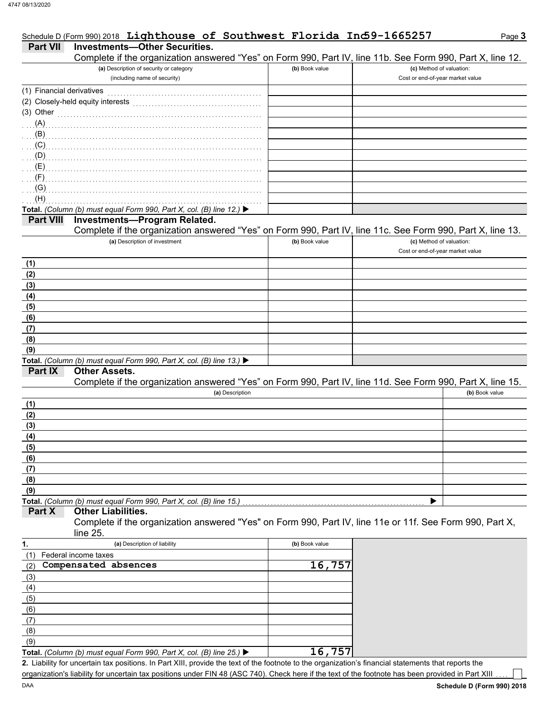|                           | Schedule D (Form 990) 2018 Lighthouse of Southwest Florida Ind 9-1665257                                         |                |                                  | Page 3         |
|---------------------------|------------------------------------------------------------------------------------------------------------------|----------------|----------------------------------|----------------|
| Part VII                  | <b>Investments-Other Securities.</b>                                                                             |                |                                  |                |
|                           | Complete if the organization answered "Yes" on Form 990, Part IV, line 11b. See Form 990, Part X, line 12.       |                |                                  |                |
|                           | (a) Description of security or category                                                                          | (b) Book value | (c) Method of valuation:         |                |
|                           | (including name of security)                                                                                     |                | Cost or end-of-year market value |                |
| (1) Financial derivatives |                                                                                                                  |                |                                  |                |
|                           | (2) Closely-held equity interests                                                                                |                |                                  |                |
| (3) Other                 |                                                                                                                  |                |                                  |                |
| (A)                       |                                                                                                                  |                |                                  |                |
| (B)                       |                                                                                                                  |                |                                  |                |
| (C)                       |                                                                                                                  |                |                                  |                |
| (D)                       |                                                                                                                  |                |                                  |                |
| (E)                       |                                                                                                                  |                |                                  |                |
| (F)                       |                                                                                                                  |                |                                  |                |
| (G)                       |                                                                                                                  |                |                                  |                |
| (H)                       |                                                                                                                  |                |                                  |                |
|                           | Total. (Column (b) must equal Form 990, Part X, col. (B) line 12.) ▶                                             |                |                                  |                |
| <b>Part VIII</b>          | <b>Investments-Program Related.</b>                                                                              |                |                                  |                |
|                           | Complete if the organization answered "Yes" on Form 990, Part IV, line 11c. See Form 990, Part X, line 13.       |                |                                  |                |
|                           | (a) Description of investment                                                                                    | (b) Book value | (c) Method of valuation:         |                |
|                           |                                                                                                                  |                | Cost or end-of-year market value |                |
| (1)                       |                                                                                                                  |                |                                  |                |
| (2)                       |                                                                                                                  |                |                                  |                |
| (3)                       |                                                                                                                  |                |                                  |                |
| (4)                       |                                                                                                                  |                |                                  |                |
| (5)                       |                                                                                                                  |                |                                  |                |
| (6)                       |                                                                                                                  |                |                                  |                |
| (7)                       |                                                                                                                  |                |                                  |                |
| (8)                       |                                                                                                                  |                |                                  |                |
| (9)                       |                                                                                                                  |                |                                  |                |
| Part IX                   | Total. (Column (b) must equal Form 990, Part X, col. (B) line 13.) $\blacktriangleright$<br><b>Other Assets.</b> |                |                                  |                |
|                           | Complete if the organization answered "Yes" on Form 990, Part IV, line 11d. See Form 990, Part X, line 15.       |                |                                  |                |
|                           | (a) Description                                                                                                  |                |                                  | (b) Book value |
| (1)                       |                                                                                                                  |                |                                  |                |
| (2)                       |                                                                                                                  |                |                                  |                |
| (3)                       |                                                                                                                  |                |                                  |                |
| (4)                       |                                                                                                                  |                |                                  |                |
| (5)                       |                                                                                                                  |                |                                  |                |
| (6)                       |                                                                                                                  |                |                                  |                |
| (7)                       |                                                                                                                  |                |                                  |                |
| (8)                       |                                                                                                                  |                |                                  |                |
| (9)                       |                                                                                                                  |                |                                  |                |
|                           | Total. (Column (b) must equal Form 990, Part X, col. (B) line 15.)                                               |                |                                  |                |
| Part X                    | <b>Other Liabilities.</b>                                                                                        |                |                                  |                |
|                           | Complete if the organization answered "Yes" on Form 990, Part IV, line 11e or 11f. See Form 990, Part X,         |                |                                  |                |
|                           | line 25.                                                                                                         |                |                                  |                |
| 1.                        | (a) Description of liability                                                                                     | (b) Book value |                                  |                |
| (1)                       | Federal income taxes                                                                                             |                |                                  |                |
| (2)                       | Compensated absences                                                                                             | 16,757         |                                  |                |
| (3)                       |                                                                                                                  |                |                                  |                |
| (4)                       |                                                                                                                  |                |                                  |                |
| (5)                       |                                                                                                                  |                |                                  |                |
| (6)                       |                                                                                                                  |                |                                  |                |
| (7)                       |                                                                                                                  |                |                                  |                |
| (8)                       |                                                                                                                  |                |                                  |                |
| (9)                       |                                                                                                                  |                |                                  |                |
|                           | Total. (Column (b) must equal Form 990, Part X, col. (B) line 25.) ▶                                             | 16,757         |                                  |                |

Liability for uncertain tax positions. In Part XIII, provide the text of the footnote to the organization's financial statements that reports the **2.** organization's liability for uncertain tax positions under FIN 48 (ASC 740). Check here if the text of the footnote has been provided in Part XIII

 $\overline{\phantom{a}}$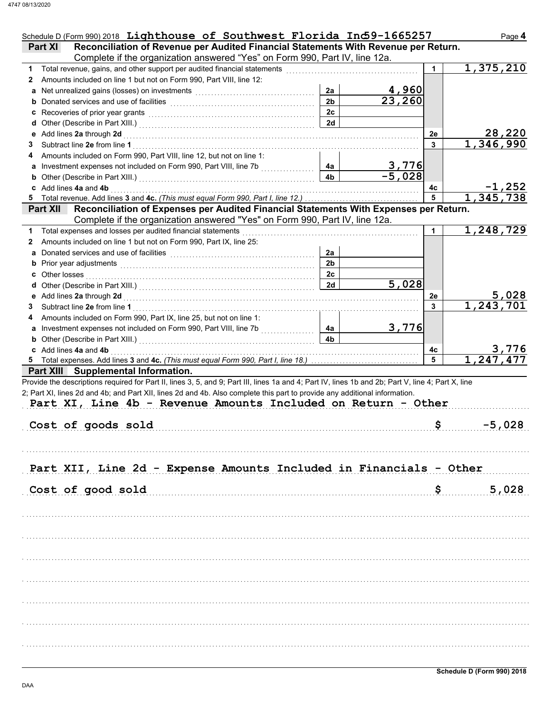| Schedule D (Form 990) 2018 Lighthouse of Southwest Florida Ind59-1665257                                                                                                                                        |                |                        |    | Page 4                       |
|-----------------------------------------------------------------------------------------------------------------------------------------------------------------------------------------------------------------|----------------|------------------------|----|------------------------------|
| Reconciliation of Revenue per Audited Financial Statements With Revenue per Return.<br>Part XI                                                                                                                  |                |                        |    |                              |
| Complete if the organization answered "Yes" on Form 990, Part IV, line 12a.                                                                                                                                     |                |                        |    |                              |
| Total revenue, gains, and other support per audited financial statements<br>1.                                                                                                                                  |                |                        | 1  | 1,375,210                    |
| Amounts included on line 1 but not on Form 990, Part VIII, line 12:<br>2                                                                                                                                        |                |                        |    |                              |
|                                                                                                                                                                                                                 | 2a             | <u>4,960</u>           |    |                              |
|                                                                                                                                                                                                                 | 2 <sub>b</sub> | 23,260                 |    |                              |
|                                                                                                                                                                                                                 | 2c             |                        |    |                              |
|                                                                                                                                                                                                                 | 2d             |                        |    |                              |
|                                                                                                                                                                                                                 |                |                        | 2e | 28,220                       |
| 3                                                                                                                                                                                                               |                |                        | 3  | 1,346,990                    |
| Amounts included on Form 990, Part VIII, line 12, but not on line 1:<br>4                                                                                                                                       |                |                        |    |                              |
| a Investment expenses not included on Form 990, Part VIII, line 7b [11, 11, 11, 11]                                                                                                                             | 4a             | $\frac{3,776}{-5,028}$ |    |                              |
| <b>b</b> Other (Describe in Part XIII.) <b>CONSIDENT DESCRIPTION DESCRIPTION DESCRIPTION DESCRIPTION DESCRIPTION DESCRIPTION DESCRIPTION DESCRIPTION DESCRIPTION DESCRIPTION DESCRIPTION DESCRIPTION DESCRI</b> | 4 <sub>b</sub> |                        |    |                              |
| c Add lines 4a and 4b                                                                                                                                                                                           |                |                        | 4с | <u>-1,252 -</u><br>1,345,738 |
|                                                                                                                                                                                                                 |                |                        | 5  |                              |
| Part XII Reconciliation of Expenses per Audited Financial Statements With Expenses per Return.                                                                                                                  |                |                        |    |                              |
| Complete if the organization answered "Yes" on Form 990, Part IV, line 12a.                                                                                                                                     |                |                        |    |                              |
| Total expenses and losses per audited financial statements<br>1.                                                                                                                                                |                |                        | 1  | 1,248,729                    |
| Amounts included on line 1 but not on Form 990, Part IX, line 25:<br>2                                                                                                                                          |                |                        |    |                              |
|                                                                                                                                                                                                                 | 2a             |                        |    |                              |
|                                                                                                                                                                                                                 | 2 <sub>b</sub> |                        |    |                              |
| <b>c</b> Other losses                                                                                                                                                                                           | 2c             |                        |    |                              |
|                                                                                                                                                                                                                 | 2d             | 5,028                  |    |                              |
|                                                                                                                                                                                                                 |                |                        | 2e | $\frac{5,028}{1,243,701}$    |
| 3                                                                                                                                                                                                               |                |                        | 3  |                              |
| Amounts included on Form 990, Part IX, line 25, but not on line 1:<br>4                                                                                                                                         |                |                        |    |                              |
| a Investment expenses not included on Form 990, Part VIII, line 7b<br><u> 1966 - Johann Stoff, Amerikaansk kon</u>                                                                                              | 4a             | 3,776                  |    |                              |
|                                                                                                                                                                                                                 | 4b             |                        |    |                              |
| c Add lines 4a and 4b                                                                                                                                                                                           |                |                        | 4с | 3,776                        |
|                                                                                                                                                                                                                 |                |                        | 5  | 1.247,477                    |
| Part XIII Supplemental Information.                                                                                                                                                                             |                |                        |    |                              |
| Provide the descriptions required for Part II, lines 3, 5, and 9; Part III, lines 1a and 4; Part IV, lines 1b and 2b; Part V, line 4; Part X, line                                                              |                |                        |    |                              |
| 2; Part XI, lines 2d and 4b; and Part XII, lines 2d and 4b. Also complete this part to provide any additional information.                                                                                      |                |                        |    |                              |
| Part XI, Line 4b - Revenue Amounts Included on Return - Other                                                                                                                                                   |                |                        |    |                              |
|                                                                                                                                                                                                                 |                |                        |    |                              |
| Cost of goods sold                                                                                                                                                                                              |                |                        | \$ | $-5,028$                     |
|                                                                                                                                                                                                                 |                |                        |    |                              |
|                                                                                                                                                                                                                 |                |                        |    |                              |
|                                                                                                                                                                                                                 |                |                        |    |                              |
| Part XII, Line 2d - Expense Amounts Included in Financials - Other                                                                                                                                              |                |                        |    |                              |
|                                                                                                                                                                                                                 |                |                        |    |                              |
| Cost of good sold                                                                                                                                                                                               |                |                        | \$ | 5,028                        |
|                                                                                                                                                                                                                 |                |                        |    |                              |
|                                                                                                                                                                                                                 |                |                        |    |                              |
|                                                                                                                                                                                                                 |                |                        |    |                              |
|                                                                                                                                                                                                                 |                |                        |    |                              |
|                                                                                                                                                                                                                 |                |                        |    |                              |
|                                                                                                                                                                                                                 |                |                        |    |                              |
|                                                                                                                                                                                                                 |                |                        |    |                              |
|                                                                                                                                                                                                                 |                |                        |    |                              |
|                                                                                                                                                                                                                 |                |                        |    |                              |
|                                                                                                                                                                                                                 |                |                        |    |                              |
|                                                                                                                                                                                                                 |                |                        |    |                              |
|                                                                                                                                                                                                                 |                |                        |    |                              |
|                                                                                                                                                                                                                 |                |                        |    |                              |
|                                                                                                                                                                                                                 |                |                        |    |                              |
|                                                                                                                                                                                                                 |                |                        |    |                              |
|                                                                                                                                                                                                                 |                |                        |    |                              |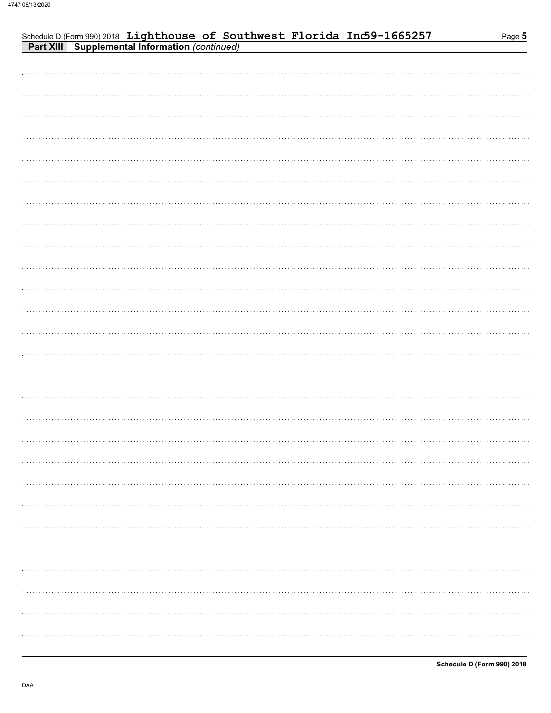| Schedule D (Form 990) 2018 Lighthouse of Southwest Florida Ind59-1665257<br>Part XIII Supplemental Information (continued) | Page 5 |
|----------------------------------------------------------------------------------------------------------------------------|--------|
|                                                                                                                            |        |
|                                                                                                                            |        |
|                                                                                                                            |        |
|                                                                                                                            |        |
|                                                                                                                            |        |
|                                                                                                                            |        |
|                                                                                                                            |        |
|                                                                                                                            |        |
|                                                                                                                            |        |
|                                                                                                                            |        |
|                                                                                                                            |        |
|                                                                                                                            |        |
|                                                                                                                            |        |
|                                                                                                                            |        |
|                                                                                                                            |        |
|                                                                                                                            |        |
|                                                                                                                            |        |
|                                                                                                                            |        |
|                                                                                                                            |        |
|                                                                                                                            |        |
|                                                                                                                            |        |
|                                                                                                                            |        |
|                                                                                                                            |        |
|                                                                                                                            |        |
|                                                                                                                            |        |
|                                                                                                                            |        |
|                                                                                                                            |        |
|                                                                                                                            |        |
|                                                                                                                            |        |
|                                                                                                                            |        |
|                                                                                                                            |        |
|                                                                                                                            |        |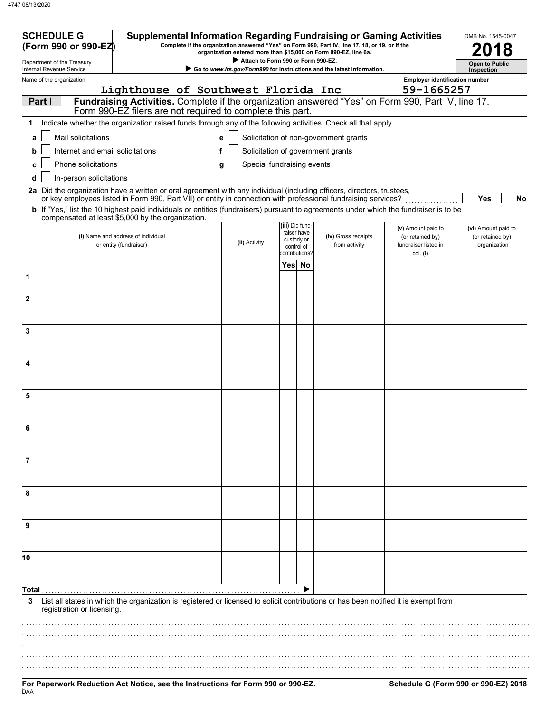| <b>SCHEDULE G</b><br>(Form 990 or 990-EZ)              | <b>Supplemental Information Regarding Fundraising or Gaming Activities</b>                                                                                                                        |   |                                    |  |                                                           | Complete if the organization answered "Yes" on Form 990, Part IV, line 17, 18, or 19, or if the<br>organization entered more than \$15,000 on Form 990-EZ, line 6a. |                                                      | OMB No. 1545-0047                |
|--------------------------------------------------------|---------------------------------------------------------------------------------------------------------------------------------------------------------------------------------------------------|---|------------------------------------|--|-----------------------------------------------------------|---------------------------------------------------------------------------------------------------------------------------------------------------------------------|------------------------------------------------------|----------------------------------|
| Department of the Treasury<br>Internal Revenue Service |                                                                                                                                                                                                   |   | Attach to Form 990 or Form 990-EZ. |  |                                                           | Go to www.irs.gov/Form990 for instructions and the latest information.                                                                                              |                                                      | <b>Open to Public</b>            |
| Name of the organization                               |                                                                                                                                                                                                   |   |                                    |  |                                                           |                                                                                                                                                                     | <b>Employer identification number</b>                | Inspection                       |
|                                                        | Lighthouse of Southwest Florida Inc                                                                                                                                                               |   |                                    |  |                                                           |                                                                                                                                                                     | 59-1665257                                           |                                  |
| Part I                                                 | Fundraising Activities. Complete if the organization answered "Yes" on Form 990, Part IV, line 17.<br>Form 990-EZ filers are not required to complete this part.                                  |   |                                    |  |                                                           |                                                                                                                                                                     |                                                      |                                  |
| 1                                                      | Indicate whether the organization raised funds through any of the following activities. Check all that apply.                                                                                     |   |                                    |  |                                                           |                                                                                                                                                                     |                                                      |                                  |
| Mail solicitations<br>a                                |                                                                                                                                                                                                   | e |                                    |  |                                                           | Solicitation of non-government grants                                                                                                                               |                                                      |                                  |
| b                                                      | Solicitation of government grants<br>Internet and email solicitations<br>f                                                                                                                        |   |                                    |  |                                                           |                                                                                                                                                                     |                                                      |                                  |
| <b>Phone solicitations</b><br>c                        |                                                                                                                                                                                                   | a | Special fundraising events         |  |                                                           |                                                                                                                                                                     |                                                      |                                  |
| In-person solicitations<br>d                           |                                                                                                                                                                                                   |   |                                    |  |                                                           |                                                                                                                                                                     |                                                      |                                  |
|                                                        | 2a Did the organization have a written or oral agreement with any individual (including officers, directors, trustees,                                                                            |   |                                    |  |                                                           |                                                                                                                                                                     |                                                      |                                  |
|                                                        | or key employees listed in Form 990, Part VII) or entity in connection with professional fundraising services?                                                                                    |   |                                    |  |                                                           |                                                                                                                                                                     |                                                      | Yes<br>No                        |
|                                                        | <b>b</b> If "Yes," list the 10 highest paid individuals or entities (fundraisers) pursuant to agreements under which the fundraiser is to be<br>compensated at least \$5,000 by the organization. |   |                                    |  |                                                           |                                                                                                                                                                     |                                                      |                                  |
|                                                        |                                                                                                                                                                                                   |   |                                    |  | (iii) Did fund-                                           |                                                                                                                                                                     | (v) Amount paid to                                   | (vi) Amount paid to              |
|                                                        | (i) Name and address of individual<br>or entity (fundraiser)                                                                                                                                      |   | (ii) Activity                      |  | raiser have<br>custody or<br>control of<br>contributions? | (iv) Gross receipts<br>from activity                                                                                                                                | (or retained by)<br>fundraiser listed in<br>col. (i) | (or retained by)<br>organization |
|                                                        |                                                                                                                                                                                                   |   |                                    |  | Yes No                                                    |                                                                                                                                                                     |                                                      |                                  |
| 1                                                      |                                                                                                                                                                                                   |   |                                    |  |                                                           |                                                                                                                                                                     |                                                      |                                  |
|                                                        |                                                                                                                                                                                                   |   |                                    |  |                                                           |                                                                                                                                                                     |                                                      |                                  |
| $\mathbf{2}$                                           |                                                                                                                                                                                                   |   |                                    |  |                                                           |                                                                                                                                                                     |                                                      |                                  |
|                                                        |                                                                                                                                                                                                   |   |                                    |  |                                                           |                                                                                                                                                                     |                                                      |                                  |
| 3                                                      |                                                                                                                                                                                                   |   |                                    |  |                                                           |                                                                                                                                                                     |                                                      |                                  |
|                                                        |                                                                                                                                                                                                   |   |                                    |  |                                                           |                                                                                                                                                                     |                                                      |                                  |
|                                                        |                                                                                                                                                                                                   |   |                                    |  |                                                           |                                                                                                                                                                     |                                                      |                                  |
|                                                        |                                                                                                                                                                                                   |   |                                    |  |                                                           |                                                                                                                                                                     |                                                      |                                  |
| 5                                                      |                                                                                                                                                                                                   |   |                                    |  |                                                           |                                                                                                                                                                     |                                                      |                                  |
|                                                        |                                                                                                                                                                                                   |   |                                    |  |                                                           |                                                                                                                                                                     |                                                      |                                  |
|                                                        |                                                                                                                                                                                                   |   |                                    |  |                                                           |                                                                                                                                                                     |                                                      |                                  |
|                                                        |                                                                                                                                                                                                   |   |                                    |  |                                                           |                                                                                                                                                                     |                                                      |                                  |
|                                                        |                                                                                                                                                                                                   |   |                                    |  |                                                           |                                                                                                                                                                     |                                                      |                                  |
| 7                                                      |                                                                                                                                                                                                   |   |                                    |  |                                                           |                                                                                                                                                                     |                                                      |                                  |
|                                                        |                                                                                                                                                                                                   |   |                                    |  |                                                           |                                                                                                                                                                     |                                                      |                                  |
|                                                        |                                                                                                                                                                                                   |   |                                    |  |                                                           |                                                                                                                                                                     |                                                      |                                  |
| 8                                                      |                                                                                                                                                                                                   |   |                                    |  |                                                           |                                                                                                                                                                     |                                                      |                                  |
|                                                        |                                                                                                                                                                                                   |   |                                    |  |                                                           |                                                                                                                                                                     |                                                      |                                  |
| 9                                                      |                                                                                                                                                                                                   |   |                                    |  |                                                           |                                                                                                                                                                     |                                                      |                                  |
|                                                        |                                                                                                                                                                                                   |   |                                    |  |                                                           |                                                                                                                                                                     |                                                      |                                  |
|                                                        |                                                                                                                                                                                                   |   |                                    |  |                                                           |                                                                                                                                                                     |                                                      |                                  |
| 10                                                     |                                                                                                                                                                                                   |   |                                    |  |                                                           |                                                                                                                                                                     |                                                      |                                  |
|                                                        |                                                                                                                                                                                                   |   |                                    |  |                                                           |                                                                                                                                                                     |                                                      |                                  |
|                                                        |                                                                                                                                                                                                   |   |                                    |  |                                                           |                                                                                                                                                                     |                                                      |                                  |
| 3<br>registration or licensing.                        | List all states in which the organization is registered or licensed to solicit contributions or has been notified it is exempt from                                                               |   |                                    |  |                                                           |                                                                                                                                                                     |                                                      |                                  |
|                                                        |                                                                                                                                                                                                   |   |                                    |  |                                                           |                                                                                                                                                                     |                                                      |                                  |
|                                                        |                                                                                                                                                                                                   |   |                                    |  |                                                           |                                                                                                                                                                     |                                                      |                                  |
|                                                        |                                                                                                                                                                                                   |   |                                    |  |                                                           |                                                                                                                                                                     |                                                      |                                  |
|                                                        |                                                                                                                                                                                                   |   |                                    |  |                                                           |                                                                                                                                                                     |                                                      |                                  |
|                                                        |                                                                                                                                                                                                   |   |                                    |  |                                                           |                                                                                                                                                                     |                                                      |                                  |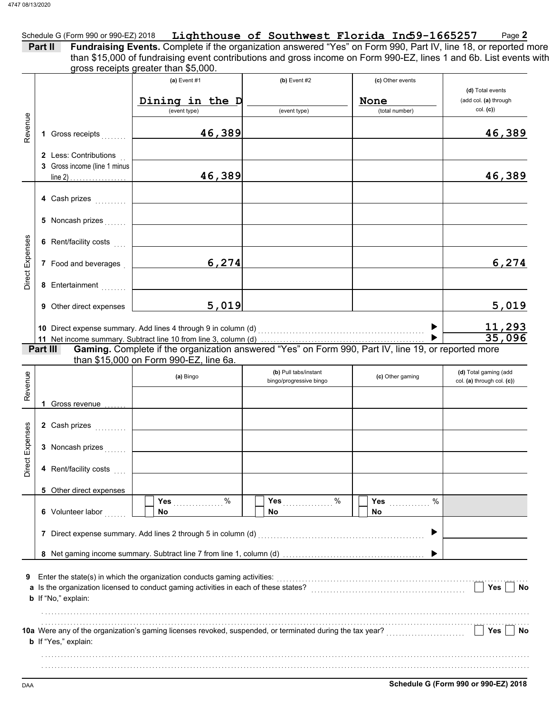|                                                                           | gross receipts greater than \$5,000.                                                                                                                                                                                           |                                                  |                                            |                                                       |
|---------------------------------------------------------------------------|--------------------------------------------------------------------------------------------------------------------------------------------------------------------------------------------------------------------------------|--------------------------------------------------|--------------------------------------------|-------------------------------------------------------|
|                                                                           | (a) Event $#1$<br>Dining in the D<br>(event type)                                                                                                                                                                              | (b) Event $#2$<br>(event type)                   | (c) Other events<br>None<br>(total number) | (d) Total events<br>(add col. (a) through<br>col. (c) |
| 1 Gross receipts                                                          | 46,389                                                                                                                                                                                                                         |                                                  |                                            | 46,389                                                |
| 2 Less: Contributions<br>3 Gross income (line 1 minus<br>line 2) $\ldots$ | 46,389                                                                                                                                                                                                                         |                                                  |                                            | 46,389                                                |
| 4 Cash prizes                                                             |                                                                                                                                                                                                                                |                                                  |                                            |                                                       |
| 5 Noncash prizes                                                          |                                                                                                                                                                                                                                |                                                  |                                            |                                                       |
| 6 Rent/facility costs                                                     |                                                                                                                                                                                                                                |                                                  |                                            |                                                       |
| 7 Food and beverages                                                      | 6,274                                                                                                                                                                                                                          |                                                  |                                            | 6,274                                                 |
| 8 Entertainment<br>9 Other direct expenses                                | 5,019                                                                                                                                                                                                                          |                                                  |                                            | 5,019                                                 |
|                                                                           |                                                                                                                                                                                                                                |                                                  |                                            |                                                       |
| Part III                                                                  | 10 Direct expense summary. Add lines 4 through 9 in column (d) [[[[[21]] [[21] [[21] [[31] [[31] [[31] [[31] [[31] [[31] [[31] [[31] [[31] [[31] [[31] [[31] [[31] [[31] [[31] [[31] [[31] [[31] [[31] [[31] [[31] [[31] [[31] |                                                  | $\blacktriangleright$                      | <u>11,293</u><br>35,096                               |
|                                                                           | than \$15,000 on Form 990-EZ, line 6a.<br>(a) Bingo                                                                                                                                                                            | (b) Pull tabs/instant<br>bingo/progressive bingo | (c) Other gaming                           | (d) Total gaming (add<br>col. (a) through col. (c))   |
| 1 Gross revenue                                                           |                                                                                                                                                                                                                                |                                                  |                                            |                                                       |
| 2 Cash prizes                                                             |                                                                                                                                                                                                                                |                                                  |                                            |                                                       |
| 3 Noncash prizes<br>4 Rent/facility costs<br>a a a a                      |                                                                                                                                                                                                                                |                                                  |                                            |                                                       |
| 5 Other direct expenses                                                   |                                                                                                                                                                                                                                |                                                  |                                            |                                                       |
| 6 Volunteer labor                                                         | <b>Yes</b><br>%<br>No                                                                                                                                                                                                          | <b>Yes</b><br>$\%$<br>No                         | <b>Yes</b><br>%<br>No                      |                                                       |
|                                                                           | 7 Direct expense summary. Add lines 2 through 5 in column (d)                                                                                                                                                                  |                                                  |                                            |                                                       |
|                                                                           |                                                                                                                                                                                                                                |                                                  |                                            |                                                       |
| b If "No," explain:                                                       | Enter the state(s) in which the organization conducts gaming activities:                                                                                                                                                       |                                                  |                                            | Yes<br>No                                             |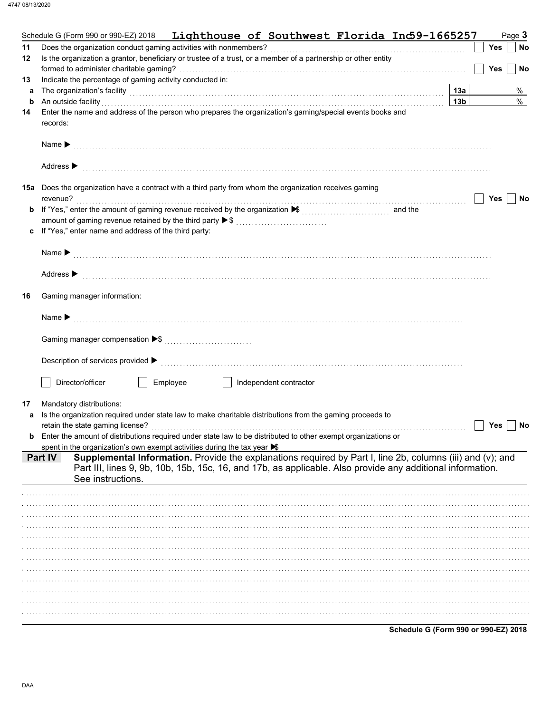|    | Schedule G (Form 990 or 990-EZ) 2018 Lighthouse of Southwest Florida Ind59-1665257                                                                                                                                                                              |                 | Page 3           |
|----|-----------------------------------------------------------------------------------------------------------------------------------------------------------------------------------------------------------------------------------------------------------------|-----------------|------------------|
| 11 |                                                                                                                                                                                                                                                                 |                 | Yes<br>No        |
| 12 | Is the organization a grantor, beneficiary or trustee of a trust, or a member of a partnership or other entity                                                                                                                                                  |                 |                  |
|    |                                                                                                                                                                                                                                                                 |                 | <b>Yes</b><br>No |
| 13 | Indicate the percentage of gaming activity conducted in:                                                                                                                                                                                                        |                 |                  |
| a  | The organization's facility [1, 2003] The organization's facility [1, 2004] The organization's facility [1, 2004] The organization's facility [1, 2004] The organization's facility [1, 2004] The organization of the organiza                                  | 13a             | %                |
| b  | An outside facility encourance and the contract of the contract of the contract of the contract of the contract of the contract of the contract of the contract of the contract of the contract of the contract of the contrac                                  | 13 <sub>b</sub> | $\%$             |
| 14 | Enter the name and address of the person who prepares the organization's gaming/special events books and<br>records:                                                                                                                                            |                 |                  |
|    |                                                                                                                                                                                                                                                                 |                 |                  |
|    | Address ▶                                                                                                                                                                                                                                                       |                 |                  |
|    | 15a Does the organization have a contract with a third party from whom the organization receives gaming                                                                                                                                                         |                 |                  |
|    |                                                                                                                                                                                                                                                                 |                 | Yes<br>No        |
|    | amount of gaming revenue retained by the third party ▶ \$                                                                                                                                                                                                       |                 |                  |
| c  | If "Yes," enter name and address of the third party:                                                                                                                                                                                                            |                 |                  |
|    |                                                                                                                                                                                                                                                                 |                 |                  |
|    |                                                                                                                                                                                                                                                                 |                 |                  |
|    |                                                                                                                                                                                                                                                                 |                 |                  |
|    | Address $\blacktriangleright$                                                                                                                                                                                                                                   |                 |                  |
| 16 | Gaming manager information:                                                                                                                                                                                                                                     |                 |                  |
|    |                                                                                                                                                                                                                                                                 |                 |                  |
|    |                                                                                                                                                                                                                                                                 |                 |                  |
|    |                                                                                                                                                                                                                                                                 |                 |                  |
|    | Director/officer<br>Employee<br>Independent contractor<br>and the state of the state                                                                                                                                                                            |                 |                  |
|    |                                                                                                                                                                                                                                                                 |                 |                  |
| 17 | Mandatory distributions:                                                                                                                                                                                                                                        |                 |                  |
| a  | Is the organization required under state law to make charitable distributions from the gaming proceeds to                                                                                                                                                       |                 | Yes<br>No        |
| b  | Enter the amount of distributions required under state law to be distributed to other exempt organizations or                                                                                                                                                   |                 |                  |
|    | spent in the organization's own exempt activities during the tax year $\blacktriangleright$                                                                                                                                                                     |                 |                  |
|    | Supplemental Information. Provide the explanations required by Part I, line 2b, columns (iii) and (v); and<br><b>Part IV</b><br>Part III, lines 9, 9b, 10b, 15b, 15c, 16, and 17b, as applicable. Also provide any additional information.<br>See instructions. |                 |                  |
|    |                                                                                                                                                                                                                                                                 |                 |                  |
|    |                                                                                                                                                                                                                                                                 |                 |                  |
|    |                                                                                                                                                                                                                                                                 |                 |                  |
|    |                                                                                                                                                                                                                                                                 |                 |                  |
|    |                                                                                                                                                                                                                                                                 |                 |                  |
|    |                                                                                                                                                                                                                                                                 |                 |                  |
|    |                                                                                                                                                                                                                                                                 |                 |                  |
|    |                                                                                                                                                                                                                                                                 |                 |                  |
|    |                                                                                                                                                                                                                                                                 |                 |                  |
|    |                                                                                                                                                                                                                                                                 |                 |                  |
|    |                                                                                                                                                                                                                                                                 |                 |                  |
|    |                                                                                                                                                                                                                                                                 |                 |                  |
|    |                                                                                                                                                                                                                                                                 |                 |                  |

Schedule G (Form 990 or 990-EZ) 2018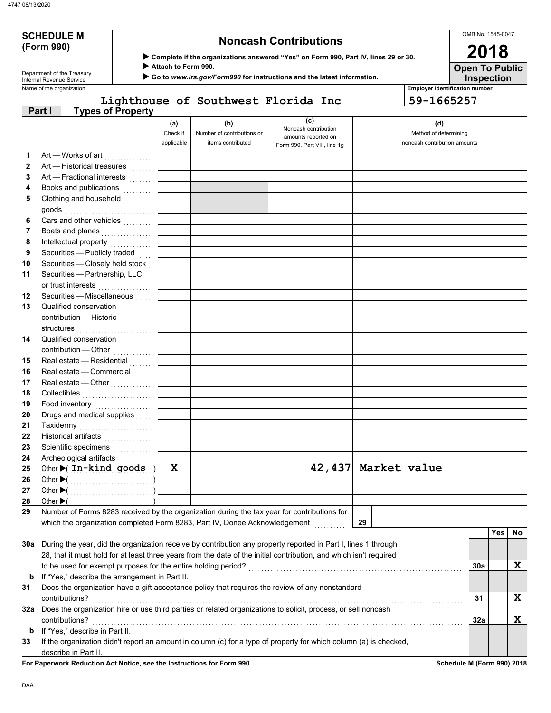# **(Form 990)**

# **SCHEDULE M Noncash Contributions**

 **Complete if the organizations answered "Yes" on Form 990, Part IV, lines 29 or 30.**

 **Attach to Form 990.**

 **Go to** *www.irs.gov/Form990* **for instructions and the latest information.**

Name of the organization **Employer identification number Employer identification number** Department of the Treasury<br>Internal Revenue Service

### **Lighthouse of Southwest Florida Inc 59-1665257**

|              | <b>Types of Property</b><br>Part I                                                                                 |                               |                                                        |                                                    |                                                              |     |            |    |
|--------------|--------------------------------------------------------------------------------------------------------------------|-------------------------------|--------------------------------------------------------|----------------------------------------------------|--------------------------------------------------------------|-----|------------|----|
|              |                                                                                                                    | (a)<br>Check if<br>applicable | (b)<br>Number of contributions or<br>items contributed | (c)<br>Noncash contribution<br>amounts reported on | (d)<br>Method of determining<br>noncash contribution amounts |     |            |    |
|              |                                                                                                                    |                               |                                                        | Form 990, Part VIII, line 1g                       |                                                              |     |            |    |
| 1            | Art - Works of art                                                                                                 |                               |                                                        |                                                    |                                                              |     |            |    |
| $\mathbf{2}$ | Art - Historical treasures                                                                                         |                               |                                                        |                                                    |                                                              |     |            |    |
| 3            | Art - Fractional interests                                                                                         |                               |                                                        |                                                    |                                                              |     |            |    |
| 4            | Books and publications<br>.                                                                                        |                               |                                                        |                                                    |                                                              |     |            |    |
| 5            | Clothing and household                                                                                             |                               |                                                        |                                                    |                                                              |     |            |    |
|              | goods                                                                                                              |                               |                                                        |                                                    |                                                              |     |            |    |
| 6            | Cars and other vehicles                                                                                            |                               |                                                        |                                                    |                                                              |     |            |    |
| 7            | Boats and planes<br>.                                                                                              |                               |                                                        |                                                    |                                                              |     |            |    |
| 8            |                                                                                                                    |                               |                                                        |                                                    |                                                              |     |            |    |
| 9            | Securities - Publicly traded                                                                                       |                               |                                                        |                                                    |                                                              |     |            |    |
| 10           | Securities - Closely held stock                                                                                    |                               |                                                        |                                                    |                                                              |     |            |    |
| 11           | Securities - Partnership, LLC,                                                                                     |                               |                                                        |                                                    |                                                              |     |            |    |
|              | or trust interests                                                                                                 |                               |                                                        |                                                    |                                                              |     |            |    |
| 12           | Securities - Miscellaneous                                                                                         |                               |                                                        |                                                    |                                                              |     |            |    |
| 13           | Qualified conservation                                                                                             |                               |                                                        |                                                    |                                                              |     |            |    |
|              | contribution - Historic                                                                                            |                               |                                                        |                                                    |                                                              |     |            |    |
|              | structures                                                                                                         |                               |                                                        |                                                    |                                                              |     |            |    |
| 14           | Qualified conservation                                                                                             |                               |                                                        |                                                    |                                                              |     |            |    |
|              | contribution - Other                                                                                               |                               |                                                        |                                                    |                                                              |     |            |    |
| 15           | Real estate - Residential<br>Real estate - Commercial                                                              |                               |                                                        |                                                    |                                                              |     |            |    |
| 16<br>17     | Real estate - Other                                                                                                |                               |                                                        |                                                    |                                                              |     |            |    |
| 18           | Collectibles                                                                                                       |                               |                                                        |                                                    |                                                              |     |            |    |
| 19           |                                                                                                                    |                               |                                                        |                                                    |                                                              |     |            |    |
| 20           | Food inventory<br>Drugs and medical supplies                                                                       |                               |                                                        |                                                    |                                                              |     |            |    |
| 21           | Taxidermy                                                                                                          |                               |                                                        |                                                    |                                                              |     |            |    |
| 22           | Historical artifacts                                                                                               |                               |                                                        |                                                    |                                                              |     |            |    |
| 23           | Scientific specimens                                                                                               |                               |                                                        |                                                    |                                                              |     |            |    |
| 24           | .<br>Archeological artifacts                                                                                       |                               |                                                        |                                                    |                                                              |     |            |    |
| 25           | Other > (In-kind goods )                                                                                           | $\mathbf x$                   |                                                        |                                                    | 42,437 Market value                                          |     |            |    |
| 26           |                                                                                                                    |                               |                                                        |                                                    |                                                              |     |            |    |
| 27           |                                                                                                                    |                               |                                                        |                                                    |                                                              |     |            |    |
| 28           | Other $\blacktriangleright$ (                                                                                      |                               |                                                        |                                                    |                                                              |     |            |    |
| 29           | Number of Forms 8283 received by the organization during the tax year for contributions for                        |                               |                                                        |                                                    |                                                              |     |            |    |
|              | which the organization completed Form 8283, Part IV, Donee Acknowledgement                                         |                               |                                                        |                                                    | 29                                                           |     |            |    |
|              |                                                                                                                    |                               |                                                        |                                                    |                                                              |     | <b>Yes</b> | No |
|              | 30a During the year, did the organization receive by contribution any property reported in Part I, lines 1 through |                               |                                                        |                                                    |                                                              |     |            |    |
|              | 28, that it must hold for at least three years from the date of the initial contribution, and which isn't required |                               |                                                        |                                                    |                                                              |     |            |    |
|              | to be used for exempt purposes for the entire holding period?                                                      |                               |                                                        |                                                    |                                                              | 30a |            | X  |
| b            | If "Yes," describe the arrangement in Part II.                                                                     |                               |                                                        |                                                    |                                                              |     |            |    |
| 31           | Does the organization have a gift acceptance policy that requires the review of any nonstandard                    |                               |                                                        |                                                    |                                                              |     |            |    |
|              | contributions?                                                                                                     |                               |                                                        |                                                    |                                                              | 31  |            | X  |
|              | 32a Does the organization hire or use third parties or related organizations to solicit, process, or sell noncash  |                               |                                                        |                                                    |                                                              |     |            |    |
|              | contributions?                                                                                                     |                               |                                                        |                                                    |                                                              | 32a |            | X  |
| b            | If "Yes," describe in Part II.                                                                                     |                               |                                                        |                                                    |                                                              |     |            |    |
| 33           | If the organization didn't report an amount in column (c) for a type of property for which column (a) is checked,  |                               |                                                        |                                                    |                                                              |     |            |    |
|              | describe in Part II.                                                                                               |                               |                                                        |                                                    |                                                              |     |            |    |
|              |                                                                                                                    |                               |                                                        |                                                    |                                                              |     |            |    |

**For Paperwork Reduction Act Notice, see the Instructions for Form 990. Schedule M (Form 990) 2018**

OMB No. 1545-0047

**Open To Public 2018**

**Inspection**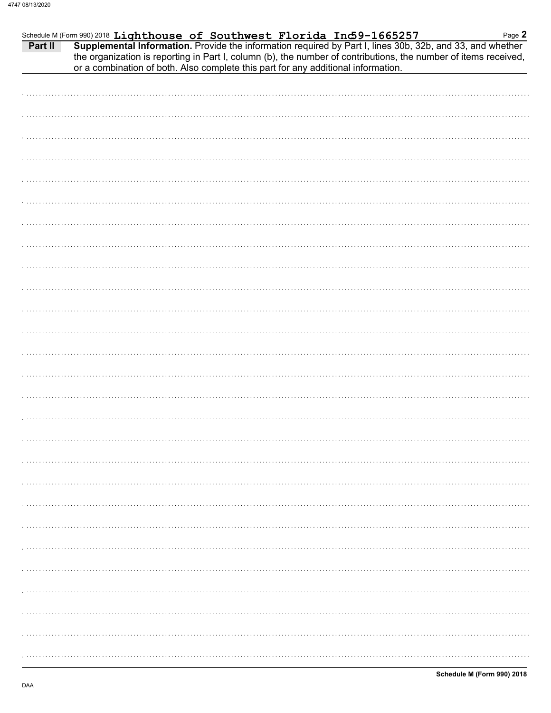| Part II | Schedule M (Form 990) 2018 Lighthouse of Southwest Florida Ind 9-1665257<br>Supplemental Information. Provide the information required by Part I, lines 30b, 32b, and 33, and whether<br>the organization is reporting in Part I, column (b), the number of contributions, the number of items received,<br>or a combination of both. Also complete this part for any additional information. | Page 2 |
|---------|-----------------------------------------------------------------------------------------------------------------------------------------------------------------------------------------------------------------------------------------------------------------------------------------------------------------------------------------------------------------------------------------------|--------|
|         |                                                                                                                                                                                                                                                                                                                                                                                               |        |
|         |                                                                                                                                                                                                                                                                                                                                                                                               |        |
|         |                                                                                                                                                                                                                                                                                                                                                                                               |        |
|         |                                                                                                                                                                                                                                                                                                                                                                                               |        |
|         |                                                                                                                                                                                                                                                                                                                                                                                               |        |
|         |                                                                                                                                                                                                                                                                                                                                                                                               |        |
|         |                                                                                                                                                                                                                                                                                                                                                                                               |        |
|         |                                                                                                                                                                                                                                                                                                                                                                                               |        |
|         |                                                                                                                                                                                                                                                                                                                                                                                               |        |
|         |                                                                                                                                                                                                                                                                                                                                                                                               |        |
|         |                                                                                                                                                                                                                                                                                                                                                                                               |        |
|         |                                                                                                                                                                                                                                                                                                                                                                                               |        |
|         |                                                                                                                                                                                                                                                                                                                                                                                               |        |
|         |                                                                                                                                                                                                                                                                                                                                                                                               |        |
|         |                                                                                                                                                                                                                                                                                                                                                                                               |        |
|         |                                                                                                                                                                                                                                                                                                                                                                                               |        |
|         |                                                                                                                                                                                                                                                                                                                                                                                               |        |
|         |                                                                                                                                                                                                                                                                                                                                                                                               |        |
|         |                                                                                                                                                                                                                                                                                                                                                                                               |        |
|         |                                                                                                                                                                                                                                                                                                                                                                                               |        |
|         |                                                                                                                                                                                                                                                                                                                                                                                               |        |
|         |                                                                                                                                                                                                                                                                                                                                                                                               |        |
|         |                                                                                                                                                                                                                                                                                                                                                                                               |        |
|         |                                                                                                                                                                                                                                                                                                                                                                                               |        |
|         |                                                                                                                                                                                                                                                                                                                                                                                               |        |
|         |                                                                                                                                                                                                                                                                                                                                                                                               |        |
|         |                                                                                                                                                                                                                                                                                                                                                                                               |        |
|         |                                                                                                                                                                                                                                                                                                                                                                                               |        |
|         |                                                                                                                                                                                                                                                                                                                                                                                               |        |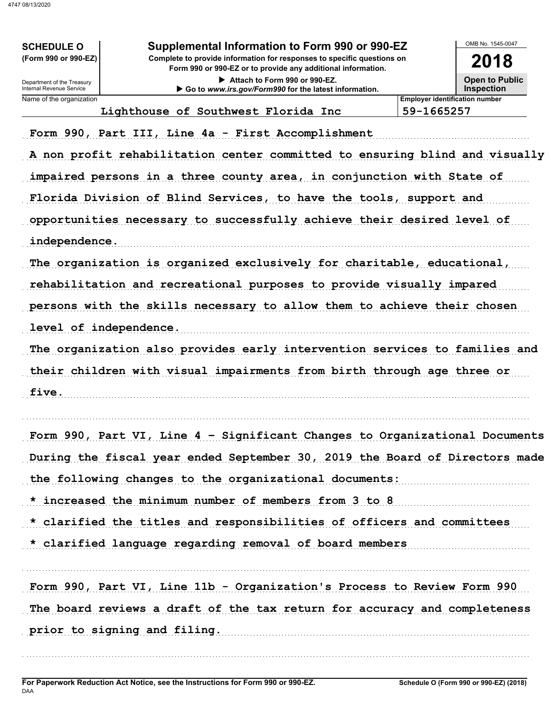| <b>SCHEDULE O</b><br>(Form 990 or 990-EZ)<br>Department of the Treasury<br>Internal Revenue Service | Supplemental Information to Form 990 or 990-EZ<br>Complete to provide information for responses to specific questions on<br>Form 990 or 990-EZ or to provide any additional information.<br>Attach to Form 990 or 990-EZ.<br>Go to www.irs.gov/Form990 for the latest information.                                                                                                                                                                                                                                                                                                                                                                                                                                                                                                     |                                       | OMB No. 1545-0047<br>2018<br><b>Open to Public</b><br><b>Inspection</b> |
|-----------------------------------------------------------------------------------------------------|----------------------------------------------------------------------------------------------------------------------------------------------------------------------------------------------------------------------------------------------------------------------------------------------------------------------------------------------------------------------------------------------------------------------------------------------------------------------------------------------------------------------------------------------------------------------------------------------------------------------------------------------------------------------------------------------------------------------------------------------------------------------------------------|---------------------------------------|-------------------------------------------------------------------------|
| Name of the organization                                                                            |                                                                                                                                                                                                                                                                                                                                                                                                                                                                                                                                                                                                                                                                                                                                                                                        | <b>Employer identification number</b> |                                                                         |
| independence.<br>level of independence.<br>five.                                                    | Lighthouse of Southwest Florida Inc<br>Form 990, Part III, Line 4a - First Accomplishment<br>A non profit rehabilitation center committed to ensuring blind and visually<br>impaired persons in a three county area, in conjunction with State of<br>Florida Division of Blind Services, to have the tools, support and<br>opportunities necessary to successfully achieve their desired level of<br>The organization is organized exclusively for charitable, educational,<br>rehabilitation and recreational purposes to provide visually impared<br>persons with the skills necessary to allow them to achieve their chosen<br>The organization also provides early intervention services to families and<br>their children with visual impairments from birth through age three or | 59-1665257                            |                                                                         |
|                                                                                                     | Form 990, Part VI, Line 4 - Significant Changes to Organizational Documents<br>During the fiscal year ended September 30, 2019 the Board of Directors made<br>the following changes to the organizational documents:<br>* increased the minimum number of members from 3 to 8<br>* clarified the titles and responsibilities of officers and committees<br>* clarified language regarding removal of board members                                                                                                                                                                                                                                                                                                                                                                     |                                       |                                                                         |
|                                                                                                     | Form 990, Part VI, Line 11b - Organization's Process to Review Form 990<br>The board reviews a draft of the tax return for accuracy and completeness<br>prior to signing and filing.                                                                                                                                                                                                                                                                                                                                                                                                                                                                                                                                                                                                   |                                       |                                                                         |
|                                                                                                     |                                                                                                                                                                                                                                                                                                                                                                                                                                                                                                                                                                                                                                                                                                                                                                                        |                                       |                                                                         |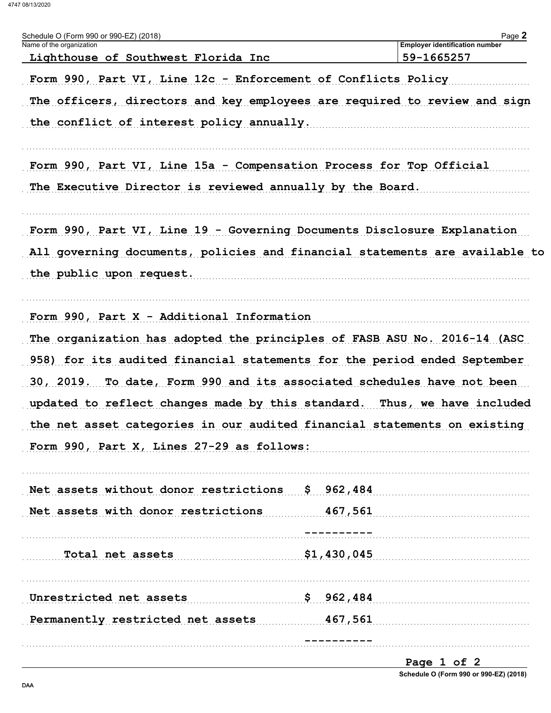4747 08/13/2020

| Schedule O (Form 990 or 990-EZ) (2018)<br>Name of the organization          | Page 2<br><b>Employer identification number</b> |
|-----------------------------------------------------------------------------|-------------------------------------------------|
| Lighthouse of Southwest Florida Inc                                         | 59-1665257                                      |
| Form 990, Part VI, Line 12c - Enforcement of Conflicts Policy               |                                                 |
| The officers, directors and key employees are required to review and sign   |                                                 |
| the conflict of interest policy annually.                                   |                                                 |
| Form 990, Part VI, Line 15a - Compensation Process for Top Official         |                                                 |
| The Executive Director is reviewed annually by the Board.                   |                                                 |
| Form 990, Part VI, Line 19 - Governing Documents Disclosure Explanation     |                                                 |
| All governing documents, policies and financial statements are available to |                                                 |
| the public upon request.                                                    |                                                 |
| Form 990, Part X - Additional Information                                   |                                                 |
| The organization has adopted the principles of FASB ASU No. 2016-14 (ASC    |                                                 |
| 958) for its audited financial statements for the period ended September    |                                                 |
| 30, 2019. To date, Form 990 and its associated schedules have not been      |                                                 |
| updated to reflect changes made by this standard. Thus, we have included    |                                                 |
| the net asset categories in our audited financial statements on existing    |                                                 |
| Form 990, Part X, Lines 27-29 as follows:                                   |                                                 |
| Net assets without donor restrictions \$ 962,484                            |                                                 |
| Net assets with donor restrictions                                          | 467,561                                         |
|                                                                             |                                                 |
| Total net assets                                                            | \$1,430,045                                     |
| Unrestricted net assets                                                     | \$962,484                                       |
| Permanently restricted net assets                                           | 467,561                                         |
|                                                                             |                                                 |

Page 1 of 2 Schedule O (Form 990 or 990-EZ) (2018)